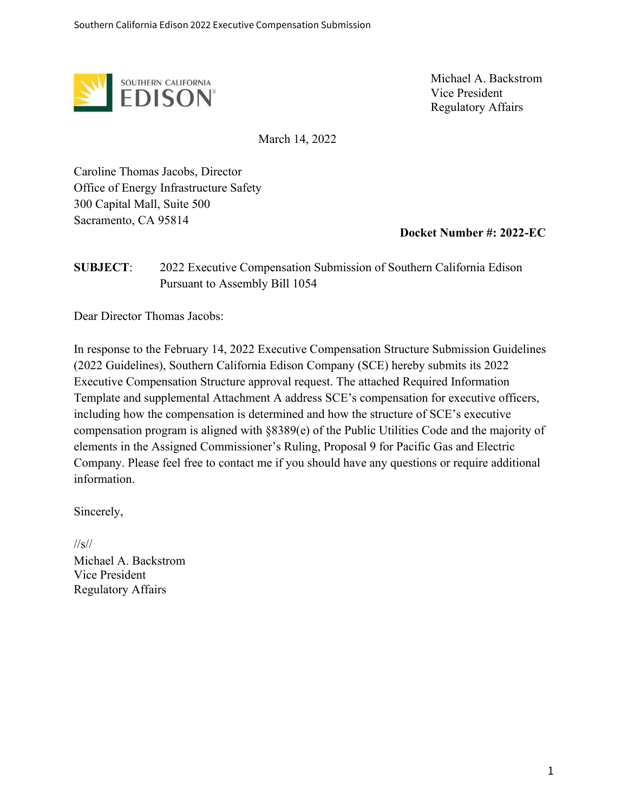

Michael A. Backstrom Vice President Regulatory Affairs

March 14, 2022

Caroline Thomas Jacobs, Director Office of Energy Infrastructure Safety 300 Capital Mall, Suite 500 Sacramento, CA 95814

**Docket Number #: 2022-EC**

### **SUBJECT**: 2022 Executive Compensation Submission of Southern California Edison Pursuant to Assembly Bill 1054

Dear Director Thomas Jacobs:

In response to the February 14, 2022 Executive Compensation Structure Submission Guidelines (2022 Guidelines), Southern California Edison Company (SCE) hereby submits its 2022 Executive Compensation Structure approval request. The attached Required Information Template and supplemental Attachment A address SCE's compensation for executive officers, including how the compensation is determined and how the structure of SCE's executive compensation program is aligned with §8389(e) of the Public Utilities Code and the majority of elements in the Assigned Commissioner's Ruling, Proposal 9 for Pacific Gas and Electric Company. Please feel free to contact me if you should have any questions or require additional information.

Sincerely,

//s// Michael A. Backstrom Vice President Regulatory Affairs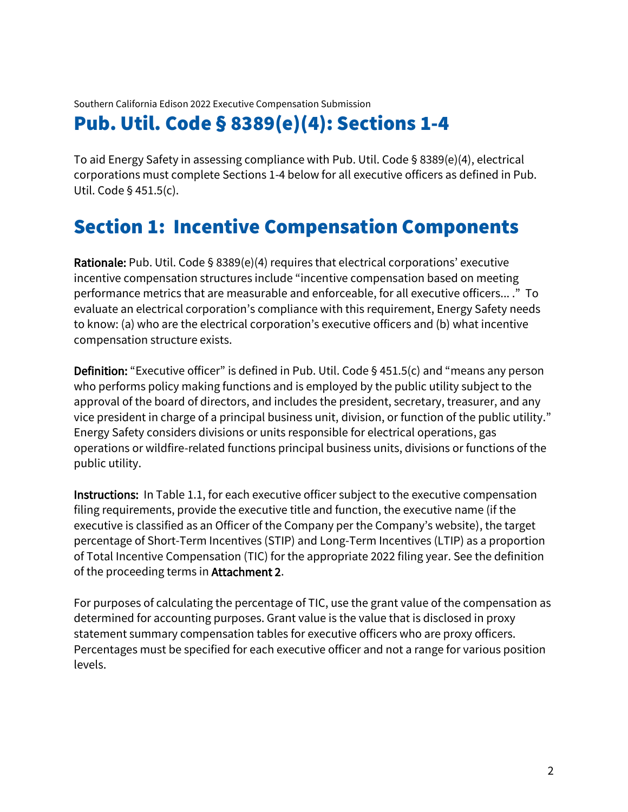# Pub. Util. Code § 8389(e)(4): Sections 1-4

To aid Energy Safety in assessing compliance with Pub. Util. Code § 8389(e)(4), electrical corporations must complete Sections 1-4 below for all executive officers as defined in Pub. Util. Code § 451.5(c).

# Section 1: Incentive Compensation Components

Rationale: Pub. Util. Code § 8389(e)(4) requires that electrical corporations' executive incentive compensation structures include "incentive compensation based on meeting performance metrics that are measurable and enforceable, for all executive officers... ." To evaluate an electrical corporation's compliance with this requirement, Energy Safety needs to know: (a) who are the electrical corporation's executive officers and (b) what incentive compensation structure exists.

**Definition:** "Executive officer" is defined in Pub. Util. Code § 451.5(c) and "means any person who performs policy making functions and is employed by the public utility subject to the approval of the board of directors, and includes the president, secretary, treasurer, and any vice president in charge of a principal business unit, division, or function of the public utility." Energy Safety considers divisions or units responsible for electrical operations, gas operations or wildfire-related functions principal business units, divisions or functions of the public utility.

Instructions: In Table 1.1, for each executive officer subject to the executive compensation filing requirements, provide the executive title and function, the executive name (if the executive is classified as an Officer of the Company per the Company's website), the target percentage of Short-Term Incentives (STIP) and Long-Term Incentives (LTIP) as a proportion of Total Incentive Compensation (TIC) for the appropriate 2022 filing year. See the definition of the proceeding terms in Attachment 2.

For purposes of calculating the percentage of TIC, use the grant value of the compensation as determined for accounting purposes. Grant value is the value that is disclosed in proxy statement summary compensation tables for executive officers who are proxy officers. Percentages must be specified for each executive officer and not a range for various position levels.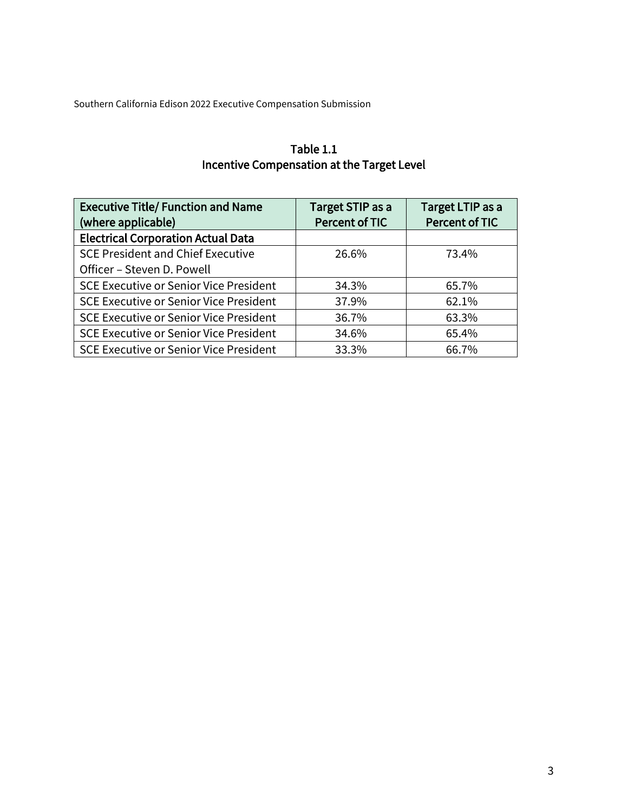| Table 1.1                                  |
|--------------------------------------------|
| Incentive Compensation at the Target Level |

| <b>Executive Title/ Function and Name</b><br>(where applicable) | Target STIP as a<br><b>Percent of TIC</b> | Target LTIP as a<br>Percent of TIC |
|-----------------------------------------------------------------|-------------------------------------------|------------------------------------|
| <b>Electrical Corporation Actual Data</b>                       |                                           |                                    |
| <b>SCE President and Chief Executive</b>                        | 26.6%                                     | 73.4%                              |
| Officer - Steven D. Powell                                      |                                           |                                    |
| <b>SCE Executive or Senior Vice President</b>                   | 34.3%                                     | 65.7%                              |
| <b>SCE Executive or Senior Vice President</b>                   | 37.9%                                     | 62.1%                              |
| <b>SCE Executive or Senior Vice President</b>                   | 36.7%                                     | 63.3%                              |
| <b>SCE Executive or Senior Vice President</b>                   | 34.6%                                     | 65.4%                              |
| <b>SCE Executive or Senior Vice President</b>                   | 33.3%                                     | 66.7%                              |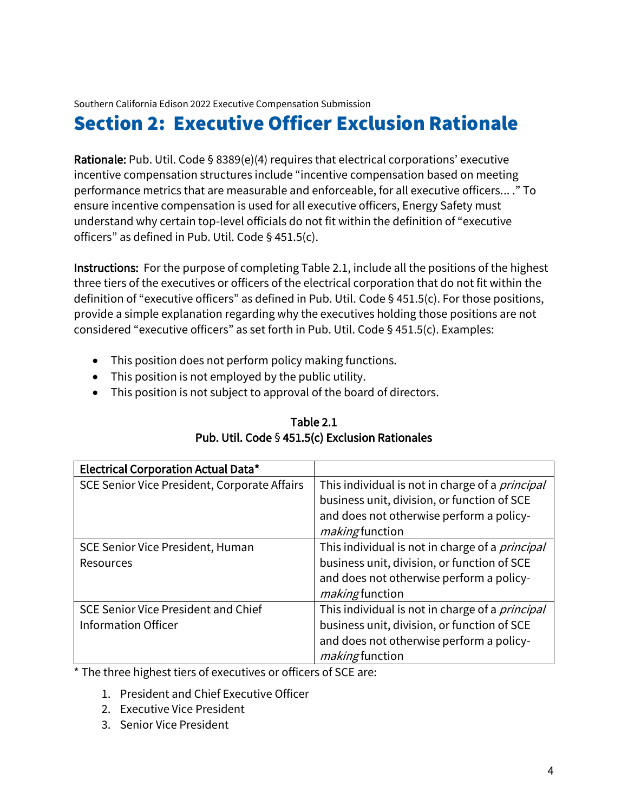# Section 2: Executive Officer Exclusion Rationale

Rationale: Pub. Util. Code § 8389(e)(4) requires that electrical corporations' executive incentive compensation structures include "incentive compensation based on meeting performance metrics that are measurable and enforceable, for all executive officers... ." To ensure incentive compensation is used for all executive officers, Energy Safety must understand why certain top-level officials do not fit within the definition of "executive officers" as defined in Pub. Util. Code § 451.5(c).

Instructions: For the purpose of completing Table 2.1, include all the positions of the highest three tiers of the executives or officers of the electrical corporation that do not fit within the definition of "executive officers" as defined in Pub. Util. Code § 451.5(c). For those positions, provide a simple explanation regarding why the executives holding those positions are not considered "executive officers" as set forth in Pub. Util. Code § 451.5(c). Examples:

- This position does not perform policy making functions.
- This position is not employed by the public utility.
- This position is not subject to approval of the board of directors.

| <b>Electrical Corporation Actual Data*</b>   |                                                        |
|----------------------------------------------|--------------------------------------------------------|
| SCE Senior Vice President, Corporate Affairs | This individual is not in charge of a <i>principal</i> |
|                                              | business unit, division, or function of SCE            |
|                                              | and does not otherwise perform a policy-               |
|                                              | making function                                        |
| <b>SCE Senior Vice President, Human</b>      | This individual is not in charge of a <i>principal</i> |
| <b>Resources</b>                             | business unit, division, or function of SCE            |
|                                              | and does not otherwise perform a policy-               |
|                                              | making function                                        |
| <b>SCE Senior Vice President and Chief</b>   | This individual is not in charge of a <i>principal</i> |
| <b>Information Officer</b>                   | business unit, division, or function of SCE            |
|                                              | and does not otherwise perform a policy-               |
|                                              | <i>making</i> function                                 |

## Table 2.1 Pub. Util. Code § 451.5(c) Exclusion Rationales

\* The three highest tiers of executives or officers of SCE are:

- 1. President and Chief Executive Officer
- 2. Executive Vice President
- 3. Senior Vice President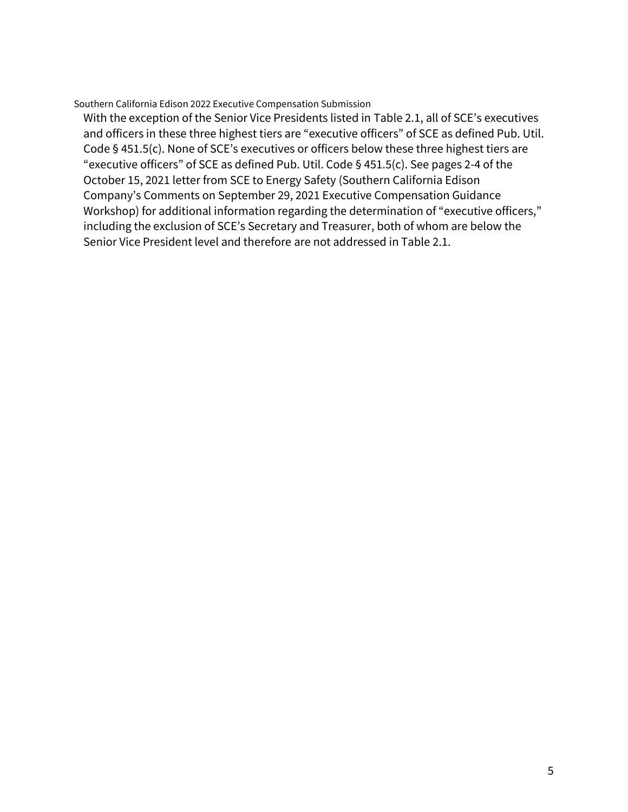With the exception of the Senior Vice Presidents listed in Table 2.1, all of SCE's executives and officers in these three highest tiers are "executive officers" of SCE as defined Pub. Util. Code § 451.5(c). None of SCE's executives or officers below these three highest tiers are "executive officers" of SCE as defined Pub. Util. Code § 451.5(c). See pages 2-4 of the October 15, 2021 letter from SCE to Energy Safety (Southern California Edison Company's Comments on September 29, 2021 Executive Compensation Guidance Workshop) for additional information regarding the determination of "executive officers," including the exclusion of SCE's Secretary and Treasurer, both of whom are below the Senior Vice President level and therefore are not addressed in Table 2.1.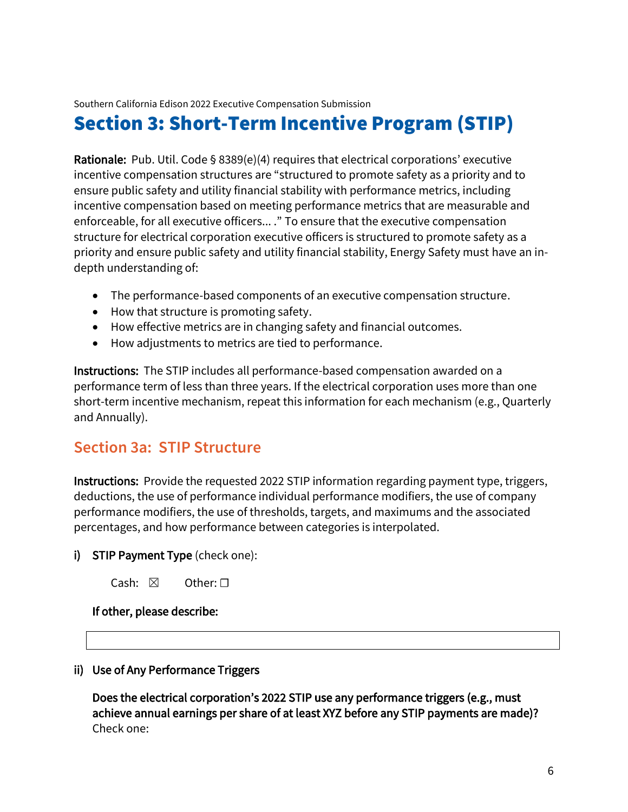# Section 3: Short-Term Incentive Program (STIP)

Rationale: Pub. Util. Code  $\S$  8389(e)(4) requires that electrical corporations' executive incentive compensation structures are "structured to promote safety as a priority and to ensure public safety and utility financial stability with performance metrics, including incentive compensation based on meeting performance metrics that are measurable and enforceable, for all executive officers... ." To ensure that the executive compensation structure for electrical corporation executive officers is structured to promote safety as a priority and ensure public safety and utility financial stability, Energy Safety must have an indepth understanding of:

- The performance-based components of an executive compensation structure.
- How that structure is promoting safety.
- How effective metrics are in changing safety and financial outcomes.
- How adjustments to metrics are tied to performance.

Instructions: The STIP includes all performance-based compensation awarded on a performance term of less than three years. If the electrical corporation uses more than one short-term incentive mechanism, repeat this information for each mechanism (e.g., Quarterly and Annually).

# **Section 3a: STIP Structure**

Instructions: Provide the requested 2022 STIP information regarding payment type, triggers, deductions, the use of performance individual performance modifiers, the use of company performance modifiers, the use of thresholds, targets, and maximums and the associated percentages, and how performance between categories is interpolated.

#### i) STIP Payment Type (check one):

| Cash: $\boxtimes$ |  | Other: $\square$ |
|-------------------|--|------------------|
|-------------------|--|------------------|

#### If other, please describe:

ii) Use of Any Performance Triggers

Does the electrical corporation's 2022 STIP use any performance triggers (e.g., must achieve annual earnings per share of at least XYZ before any STIP payments are made)? Check one: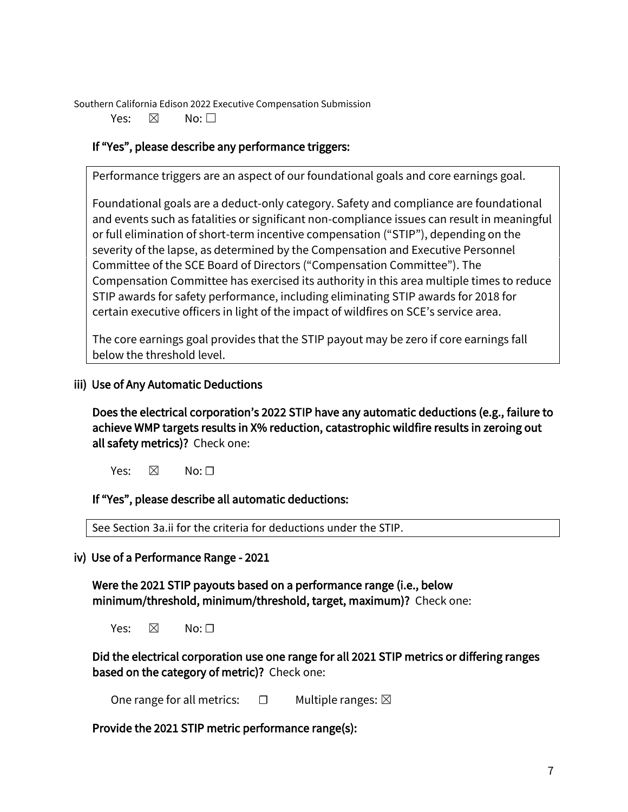Yes: ⊠ No: □

## If "Yes", please describe any performance triggers:

Performance triggers are an aspect of our foundational goals and core earnings goal.

Foundational goals are a deduct-only category. Safety and compliance are foundational and events such as fatalities or significant non-compliance issues can result in meaningful or full elimination of short-term incentive compensation ("STIP"), depending on the severity of the lapse, as determined by the Compensation and Executive Personnel Committee of the SCE Board of Directors ("Compensation Committee"). The Compensation Committee has exercised its authority in this area multiple times to reduce STIP awards for safety performance, including eliminating STIP awards for 2018 for certain executive officers in light of the impact of wildfires on SCE's service area.

The core earnings goal provides that the STIP payout may be zero if core earnings fall below the threshold level.

## iii) Use of Any Automatic Deductions

Does the electrical corporation's 2022 STIP have any automatic deductions (e.g., failure to achieve WMP targets results in X% reduction, catastrophic wildfire results in zeroing out all safety metrics)? Check one:

Yes:  $\boxtimes$  No:  $\Box$ 

If "Yes", please describe all automatic deductions:

See Section 3a.ii for the criteria for deductions under the STIP.

iv) Use of a Performance Range - 2021

Were the 2021 STIP payouts based on a performance range (i.e., below minimum/threshold, minimum/threshold, target, maximum)? Check one:

Yes:  $\boxtimes$  No:  $\Box$ 

Did the electrical corporation use one range for all 2021 STIP metrics or differing ranges based on the category of metric)? Check one:

One range for all metrics:  $\Box$  Multiple ranges:  $\boxtimes$ 

Provide the 2021 STIP metric performance range(s):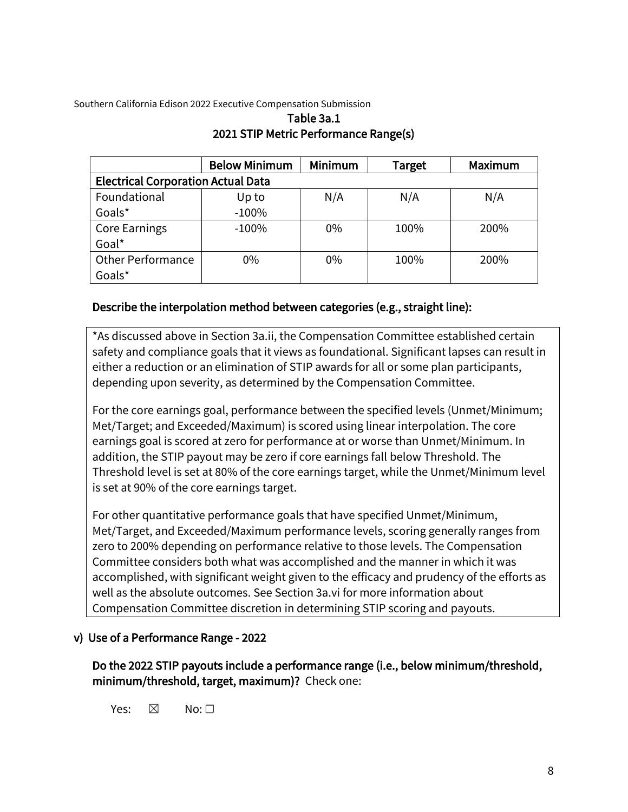|                                           | <b>Below Minimum</b> | Minimum | <b>Target</b> | Maximum |  |  |  |  |  |  |
|-------------------------------------------|----------------------|---------|---------------|---------|--|--|--|--|--|--|
| <b>Electrical Corporation Actual Data</b> |                      |         |               |         |  |  |  |  |  |  |
| Foundational                              | Up to                | N/A     | N/A           | N/A     |  |  |  |  |  |  |
| Goals*                                    | $-100%$              |         |               |         |  |  |  |  |  |  |
| <b>Core Earnings</b>                      | $-100%$              | $0\%$   | 100%          | 200%    |  |  |  |  |  |  |
| Goal*                                     |                      |         |               |         |  |  |  |  |  |  |
| <b>Other Performance</b>                  | $0\%$                | 0%      | 100%          | 200%    |  |  |  |  |  |  |
| Goals*                                    |                      |         |               |         |  |  |  |  |  |  |

### Table 3a.1 2021 STIP Metric Performance Range(s)

## Describe the interpolation method between categories (e.g., straight line):

\*As discussed above in Section 3a.ii, the Compensation Committee established certain safety and compliance goals that it views as foundational. Significant lapses can result in either a reduction or an elimination of STIP awards for all or some plan participants, depending upon severity, as determined by the Compensation Committee.

For the core earnings goal, performance between the specified levels (Unmet/Minimum; Met/Target; and Exceeded/Maximum) is scored using linear interpolation. The core earnings goal is scored at zero for performance at or worse than Unmet/Minimum. In addition, the STIP payout may be zero if core earnings fall below Threshold. The Threshold level is set at 80% of the core earnings target, while the Unmet/Minimum level is set at 90% of the core earnings target.

For other quantitative performance goals that have specified Unmet/Minimum, Met/Target, and Exceeded/Maximum performance levels, scoring generally ranges from zero to 200% depending on performance relative to those levels. The Compensation Committee considers both what was accomplished and the manner in which it was accomplished, with significant weight given to the efficacy and prudency of the efforts as well as the absolute outcomes. See Section 3a.vi for more information about Compensation Committee discretion in determining STIP scoring and payouts.

### v) Use of a Performance Range - 2022

Do the 2022 STIP payouts include a performance range (i.e., below minimum/threshold, minimum/threshold, target, maximum)? Check one:

Yes:  $\boxtimes$  No:  $\Box$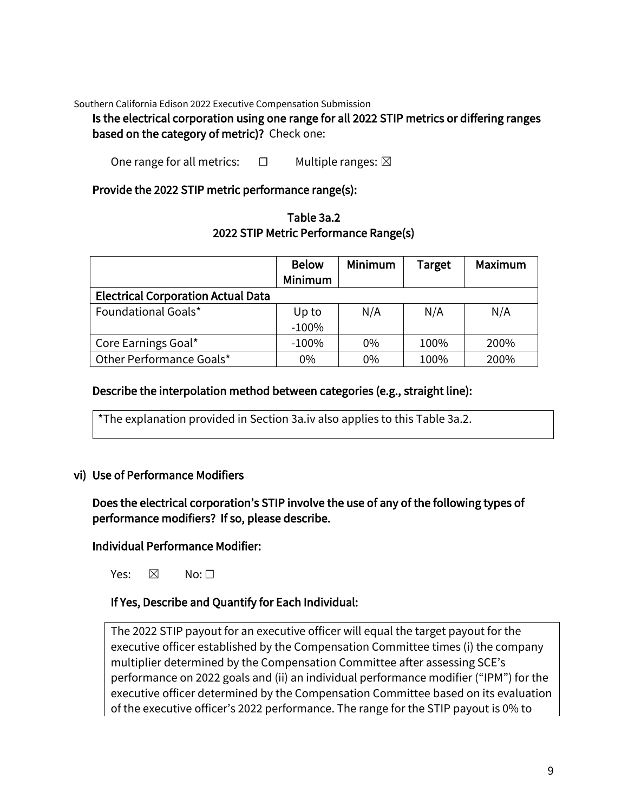#### Is the electrical corporation using one range for all 2022 STIP metrics or differing ranges based on the category of metric)? Check one:

One range for all metrics:  $□$  Multiple ranges:  $□$ 

#### Provide the 2022 STIP metric performance range(s):

| Table 3a.2                            |
|---------------------------------------|
| 2022 STIP Metric Performance Range(s) |

|                                           | <b>Below</b>   | Minimum | <b>Target</b> | Maximum |
|-------------------------------------------|----------------|---------|---------------|---------|
|                                           | <b>Minimum</b> |         |               |         |
| <b>Electrical Corporation Actual Data</b> |                |         |               |         |
| Foundational Goals*                       | Up to          | N/A     | N/A           | N/A     |
|                                           | $-100%$        |         |               |         |
| Core Earnings Goal*                       | $-100%$        | 0%      | 100%          | 200%    |
| Other Performance Goals*                  | 0%             | $0\%$   | 100%          | 200%    |

#### Describe the interpolation method between categories (e.g., straight line):

\*The explanation provided in Section 3a.iv also applies to this Table 3a.2.

#### vi) Use of Performance Modifiers

Does the electrical corporation's STIP involve the use of any of the following types of performance modifiers? If so, please describe.

#### Individual Performance Modifier:

Yes:  $\boxtimes$  No:  $\Box$ 

#### If Yes, Describe and Quantify for Each Individual:

The 2022 STIP payout for an executive officer will equal the target payout for the executive officer established by the Compensation Committee times (i) the company multiplier determined by the Compensation Committee after assessing SCE's performance on 2022 goals and (ii) an individual performance modifier ("IPM") for the executive officer determined by the Compensation Committee based on its evaluation of the executive officer's 2022 performance. The range for the STIP payout is 0% to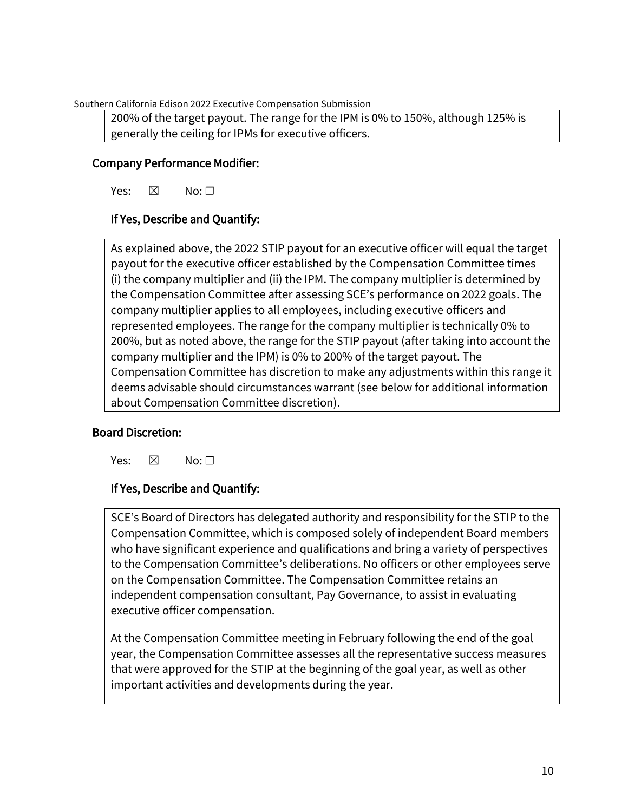200% of the target payout. The range for the IPM is 0% to 150%, although 125% is generally the ceiling for IPMs for executive officers.

# Company Performance Modifier:

Yes:  $\boxtimes$  No:  $\square$ 

# If Yes, Describe and Quantify:

As explained above, the 2022 STIP payout for an executive officer will equal the target payout for the executive officer established by the Compensation Committee times (i) the company multiplier and (ii) the IPM. The company multiplier is determined by the Compensation Committee after assessing SCE's performance on 2022 goals. The company multiplier applies to all employees, including executive officers and represented employees. The range for the company multiplier is technically 0% to 200%, but as noted above, the range for the STIP payout (after taking into account the company multiplier and the IPM) is 0% to 200% of the target payout. The Compensation Committee has discretion to make any adjustments within this range it deems advisable should circumstances warrant (see below for additional information about Compensation Committee discretion).

### Board Discretion:

Yes:  $\boxtimes$  No:  $\Box$ 

### If Yes, Describe and Quantify:

SCE's Board of Directors has delegated authority and responsibility for the STIP to the Compensation Committee, which is composed solely of independent Board members who have significant experience and qualifications and bring a variety of perspectives to the Compensation Committee's deliberations. No officers or other employees serve on the Compensation Committee. The Compensation Committee retains an independent compensation consultant, Pay Governance, to assist in evaluating executive officer compensation.

At the Compensation Committee meeting in February following the end of the goal year, the Compensation Committee assesses all the representative success measures that were approved for the STIP at the beginning of the goal year, as well as other important activities and developments during the year.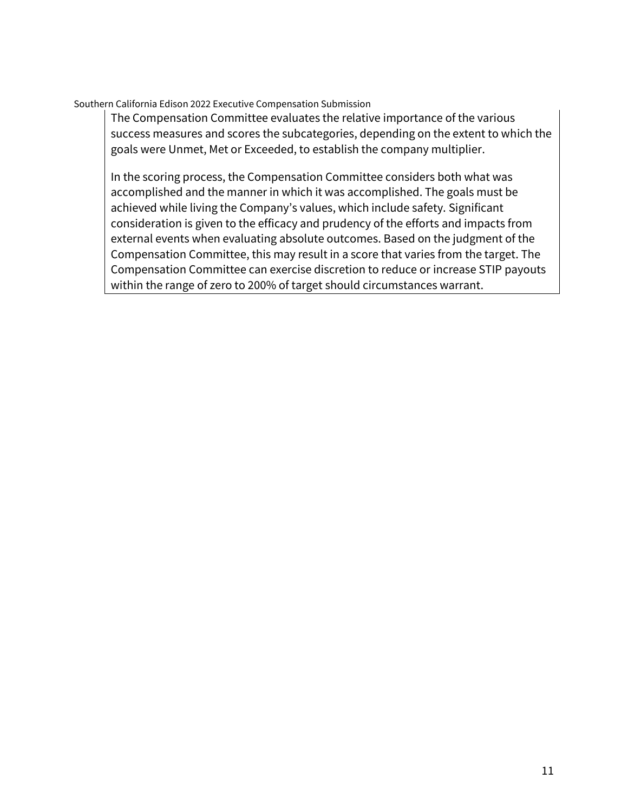The Compensation Committee evaluates the relative importance of the various success measures and scores the subcategories, depending on the extent to which the goals were Unmet, Met or Exceeded, to establish the company multiplier.

In the scoring process, the Compensation Committee considers both what was accomplished and the manner in which it was accomplished. The goals must be achieved while living the Company's values, which include safety. Significant consideration is given to the efficacy and prudency of the efforts and impacts from external events when evaluating absolute outcomes. Based on the judgment of the Compensation Committee, this may result in a score that varies from the target. The Compensation Committee can exercise discretion to reduce or increase STIP payouts within the range of zero to 200% of target should circumstances warrant.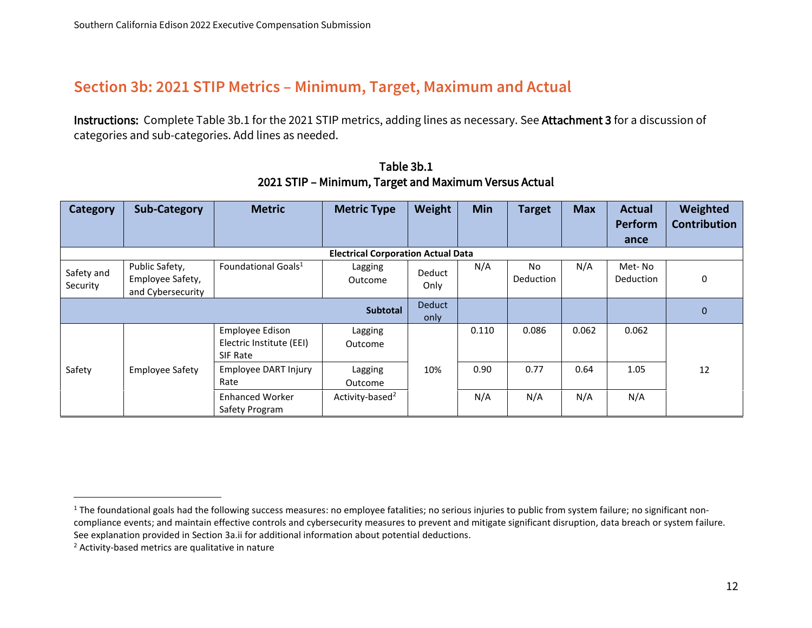# **Section 3b: 2021 STIP Metrics – Minimum, Target, Maximum and Actual**

Instructions: Complete Table 3b.1 for the 2021 STIP metrics, adding lines as necessary. See Attachment 3 for a discussion of categories and sub-categories. Add lines as needed.

| <b>Category</b>        | <b>Sub-Category</b>                                     | <b>Metric</b>                                           | <b>Metric Type</b>                        | Weight         | <b>Min</b> | <b>Target</b>           | <b>Max</b> | <b>Actual</b><br><b>Perform</b> | Weighted<br><b>Contribution</b> |
|------------------------|---------------------------------------------------------|---------------------------------------------------------|-------------------------------------------|----------------|------------|-------------------------|------------|---------------------------------|---------------------------------|
|                        |                                                         |                                                         |                                           |                |            |                         |            | ance                            |                                 |
|                        |                                                         |                                                         | <b>Electrical Corporation Actual Data</b> |                |            |                         |            |                                 |                                 |
| Safety and<br>Security | Public Safety,<br>Employee Safety,<br>and Cybersecurity | Foundational Goals <sup>1</sup>                         | Lagging<br>Outcome                        | Deduct<br>Only | N/A        | No.<br><b>Deduction</b> | N/A        | Met-No<br><b>Deduction</b>      | 0                               |
| <b>Subtotal</b>        |                                                         |                                                         |                                           | Deduct<br>only |            |                         |            |                                 | $\mathbf 0$                     |
|                        |                                                         | Employee Edison<br>Electric Institute (EEI)<br>SIF Rate | Lagging<br>Outcome                        |                | 0.110      | 0.086                   | 0.062      | 0.062                           |                                 |
| Safety                 | <b>Employee Safety</b>                                  | Employee DART Injury<br>Rate                            | Lagging<br>Outcome                        | 10%            | 0.90       | 0.77                    | 0.64       | 1.05                            | 12                              |
|                        |                                                         | <b>Enhanced Worker</b><br>Safety Program                | Activity-based <sup>2</sup>               |                | N/A        | N/A                     | N/A        | N/A                             |                                 |

Table 3b.1 2021 STIP – Minimum, Target and Maximum Versus Actual

 $1$  The foundational goals had the following success measures: no employee fatalities; no serious injuries to public from system failure; no significant noncompliance events; and maintain effective controls and cybersecurity measures to prevent and mitigate significant disruption, data breach or system failure. See explanation provided in Section 3a.ii for additional information about potential deductions.

<sup>2</sup> Activity-based metrics are qualitative in nature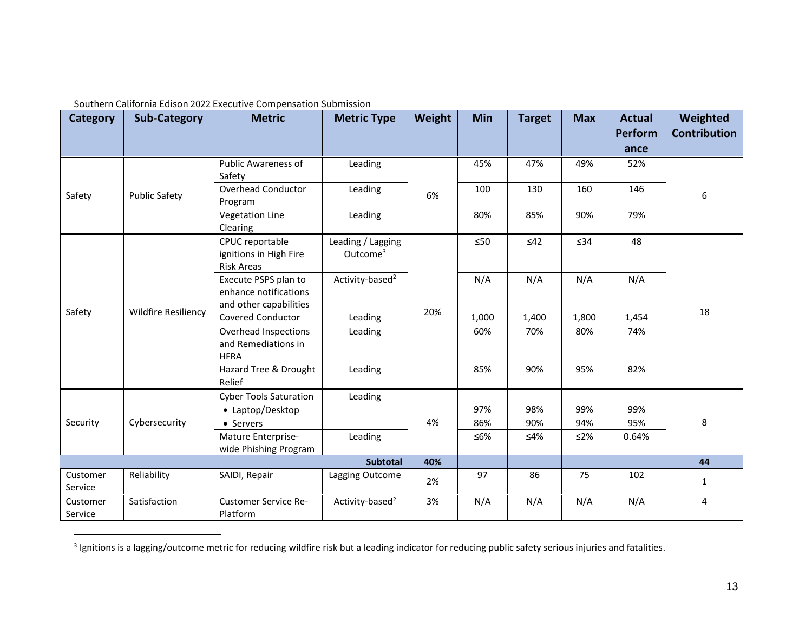| <b>Category</b>     | <b>Sub-Category</b>        | <b>Metric</b>                                                           | <b>Metric Type</b>                        | Weight | Min       | <b>Target</b> | <b>Max</b> | <b>Actual</b><br>Perform | Weighted<br><b>Contribution</b> |
|---------------------|----------------------------|-------------------------------------------------------------------------|-------------------------------------------|--------|-----------|---------------|------------|--------------------------|---------------------------------|
|                     |                            |                                                                         |                                           |        |           |               |            | ance                     |                                 |
| Safety              |                            | <b>Public Awareness of</b><br>Safety                                    | Leading                                   |        | 45%       | 47%           | 49%        | 52%                      |                                 |
|                     | <b>Public Safety</b>       | Overhead Conductor<br>Program                                           | Leading                                   | 6%     | 100       | 130           | 160        | 146                      | $\boldsymbol{6}$                |
|                     |                            | <b>Vegetation Line</b><br>Clearing                                      | Leading                                   |        | 80%       | 85%           | 90%        | 79%                      |                                 |
| Safety              |                            | CPUC reportable<br>ignitions in High Fire<br><b>Risk Areas</b>          | Leading / Lagging<br>Outcome <sup>3</sup> |        | $\leq 50$ | $\leq 42$     | $\leq$ 34  | 48                       |                                 |
|                     | <b>Wildfire Resiliency</b> | Execute PSPS plan to<br>enhance notifications<br>and other capabilities | Activity-based <sup>2</sup>               | 20%    | N/A       | N/A           | N/A        | N/A                      | 18                              |
|                     |                            | <b>Covered Conductor</b>                                                | Leading                                   |        | 1,000     | 1,400         | 1,800      | 1,454                    |                                 |
|                     |                            | Overhead Inspections<br>and Remediations in<br><b>HFRA</b>              | Leading                                   |        | 60%       | 70%           | 80%        | 74%                      |                                 |
|                     |                            | Hazard Tree & Drought<br>Relief                                         | Leading                                   |        | 85%       | 90%           | 95%        | 82%                      |                                 |
|                     |                            | <b>Cyber Tools Saturation</b><br>• Laptop/Desktop                       | Leading                                   |        | 97%       | 98%           | 99%        | 99%                      |                                 |
| Security            | Cybersecurity              | • Servers                                                               |                                           | 4%     | 86%       | 90%           | 94%        | 95%                      | 8                               |
|                     |                            | Mature Enterprise-<br>wide Phishing Program                             | Leading                                   |        | ≤6%       | ≤4%           | ≤2%        | 0.64%                    |                                 |
| Subtotal            |                            | 40%                                                                     |                                           |        |           |               | 44         |                          |                                 |
| Customer<br>Service | Reliability                | SAIDI, Repair                                                           | Lagging Outcome                           | 2%     | 97        | 86            | 75         | 102                      | $\mathbf{1}$                    |
| Customer<br>Service | Satisfaction               | <b>Customer Service Re-</b><br>Platform                                 | Activity-based <sup>2</sup>               | 3%     | N/A       | N/A           | N/A        | N/A                      | 4                               |

<sup>&</sup>lt;sup>3</sup> Ignitions is a lagging/outcome metric for reducing wildfire risk but a leading indicator for reducing public safety serious injuries and fatalities.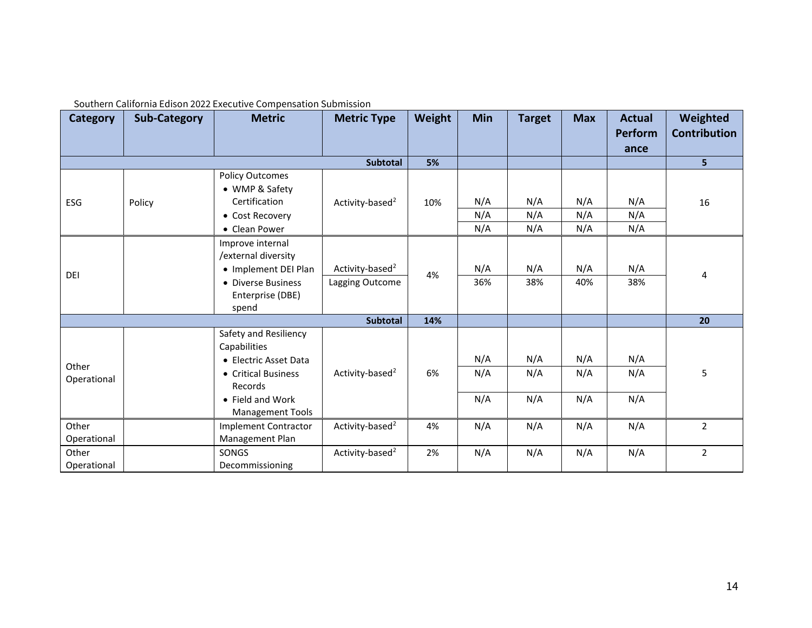| <b>Category</b>      | <b>Sub-Category</b> | <b>Metric</b>                                                                                                                                   | <b>Metric Type</b>                             | Weight | <b>Min</b>        | <b>Target</b>     | <b>Max</b>        | <b>Actual</b><br><b>Perform</b> | Weighted<br><b>Contribution</b> |
|----------------------|---------------------|-------------------------------------------------------------------------------------------------------------------------------------------------|------------------------------------------------|--------|-------------------|-------------------|-------------------|---------------------------------|---------------------------------|
|                      |                     |                                                                                                                                                 |                                                |        |                   |                   |                   | ance                            |                                 |
|                      |                     |                                                                                                                                                 | Subtotal                                       | 5%     |                   |                   |                   |                                 | 5                               |
| ESG                  | Policy              | <b>Policy Outcomes</b><br>• WMP & Safety<br>Certification<br>• Cost Recovery<br>• Clean Power                                                   | Activity-based <sup>2</sup>                    | 10%    | N/A<br>N/A<br>N/A | N/A<br>N/A<br>N/A | N/A<br>N/A<br>N/A | N/A<br>N/A<br>N/A               | 16                              |
| DEI                  |                     | Improve internal<br>/external diversity<br>• Implement DEI Plan<br>• Diverse Business<br>Enterprise (DBE)<br>spend                              | Activity-based <sup>2</sup><br>Lagging Outcome | 4%     | N/A<br>36%        | N/A<br>38%        | N/A<br>40%        | N/A<br>38%                      | $\overline{4}$                  |
|                      |                     |                                                                                                                                                 | Subtotal                                       | 14%    |                   |                   |                   |                                 | 20                              |
| Other<br>Operational |                     | Safety and Resiliency<br>Capabilities<br>• Electric Asset Data<br>• Critical Business<br>Records<br>• Field and Work<br><b>Management Tools</b> | Activity-based <sup>2</sup>                    | 6%     | N/A<br>N/A<br>N/A | N/A<br>N/A<br>N/A | N/A<br>N/A<br>N/A | N/A<br>N/A<br>N/A               | 5                               |
| Other<br>Operational |                     | <b>Implement Contractor</b><br>Management Plan                                                                                                  | Activity-based <sup>2</sup>                    | 4%     | N/A               | N/A               | N/A               | N/A                             | $\overline{2}$                  |
| Other<br>Operational |                     | SONGS<br>Decommissioning                                                                                                                        | Activity-based <sup>2</sup>                    | 2%     | N/A               | N/A               | N/A               | N/A                             | $\overline{2}$                  |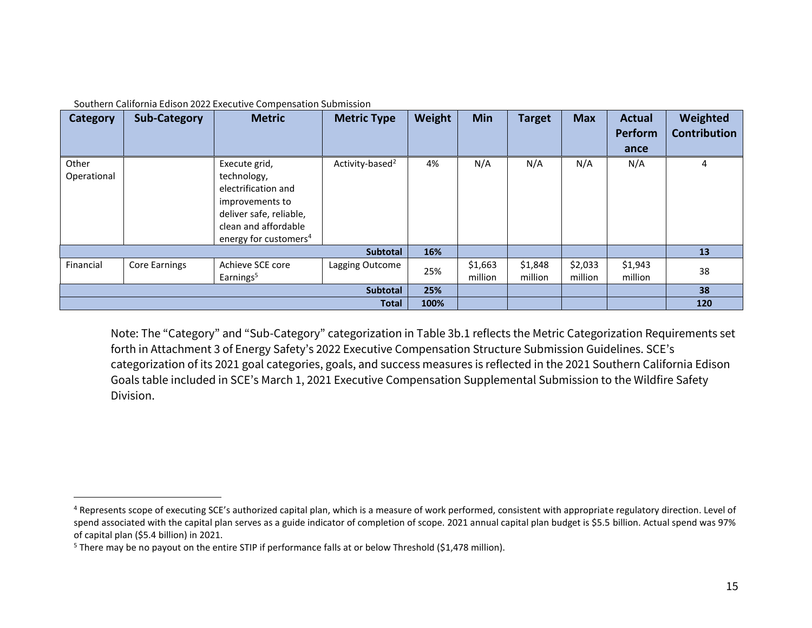| <b>Category</b>      | <b>Sub-Category</b> | <b>Metric</b>                                                                                                                                                  | <b>Metric Type</b>          | Weight | Min                | <b>Target</b>      | <b>Max</b>         | <b>Actual</b><br>Perform<br>ance | Weighted<br><b>Contribution</b> |
|----------------------|---------------------|----------------------------------------------------------------------------------------------------------------------------------------------------------------|-----------------------------|--------|--------------------|--------------------|--------------------|----------------------------------|---------------------------------|
| Other<br>Operational |                     | Execute grid,<br>technology,<br>electrification and<br>improvements to<br>deliver safe, reliable,<br>clean and affordable<br>energy for customers <sup>4</sup> | Activity-based <sup>2</sup> | 4%     | N/A                | N/A                | N/A                | N/A                              | 4                               |
|                      |                     |                                                                                                                                                                | Subtotal                    | 16%    |                    |                    |                    |                                  | 13                              |
| Financial            | Core Earnings       | Achieve SCE core<br>Earnings <sup>5</sup>                                                                                                                      | Lagging Outcome             | 25%    | \$1,663<br>million | \$1,848<br>million | \$2,033<br>million | \$1,943<br>million               | 38                              |
| Subtotal             |                     |                                                                                                                                                                |                             | 25%    |                    |                    |                    |                                  | 38                              |
| <b>Total</b>         |                     |                                                                                                                                                                |                             | 100%   |                    |                    |                    |                                  | 120                             |

Note: The "Category" and "Sub-Category" categorization in Table 3b.1 reflects the Metric Categorization Requirements set forth in Attachment 3 of Energy Safety's 2022 Executive Compensation Structure Submission Guidelines. SCE's categorization of its 2021 goal categories, goals, and success measures is reflected in the 2021 Southern California Edison Goals table included in SCE's March 1, 2021 Executive Compensation Supplemental Submission to the Wildfire Safety Division.

<sup>&</sup>lt;sup>4</sup> Represents scope of executing SCE's authorized capital plan, which is a measure of work performed, consistent with appropriate regulatory direction. Level of spend associated with the capital plan serves as a guide indicator of completion of scope. 2021 annual capital plan budget is \$5.5 billion. Actual spend was 97% of capital plan (\$5.4 billion) in 2021.

<sup>&</sup>lt;sup>5</sup> There may be no payout on the entire STIP if performance falls at or below Threshold (\$1,478 million).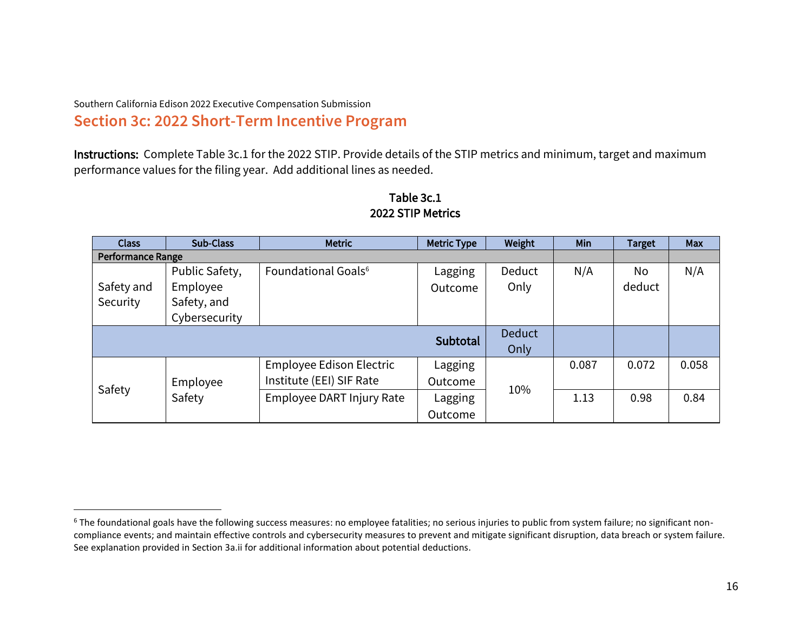# Southern California Edison 2022 Executive Compensation Submission **Section 3c: 2022 Short-Term Incentive Program**

Instructions: Complete Table 3c.1 for the 2022 STIP. Provide details of the STIP metrics and minimum, target and maximum performance values for the filing year. Add additional lines as needed.

| <b>Class</b>             | Sub-Class      | <b>Metric</b>                   | <b>Metric Type</b> | Weight        | <b>Min</b> | <b>Target</b> | Max   |
|--------------------------|----------------|---------------------------------|--------------------|---------------|------------|---------------|-------|
| <b>Performance Range</b> |                |                                 |                    |               |            |               |       |
|                          | Public Safety, | Foundational Goals <sup>6</sup> | Lagging            | Deduct        | N/A        | No            | N/A   |
| Safety and               | Employee       |                                 | Outcome            | Only          |            | deduct        |       |
| Security                 | Safety, and    |                                 |                    |               |            |               |       |
|                          | Cybersecurity  |                                 |                    |               |            |               |       |
|                          |                |                                 |                    | <b>Deduct</b> |            |               |       |
|                          |                |                                 | <b>Subtotal</b>    | Only          |            |               |       |
|                          |                | Employee Edison Electric        | Lagging            |               | 0.087      | 0.072         | 0.058 |
|                          | Employee       | Institute (EEI) SIF Rate        | Outcome            |               |            |               |       |
| Safety                   | Safety         | Employee DART Injury Rate       | Lagging            | 10%           | 1.13       | 0.98          | 0.84  |
|                          |                |                                 | Outcome            |               |            |               |       |

# Table 3c.1 2022 STIP Metrics

<sup>&</sup>lt;sup>6</sup> The foundational goals have the following success measures: no employee fatalities; no serious injuries to public from system failure; no significant noncompliance events; and maintain effective controls and cybersecurity measures to prevent and mitigate significant disruption, data breach or system failure. See explanation provided in Section 3a.ii for additional information about potential deductions.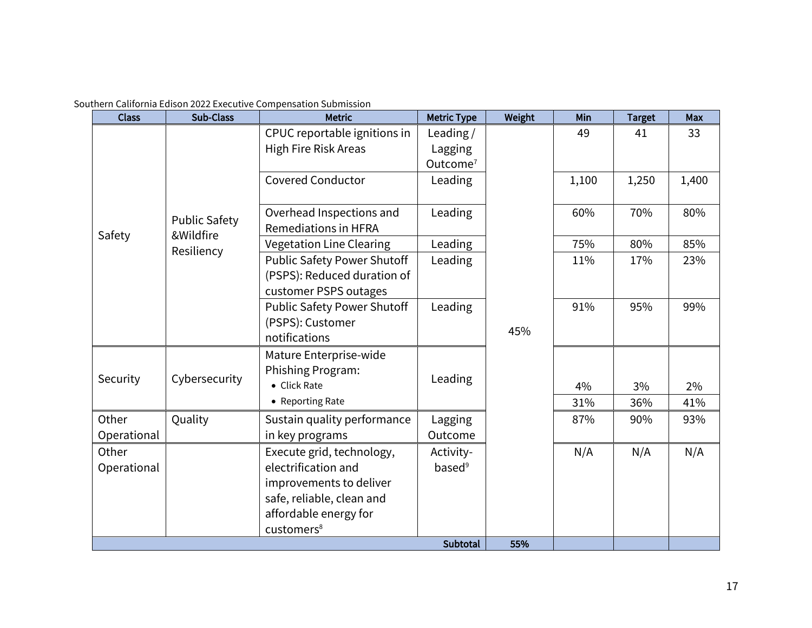| Southern California Edison 2022 Executive Compensation Submission |
|-------------------------------------------------------------------|
|-------------------------------------------------------------------|

| <b>Class</b>         | <b>Sub-Class</b>                  | <b>Metric</b>                                                                              | <b>Metric Type</b>              | Weight     | Min       | <b>Target</b> | Max       |
|----------------------|-----------------------------------|--------------------------------------------------------------------------------------------|---------------------------------|------------|-----------|---------------|-----------|
|                      |                                   | CPUC reportable ignitions in                                                               | Leading/                        |            | 49        | 41            | 33        |
|                      |                                   | High Fire Risk Areas                                                                       | Lagging                         |            |           |               |           |
|                      |                                   |                                                                                            | Outcome <sup>7</sup>            |            |           |               |           |
|                      |                                   | <b>Covered Conductor</b>                                                                   | Leading                         |            | 1,100     | 1,250         | 1,400     |
|                      | <b>Public Safety</b><br>&Wildfire | Overhead Inspections and<br><b>Remediations in HFRA</b>                                    | Leading                         |            | 60%       | 70%           | 80%       |
| Safety               |                                   | <b>Vegetation Line Clearing</b>                                                            | Leading                         |            | 75%       | 80%           | 85%       |
|                      | Resiliency                        | <b>Public Safety Power Shutoff</b><br>(PSPS): Reduced duration of<br>customer PSPS outages | Leading                         | 11%<br>17% |           | 23%           |           |
|                      |                                   | <b>Public Safety Power Shutoff</b><br>(PSPS): Customer<br>notifications                    | Leading                         | 45%        | 91%       | 95%           | 99%       |
| Security             | Cybersecurity                     | Mature Enterprise-wide<br>Phishing Program:<br>• Click Rate<br>• Reporting Rate            | Leading                         |            | 4%<br>31% | 3%<br>36%     | 2%<br>41% |
| Other                | Quality                           | Sustain quality performance                                                                | Lagging                         |            | 87%       | 90%           | 93%       |
| Operational          |                                   | in key programs                                                                            | Outcome                         |            |           |               |           |
| Other<br>Operational |                                   | Execute grid, technology,<br>electrification and                                           | Activity-<br>based <sup>9</sup> |            | N/A       | N/A           | N/A       |
|                      |                                   | improvements to deliver                                                                    |                                 |            |           |               |           |
|                      |                                   | safe, reliable, clean and                                                                  |                                 |            |           |               |           |
|                      |                                   | affordable energy for                                                                      |                                 |            |           |               |           |
|                      |                                   | customers <sup>8</sup>                                                                     |                                 |            |           |               |           |
|                      |                                   |                                                                                            | Subtotal                        | 55%        |           |               |           |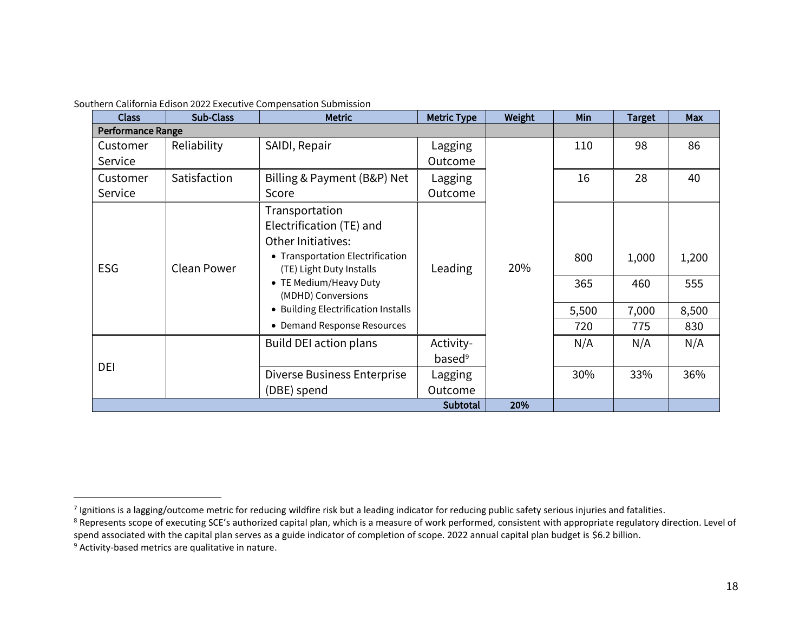| <b>Class</b> | Sub-Class                | <b>Metric</b>                                                                                                                                                                                                                                          | <b>Metric Type</b>              | Weight | Min                        | <b>Target</b>                | Max                          |
|--------------|--------------------------|--------------------------------------------------------------------------------------------------------------------------------------------------------------------------------------------------------------------------------------------------------|---------------------------------|--------|----------------------------|------------------------------|------------------------------|
|              | <b>Performance Range</b> |                                                                                                                                                                                                                                                        |                                 |        |                            |                              |                              |
| Customer     | Reliability              | SAIDI, Repair                                                                                                                                                                                                                                          | Lagging                         |        | 110                        | 98                           | 86                           |
| Service      |                          |                                                                                                                                                                                                                                                        | Outcome                         |        |                            |                              |                              |
| Customer     | Satisfaction             | Billing & Payment (B&P) Net                                                                                                                                                                                                                            | Lagging                         |        | 16                         | 28                           | 40                           |
| Service      |                          | Score                                                                                                                                                                                                                                                  | Outcome                         |        |                            |                              |                              |
| <b>ESG</b>   | <b>Clean Power</b>       | Transportation<br>Electrification (TE) and<br>Other Initiatives:<br>• Transportation Electrification<br>(TE) Light Duty Installs<br>• TE Medium/Heavy Duty<br>(MDHD) Conversions<br>• Building Electrification Installs<br>• Demand Response Resources | Leading                         | 20%    | 800<br>365<br>5,500<br>720 | 1,000<br>460<br>7,000<br>775 | 1,200<br>555<br>8,500<br>830 |
|              |                          | <b>Build DEI action plans</b>                                                                                                                                                                                                                          | Activity-<br>based <sup>9</sup> |        | N/A                        | N/A                          | N/A                          |
| DEI          |                          | Diverse Business Enterprise<br>(DBE) spend                                                                                                                                                                                                             | Lagging<br>Outcome              |        | 30%                        | 33%                          | 36%                          |
|              |                          | Subtotal                                                                                                                                                                                                                                               | 20%                             |        |                            |                              |                              |

 $^7$  Ignitions is a lagging/outcome metric for reducing wildfire risk but a leading indicator for reducing public safety serious injuries and fatalities.

<sup>&</sup>lt;sup>8</sup> Represents scope of executing SCE's authorized capital plan, which is a measure of work performed, consistent with appropriate regulatory direction. Level of spend associated with the capital plan serves as a guide indicator of completion of scope. 2022 annual capital plan budget is \$6.2 billion.

<sup>9</sup> Activity-based metrics are qualitative in nature.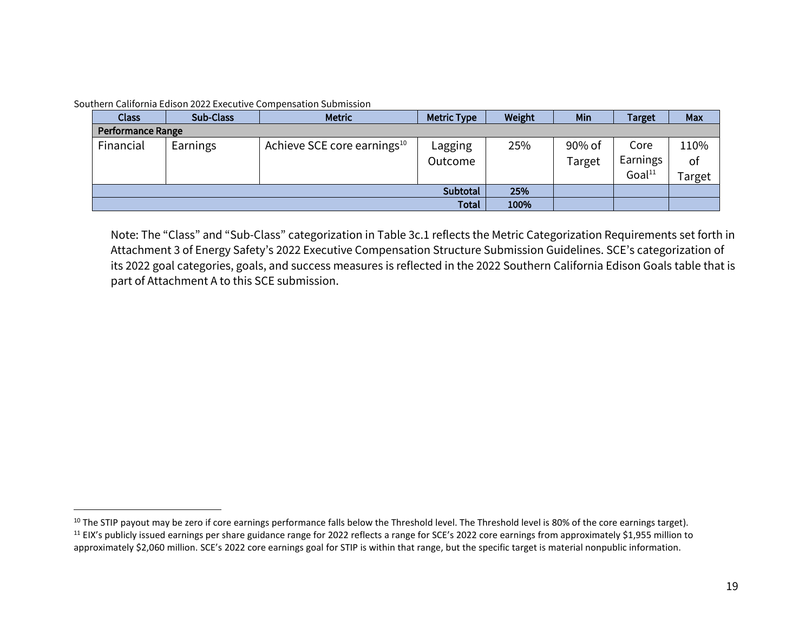| Southern California Edison 2022 Executive Compensation Submission |  |  |
|-------------------------------------------------------------------|--|--|
|                                                                   |  |  |

| <b>Class</b>      | Sub-Class       | <b>Metric</b>                           | <b>Metric Type</b> | Weight | Min    | <b>Target</b>      | Max   |
|-------------------|-----------------|-----------------------------------------|--------------------|--------|--------|--------------------|-------|
| Performance Range |                 |                                         |                    |        |        |                    |       |
| Financial         | <b>Earnings</b> | Achieve SCE core earnings <sup>10</sup> | Lagging            | 25%    | 90% of | Core               | 110%  |
|                   |                 |                                         | Outcome            |        | Target | Earnings           | of    |
|                   |                 |                                         |                    |        |        | Goal <sup>11</sup> | arget |
|                   |                 |                                         | Subtotal           | 25%    |        |                    |       |
|                   |                 |                                         | <b>Total</b>       | 100%   |        |                    |       |

Note: The "Class" and "Sub-Class" categorization in Table 3c.1 reflects the Metric Categorization Requirements set forth in Attachment 3 of Energy Safety's 2022 Executive Compensation Structure Submission Guidelines. SCE's categorization of its 2022 goal categories, goals, and success measures is reflected in the 2022 Southern California Edison Goals table that is part of Attachment A to this SCE submission.

<sup>&</sup>lt;sup>10</sup> The STIP payout may be zero if core earnings performance falls below the Threshold level. The Threshold level is 80% of the core earnings target). <sup>11</sup> EIX's publicly issued earnings per share guidance range for 2022 reflects a range for SCE's 2022 core earnings from approximately \$1,955 million to approximately \$2,060 million. SCE's 2022 core earnings goal for STIP is within that range, but the specific target is material nonpublic information.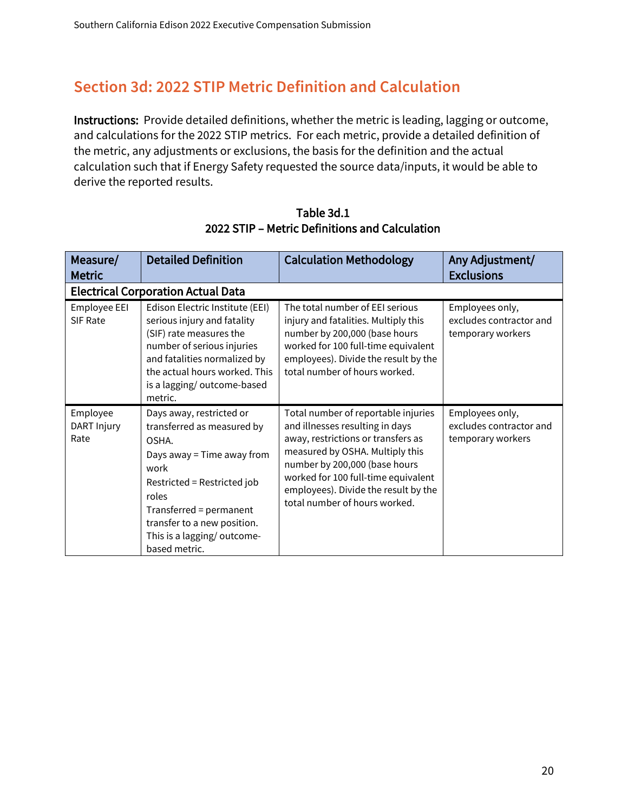# **Section 3d: 2022 STIP Metric Definition and Calculation**

Instructions: Provide detailed definitions, whether the metric is leading, lagging or outcome, and calculations for the 2022 STIP metrics. For each metric, provide a detailed definition of the metric, any adjustments or exclusions, the basis for the definition and the actual calculation such that if Energy Safety requested the source data/inputs, it would be able to derive the reported results.

| Measure/<br><b>Metric</b>       | <b>Detailed Definition</b>                                                                                                                                                                                                                             | <b>Calculation Methodology</b>                                                                                                                                                                                                                                                                   | Any Adjustment/<br><b>Exclusions</b>                            |
|---------------------------------|--------------------------------------------------------------------------------------------------------------------------------------------------------------------------------------------------------------------------------------------------------|--------------------------------------------------------------------------------------------------------------------------------------------------------------------------------------------------------------------------------------------------------------------------------------------------|-----------------------------------------------------------------|
|                                 | <b>Electrical Corporation Actual Data</b>                                                                                                                                                                                                              |                                                                                                                                                                                                                                                                                                  |                                                                 |
| Employee EEI<br>SIF Rate        | Edison Electric Institute (EEI)<br>serious injury and fatality<br>(SIF) rate measures the<br>number of serious injuries<br>and fatalities normalized by<br>the actual hours worked. This<br>is a lagging/outcome-based<br>metric.                      | The total number of EEI serious<br>injury and fatalities. Multiply this<br>number by 200,000 (base hours<br>worked for 100 full-time equivalent<br>employees). Divide the result by the<br>total number of hours worked.                                                                         | Employees only,<br>excludes contractor and<br>temporary workers |
| Employee<br>DART Injury<br>Rate | Days away, restricted or<br>transferred as measured by<br>OSHA.<br>Days away = Time away from<br>work<br>Restricted = Restricted job<br>roles<br>Transferred = permanent<br>transfer to a new position.<br>This is a lagging/outcome-<br>based metric. | Total number of reportable injuries<br>and illnesses resulting in days<br>away, restrictions or transfers as<br>measured by OSHA. Multiply this<br>number by 200,000 (base hours<br>worked for 100 full-time equivalent<br>employees). Divide the result by the<br>total number of hours worked. | Employees only,<br>excludes contractor and<br>temporary workers |

Table 3d.1 2022 STIP – Metric Definitions and Calculation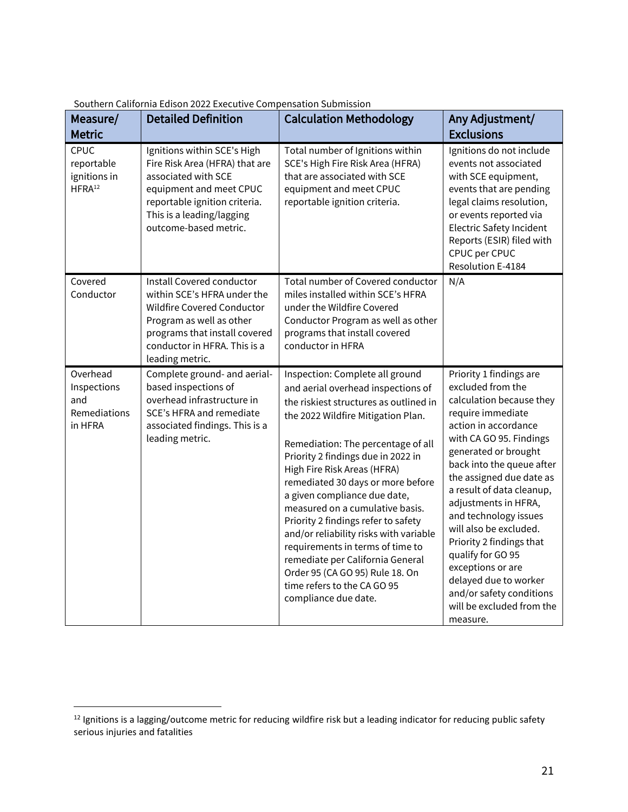| Measure/<br><b>Metric</b>                                 | <b>Detailed Definition</b>                                                                                                                                                                             | <b>Calculation Methodology</b>                                                                                                                                                                                                                                                                                                                                                                                                                                                                                                                                                                                              | Any Adjustment/<br><b>Exclusions</b>                                                                                                                                                                                                                                                                                                                                                                                                                                                                          |
|-----------------------------------------------------------|--------------------------------------------------------------------------------------------------------------------------------------------------------------------------------------------------------|-----------------------------------------------------------------------------------------------------------------------------------------------------------------------------------------------------------------------------------------------------------------------------------------------------------------------------------------------------------------------------------------------------------------------------------------------------------------------------------------------------------------------------------------------------------------------------------------------------------------------------|---------------------------------------------------------------------------------------------------------------------------------------------------------------------------------------------------------------------------------------------------------------------------------------------------------------------------------------------------------------------------------------------------------------------------------------------------------------------------------------------------------------|
| CPUC<br>reportable<br>ignitions in<br>HFRA <sup>12</sup>  | Ignitions within SCE's High<br>Fire Risk Area (HFRA) that are<br>associated with SCE<br>equipment and meet CPUC<br>reportable ignition criteria.<br>This is a leading/lagging<br>outcome-based metric. | Total number of Ignitions within<br>SCE's High Fire Risk Area (HFRA)<br>that are associated with SCE<br>equipment and meet CPUC<br>reportable ignition criteria.                                                                                                                                                                                                                                                                                                                                                                                                                                                            | Ignitions do not include<br>events not associated<br>with SCE equipment,<br>events that are pending<br>legal claims resolution,<br>or events reported via<br><b>Electric Safety Incident</b><br>Reports (ESIR) filed with<br>CPUC per CPUC<br>Resolution E-4184                                                                                                                                                                                                                                               |
| Covered<br>Conductor                                      | Install Covered conductor<br>within SCE's HFRA under the<br>Wildfire Covered Conductor<br>Program as well as other<br>programs that install covered<br>conductor in HFRA. This is a<br>leading metric. | Total number of Covered conductor<br>miles installed within SCE's HFRA<br>under the Wildfire Covered<br>Conductor Program as well as other<br>programs that install covered<br>conductor in HFRA                                                                                                                                                                                                                                                                                                                                                                                                                            | N/A                                                                                                                                                                                                                                                                                                                                                                                                                                                                                                           |
| Overhead<br>Inspections<br>and<br>Remediations<br>in HFRA | Complete ground- and aerial-<br>based inspections of<br>overhead infrastructure in<br>SCE's HFRA and remediate<br>associated findings. This is a<br>leading metric.                                    | Inspection: Complete all ground<br>and aerial overhead inspections of<br>the riskiest structures as outlined in<br>the 2022 Wildfire Mitigation Plan.<br>Remediation: The percentage of all<br>Priority 2 findings due in 2022 in<br>High Fire Risk Areas (HFRA)<br>remediated 30 days or more before<br>a given compliance due date,<br>measured on a cumulative basis.<br>Priority 2 findings refer to safety<br>and/or reliability risks with variable<br>requirements in terms of time to<br>remediate per California General<br>Order 95 (CA GO 95) Rule 18. On<br>time refers to the CA GO 95<br>compliance due date. | Priority 1 findings are<br>excluded from the<br>calculation because they<br>require immediate<br>action in accordance<br>with CA GO 95. Findings<br>generated or brought<br>back into the queue after<br>the assigned due date as<br>a result of data cleanup,<br>adjustments in HFRA,<br>and technology issues<br>will also be excluded.<br>Priority 2 findings that<br>qualify for GO 95<br>exceptions or are<br>delayed due to worker<br>and/or safety conditions<br>will be excluded from the<br>measure. |

<sup>&</sup>lt;sup>12</sup> Ignitions is a lagging/outcome metric for reducing wildfire risk but a leading indicator for reducing public safety serious injuries and fatalities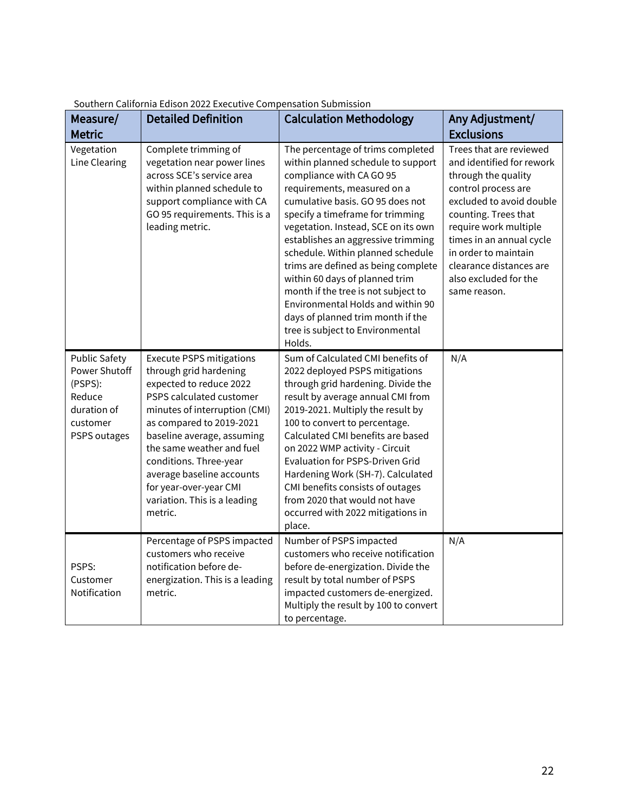| Measure/                                                                                              | <b>Detailed Definition</b>                                                                                                                                                                                                                                                                                                                                           | <b>Calculation Methodology</b>                                                                                                                                                                                                                                                                                                                                                                                                                                                                                                                                       | Any Adjustment/                                                                                                                                                                                                                                                                                         |
|-------------------------------------------------------------------------------------------------------|----------------------------------------------------------------------------------------------------------------------------------------------------------------------------------------------------------------------------------------------------------------------------------------------------------------------------------------------------------------------|----------------------------------------------------------------------------------------------------------------------------------------------------------------------------------------------------------------------------------------------------------------------------------------------------------------------------------------------------------------------------------------------------------------------------------------------------------------------------------------------------------------------------------------------------------------------|---------------------------------------------------------------------------------------------------------------------------------------------------------------------------------------------------------------------------------------------------------------------------------------------------------|
| <b>Metric</b>                                                                                         |                                                                                                                                                                                                                                                                                                                                                                      |                                                                                                                                                                                                                                                                                                                                                                                                                                                                                                                                                                      | <b>Exclusions</b>                                                                                                                                                                                                                                                                                       |
| Vegetation<br>Line Clearing                                                                           | Complete trimming of<br>vegetation near power lines<br>across SCE's service area<br>within planned schedule to<br>support compliance with CA<br>GO 95 requirements. This is a<br>leading metric.                                                                                                                                                                     | The percentage of trims completed<br>within planned schedule to support<br>compliance with CA GO 95<br>requirements, measured on a<br>cumulative basis. GO 95 does not<br>specify a timeframe for trimming<br>vegetation. Instead, SCE on its own<br>establishes an aggressive trimming<br>schedule. Within planned schedule<br>trims are defined as being complete<br>within 60 days of planned trim<br>month if the tree is not subject to<br>Environmental Holds and within 90<br>days of planned trim month if the<br>tree is subject to Environmental<br>Holds. | Trees that are reviewed<br>and identified for rework<br>through the quality<br>control process are<br>excluded to avoid double<br>counting. Trees that<br>require work multiple<br>times in an annual cycle<br>in order to maintain<br>clearance distances are<br>also excluded for the<br>same reason. |
| <b>Public Safety</b><br>Power Shutoff<br>(PSPS):<br>Reduce<br>duration of<br>customer<br>PSPS outages | <b>Execute PSPS mitigations</b><br>through grid hardening<br>expected to reduce 2022<br>PSPS calculated customer<br>minutes of interruption (CMI)<br>as compared to 2019-2021<br>baseline average, assuming<br>the same weather and fuel<br>conditions. Three-year<br>average baseline accounts<br>for year-over-year CMI<br>variation. This is a leading<br>metric. | Sum of Calculated CMI benefits of<br>2022 deployed PSPS mitigations<br>through grid hardening. Divide the<br>result by average annual CMI from<br>2019-2021. Multiply the result by<br>100 to convert to percentage.<br>Calculated CMI benefits are based<br>on 2022 WMP activity - Circuit<br>Evaluation for PSPS-Driven Grid<br>Hardening Work (SH-7). Calculated<br>CMI benefits consists of outages<br>from 2020 that would not have<br>occurred with 2022 mitigations in<br>place.                                                                              | N/A                                                                                                                                                                                                                                                                                                     |
| PSPS:<br>Customer<br>Notification                                                                     | Percentage of PSPS impacted<br>customers who receive<br>notification before de-<br>energization. This is a leading<br>metric.                                                                                                                                                                                                                                        | Number of PSPS impacted<br>customers who receive notification<br>before de-energization. Divide the<br>result by total number of PSPS<br>impacted customers de-energized.<br>Multiply the result by 100 to convert<br>to percentage.                                                                                                                                                                                                                                                                                                                                 | N/A                                                                                                                                                                                                                                                                                                     |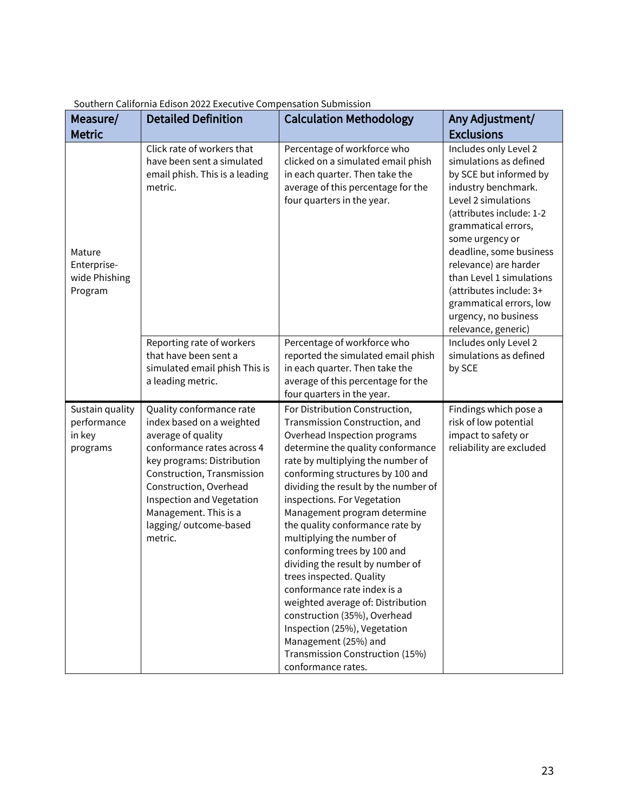| Measure/                                             | <b>Detailed Definition</b>                                                                                                                                                                                                                                                                | <b>Calculation Methodology</b>                                                                                                                                                                                                                                                                                                                                                                                                                                                                                                                                                                                                                                                                            | Any Adjustment/                                                                                                                                                                                                                                                                                                                                                                    |
|------------------------------------------------------|-------------------------------------------------------------------------------------------------------------------------------------------------------------------------------------------------------------------------------------------------------------------------------------------|-----------------------------------------------------------------------------------------------------------------------------------------------------------------------------------------------------------------------------------------------------------------------------------------------------------------------------------------------------------------------------------------------------------------------------------------------------------------------------------------------------------------------------------------------------------------------------------------------------------------------------------------------------------------------------------------------------------|------------------------------------------------------------------------------------------------------------------------------------------------------------------------------------------------------------------------------------------------------------------------------------------------------------------------------------------------------------------------------------|
| <b>Metric</b>                                        |                                                                                                                                                                                                                                                                                           |                                                                                                                                                                                                                                                                                                                                                                                                                                                                                                                                                                                                                                                                                                           | <b>Exclusions</b>                                                                                                                                                                                                                                                                                                                                                                  |
| Mature<br>Enterprise-<br>wide Phishing<br>Program    | Click rate of workers that<br>have been sent a simulated<br>email phish. This is a leading<br>metric.                                                                                                                                                                                     | Percentage of workforce who<br>clicked on a simulated email phish<br>in each quarter. Then take the<br>average of this percentage for the<br>four quarters in the year.                                                                                                                                                                                                                                                                                                                                                                                                                                                                                                                                   | Includes only Level 2<br>simulations as defined<br>by SCE but informed by<br>industry benchmark.<br>Level 2 simulations<br>(attributes include: 1-2<br>grammatical errors,<br>some urgency or<br>deadline, some business<br>relevance) are harder<br>than Level 1 simulations<br>(attributes include: 3+<br>grammatical errors, low<br>urgency, no business<br>relevance, generic) |
|                                                      | Reporting rate of workers<br>that have been sent a<br>simulated email phish This is<br>a leading metric.                                                                                                                                                                                  | Percentage of workforce who<br>reported the simulated email phish<br>in each quarter. Then take the<br>average of this percentage for the<br>four quarters in the year.                                                                                                                                                                                                                                                                                                                                                                                                                                                                                                                                   | Includes only Level 2<br>simulations as defined<br>by SCE                                                                                                                                                                                                                                                                                                                          |
| Sustain quality<br>performance<br>in key<br>programs | Quality conformance rate<br>index based on a weighted<br>average of quality<br>conformance rates across 4<br>key programs: Distribution<br>Construction, Transmission<br>Construction, Overhead<br>Inspection and Vegetation<br>Management. This is a<br>lagging/outcome-based<br>metric. | For Distribution Construction,<br>Transmission Construction, and<br>Overhead Inspection programs<br>determine the quality conformance<br>rate by multiplying the number of<br>conforming structures by 100 and<br>dividing the result by the number of<br>inspections. For Vegetation<br>Management program determine<br>the quality conformance rate by<br>multiplying the number of<br>conforming trees by 100 and<br>dividing the result by number of<br>trees inspected. Quality<br>conformance rate index is a<br>weighted average of: Distribution<br>construction (35%), Overhead<br>Inspection (25%), Vegetation<br>Management (25%) and<br>Transmission Construction (15%)<br>conformance rates. | Findings which pose a<br>risk of low potential<br>impact to safety or<br>reliability are excluded                                                                                                                                                                                                                                                                                  |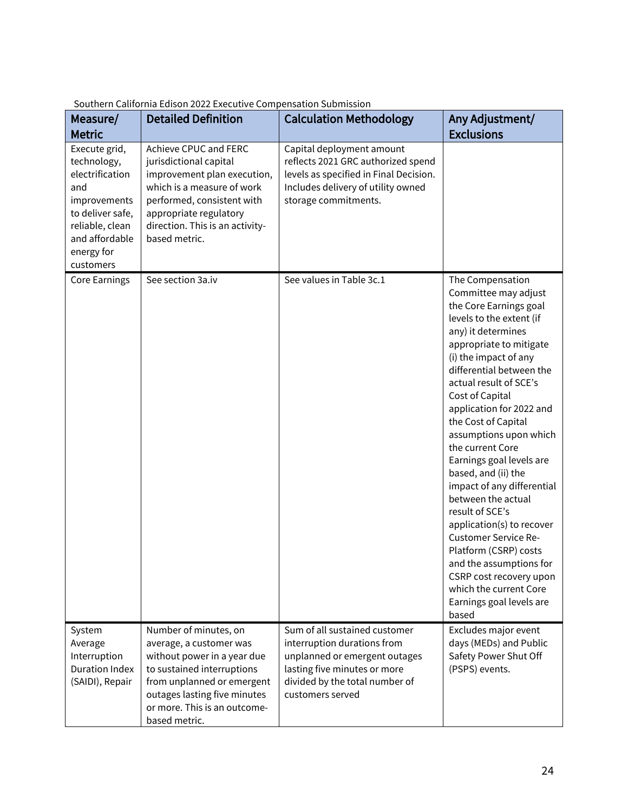| Measure/<br><b>Metric</b>                                                                                                                                  | <b>Detailed Definition</b>                                                                                                                                                                                                   | <b>Calculation Methodology</b>                                                                                                                                                      | Any Adjustment/<br><b>Exclusions</b>                                                                                                                                                                                                                                                                                                                                                                                                                                                                                                                                                                                                                                                   |
|------------------------------------------------------------------------------------------------------------------------------------------------------------|------------------------------------------------------------------------------------------------------------------------------------------------------------------------------------------------------------------------------|-------------------------------------------------------------------------------------------------------------------------------------------------------------------------------------|----------------------------------------------------------------------------------------------------------------------------------------------------------------------------------------------------------------------------------------------------------------------------------------------------------------------------------------------------------------------------------------------------------------------------------------------------------------------------------------------------------------------------------------------------------------------------------------------------------------------------------------------------------------------------------------|
| Execute grid,<br>technology,<br>electrification<br>and<br>improvements<br>to deliver safe,<br>reliable, clean<br>and affordable<br>energy for<br>customers | Achieve CPUC and FERC<br>jurisdictional capital<br>improvement plan execution,<br>which is a measure of work<br>performed, consistent with<br>appropriate regulatory<br>direction. This is an activity-<br>based metric.     | Capital deployment amount<br>reflects 2021 GRC authorized spend<br>levels as specified in Final Decision.<br>Includes delivery of utility owned<br>storage commitments.             |                                                                                                                                                                                                                                                                                                                                                                                                                                                                                                                                                                                                                                                                                        |
| <b>Core Earnings</b>                                                                                                                                       | See section 3a.iv                                                                                                                                                                                                            | See values in Table 3c.1                                                                                                                                                            | The Compensation<br>Committee may adjust<br>the Core Earnings goal<br>levels to the extent (if<br>any) it determines<br>appropriate to mitigate<br>(i) the impact of any<br>differential between the<br>actual result of SCE's<br>Cost of Capital<br>application for 2022 and<br>the Cost of Capital<br>assumptions upon which<br>the current Core<br>Earnings goal levels are<br>based, and (ii) the<br>impact of any differential<br>between the actual<br>result of SCE's<br>application(s) to recover<br><b>Customer Service Re-</b><br>Platform (CSRP) costs<br>and the assumptions for<br>CSRP cost recovery upon<br>which the current Core<br>Earnings goal levels are<br>based |
| System<br>Average<br>Interruption<br><b>Duration Index</b><br>(SAIDI), Repair                                                                              | Number of minutes, on<br>average, a customer was<br>without power in a year due<br>to sustained interruptions<br>from unplanned or emergent<br>outages lasting five minutes<br>or more. This is an outcome-<br>based metric. | Sum of all sustained customer<br>interruption durations from<br>unplanned or emergent outages<br>lasting five minutes or more<br>divided by the total number of<br>customers served | Excludes major event<br>days (MEDs) and Public<br>Safety Power Shut Off<br>(PSPS) events.                                                                                                                                                                                                                                                                                                                                                                                                                                                                                                                                                                                              |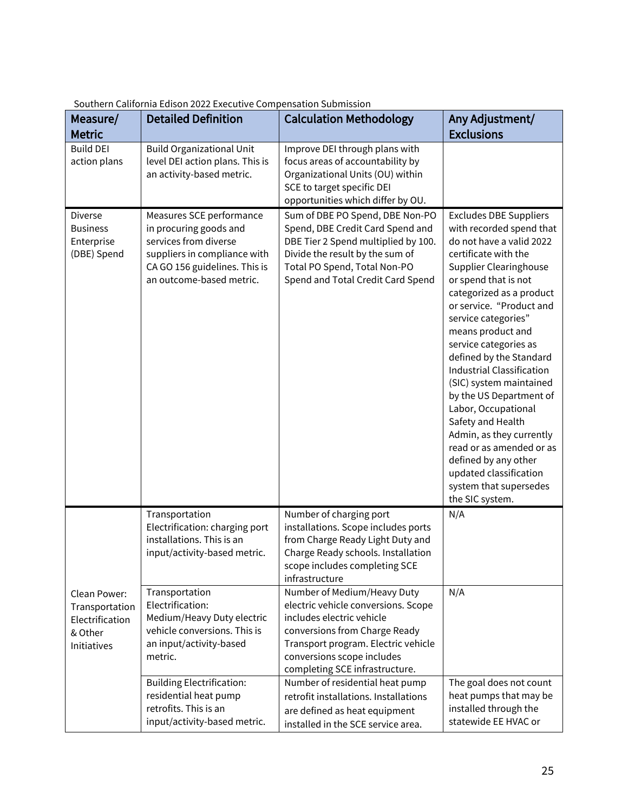| Measure/<br><b>Metric</b>                                                   | <b>Detailed Definition</b>                                                                                                                                               | <b>Calculation Methodology</b>                                                                                                                                                                                                          | Any Adjustment/<br><b>Exclusions</b>                                                                                                                                                                                                                                                                                                                                                                                                                                                                                                                                                                                        |
|-----------------------------------------------------------------------------|--------------------------------------------------------------------------------------------------------------------------------------------------------------------------|-----------------------------------------------------------------------------------------------------------------------------------------------------------------------------------------------------------------------------------------|-----------------------------------------------------------------------------------------------------------------------------------------------------------------------------------------------------------------------------------------------------------------------------------------------------------------------------------------------------------------------------------------------------------------------------------------------------------------------------------------------------------------------------------------------------------------------------------------------------------------------------|
| <b>Build DEI</b><br>action plans                                            | <b>Build Organizational Unit</b><br>level DEI action plans. This is<br>an activity-based metric.                                                                         | Improve DEI through plans with<br>focus areas of accountability by<br>Organizational Units (OU) within<br>SCE to target specific DEI<br>opportunities which differ by OU.                                                               |                                                                                                                                                                                                                                                                                                                                                                                                                                                                                                                                                                                                                             |
| Diverse<br><b>Business</b><br>Enterprise<br>(DBE) Spend                     | Measures SCE performance<br>in procuring goods and<br>services from diverse<br>suppliers in compliance with<br>CA GO 156 guidelines. This is<br>an outcome-based metric. | Sum of DBE PO Spend, DBE Non-PO<br>Spend, DBE Credit Card Spend and<br>DBE Tier 2 Spend multiplied by 100.<br>Divide the result by the sum of<br>Total PO Spend, Total Non-PO<br>Spend and Total Credit Card Spend                      | <b>Excludes DBE Suppliers</b><br>with recorded spend that<br>do not have a valid 2022<br>certificate with the<br><b>Supplier Clearinghouse</b><br>or spend that is not<br>categorized as a product<br>or service. "Product and<br>service categories"<br>means product and<br>service categories as<br>defined by the Standard<br><b>Industrial Classification</b><br>(SIC) system maintained<br>by the US Department of<br>Labor, Occupational<br>Safety and Health<br>Admin, as they currently<br>read or as amended or as<br>defined by any other<br>updated classification<br>system that supersedes<br>the SIC system. |
|                                                                             | Transportation<br>Electrification: charging port<br>installations. This is an<br>input/activity-based metric.                                                            | Number of charging port<br>installations. Scope includes ports<br>from Charge Ready Light Duty and<br>Charge Ready schools. Installation<br>scope includes completing SCE<br>infrastructure                                             | N/A                                                                                                                                                                                                                                                                                                                                                                                                                                                                                                                                                                                                                         |
| Clean Power:<br>Transportation<br>Electrification<br>& Other<br>Initiatives | Transportation<br>Electrification:<br>Medium/Heavy Duty electric<br>vehicle conversions. This is<br>an input/activity-based<br>metric.                                   | Number of Medium/Heavy Duty<br>electric vehicle conversions. Scope<br>includes electric vehicle<br>conversions from Charge Ready<br>Transport program. Electric vehicle<br>conversions scope includes<br>completing SCE infrastructure. | N/A                                                                                                                                                                                                                                                                                                                                                                                                                                                                                                                                                                                                                         |
|                                                                             | <b>Building Electrification:</b><br>residential heat pump<br>retrofits. This is an<br>input/activity-based metric.                                                       | Number of residential heat pump<br>retrofit installations. Installations<br>are defined as heat equipment<br>installed in the SCE service area.                                                                                         | The goal does not count<br>heat pumps that may be<br>installed through the<br>statewide EE HVAC or                                                                                                                                                                                                                                                                                                                                                                                                                                                                                                                          |

Southern California Edison 2022 Executive Compensation Submission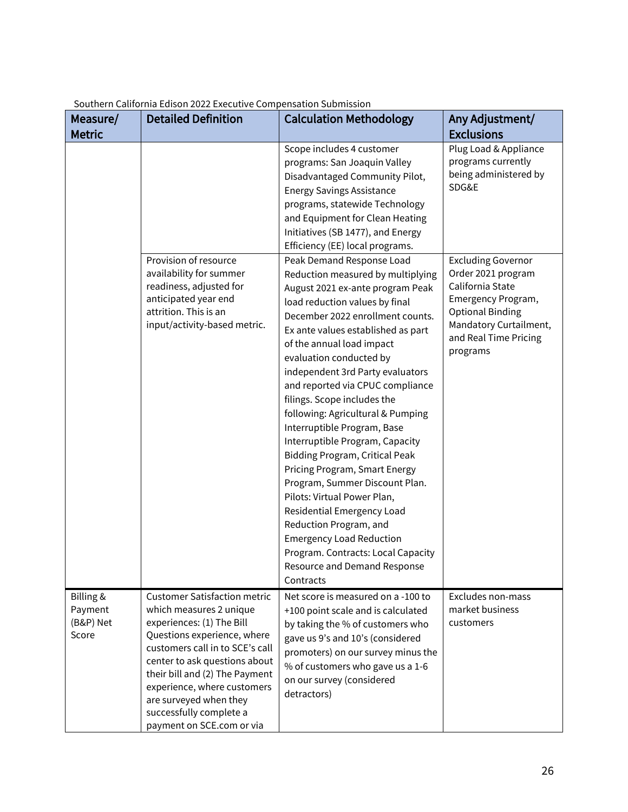| Measure/<br><b>Metric</b>                  | <b>Detailed Definition</b>                                                                                                                                                                                                                                                                                                                        | <b>Calculation Methodology</b>                                                                                                                                                                                                                                                                                                                                                                                                                                                                                                                                                                                                                                                                                                                                                                                | Any Adjustment/<br><b>Exclusions</b>                                                                                                                                                |
|--------------------------------------------|---------------------------------------------------------------------------------------------------------------------------------------------------------------------------------------------------------------------------------------------------------------------------------------------------------------------------------------------------|---------------------------------------------------------------------------------------------------------------------------------------------------------------------------------------------------------------------------------------------------------------------------------------------------------------------------------------------------------------------------------------------------------------------------------------------------------------------------------------------------------------------------------------------------------------------------------------------------------------------------------------------------------------------------------------------------------------------------------------------------------------------------------------------------------------|-------------------------------------------------------------------------------------------------------------------------------------------------------------------------------------|
|                                            |                                                                                                                                                                                                                                                                                                                                                   | Scope includes 4 customer<br>programs: San Joaquin Valley<br>Disadvantaged Community Pilot,<br><b>Energy Savings Assistance</b><br>programs, statewide Technology<br>and Equipment for Clean Heating<br>Initiatives (SB 1477), and Energy<br>Efficiency (EE) local programs.                                                                                                                                                                                                                                                                                                                                                                                                                                                                                                                                  | Plug Load & Appliance<br>programs currently<br>being administered by<br>SDG&E                                                                                                       |
|                                            | Provision of resource<br>availability for summer<br>readiness, adjusted for<br>anticipated year end<br>attrition. This is an<br>input/activity-based metric.                                                                                                                                                                                      | Peak Demand Response Load<br>Reduction measured by multiplying<br>August 2021 ex-ante program Peak<br>load reduction values by final<br>December 2022 enrollment counts.<br>Ex ante values established as part<br>of the annual load impact<br>evaluation conducted by<br>independent 3rd Party evaluators<br>and reported via CPUC compliance<br>filings. Scope includes the<br>following: Agricultural & Pumping<br>Interruptible Program, Base<br>Interruptible Program, Capacity<br><b>Bidding Program, Critical Peak</b><br>Pricing Program, Smart Energy<br>Program, Summer Discount Plan.<br>Pilots: Virtual Power Plan,<br>Residential Emergency Load<br>Reduction Program, and<br><b>Emergency Load Reduction</b><br>Program. Contracts: Local Capacity<br>Resource and Demand Response<br>Contracts | <b>Excluding Governor</b><br>Order 2021 program<br>California State<br>Emergency Program,<br><b>Optional Binding</b><br>Mandatory Curtailment,<br>and Real Time Pricing<br>programs |
| Billing &<br>Payment<br>(B&P) Net<br>Score | <b>Customer Satisfaction metric</b><br>which measures 2 unique<br>experiences: (1) The Bill<br>Questions experience, where<br>customers call in to SCE's call<br>center to ask questions about<br>their bill and (2) The Payment<br>experience, where customers<br>are surveyed when they<br>successfully complete a<br>payment on SCE.com or via | Net score is measured on a -100 to<br>+100 point scale and is calculated<br>by taking the % of customers who<br>gave us 9's and 10's (considered<br>promoters) on our survey minus the<br>% of customers who gave us a 1-6<br>on our survey (considered<br>detractors)                                                                                                                                                                                                                                                                                                                                                                                                                                                                                                                                        | Excludes non-mass<br>market business<br>customers                                                                                                                                   |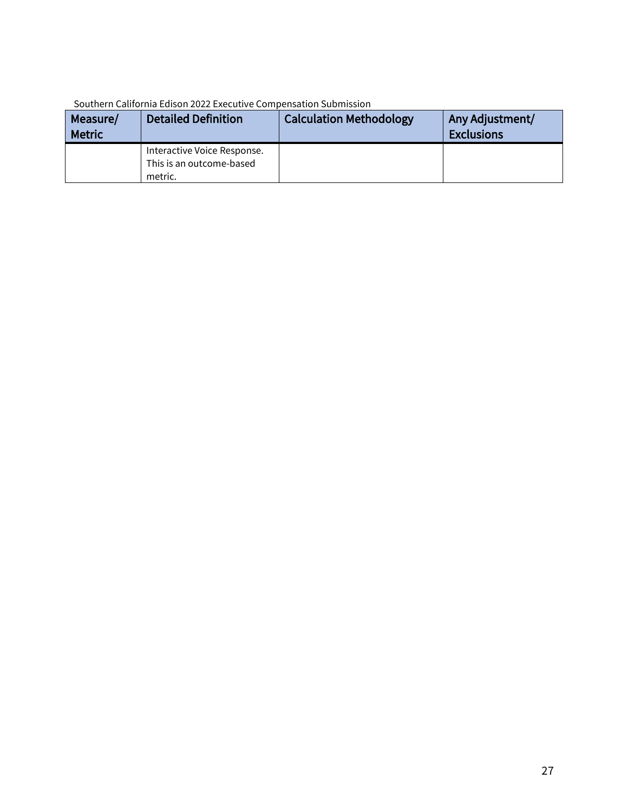| Measure/<br><b>Metric</b> | <b>Detailed Definition</b>                                         | <b>Calculation Methodology</b> | Any Adjustment/<br><b>Exclusions</b> |
|---------------------------|--------------------------------------------------------------------|--------------------------------|--------------------------------------|
|                           | Interactive Voice Response.<br>This is an outcome-based<br>metric. |                                |                                      |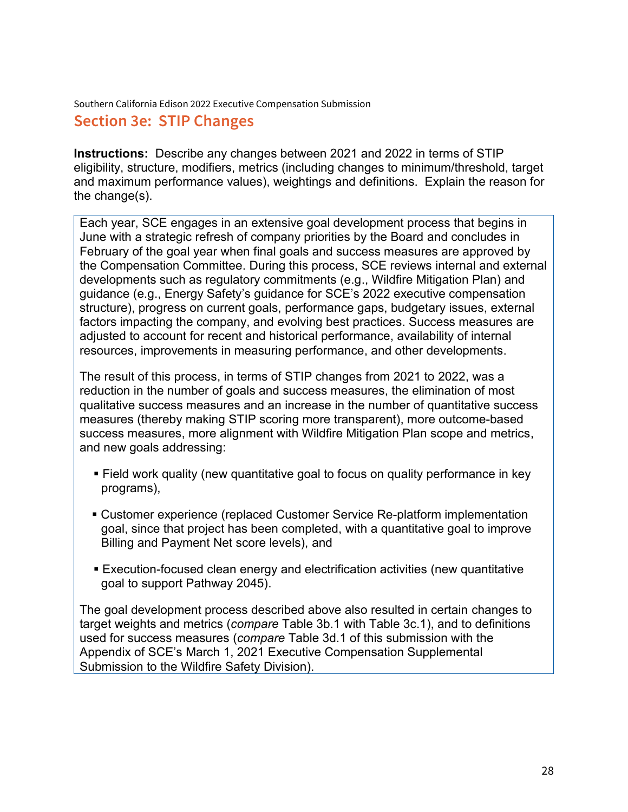# **Section 3e: STIP Changes**

**Instructions:** Describe any changes between 2021 and 2022 in terms of STIP eligibility, structure, modifiers, metrics (including changes to minimum/threshold, target and maximum performance values), weightings and definitions. Explain the reason for the change(s).

Each year, SCE engages in an extensive goal development process that begins in June with a strategic refresh of company priorities by the Board and concludes in February of the goal year when final goals and success measures are approved by the Compensation Committee. During this process, SCE reviews internal and external developments such as regulatory commitments (e.g., Wildfire Mitigation Plan) and guidance (e.g., Energy Safety's guidance for SCE's 2022 executive compensation structure), progress on current goals, performance gaps, budgetary issues, external factors impacting the company, and evolving best practices. Success measures are adjusted to account for recent and historical performance, availability of internal resources, improvements in measuring performance, and other developments.

The result of this process, in terms of STIP changes from 2021 to 2022, was a reduction in the number of goals and success measures, the elimination of most qualitative success measures and an increase in the number of quantitative success measures (thereby making STIP scoring more transparent), more outcome-based success measures, more alignment with Wildfire Mitigation Plan scope and metrics, and new goals addressing:

- Field work quality (new quantitative goal to focus on quality performance in key programs),
- **EXECUSTER:** Customer experience (replaced Customer Service Re-platform implementation goal, since that project has been completed, with a quantitative goal to improve Billing and Payment Net score levels), and
- **Execution-focused clean energy and electrification activities (new quantitative** goal to support Pathway 2045).

The goal development process described above also resulted in certain changes to target weights and metrics (*compare* Table 3b.1 with Table 3c.1), and to definitions used for success measures (*compare* Table 3d.1 of this submission with the Appendix of SCE's March 1, 2021 Executive Compensation Supplemental Submission to the Wildfire Safety Division).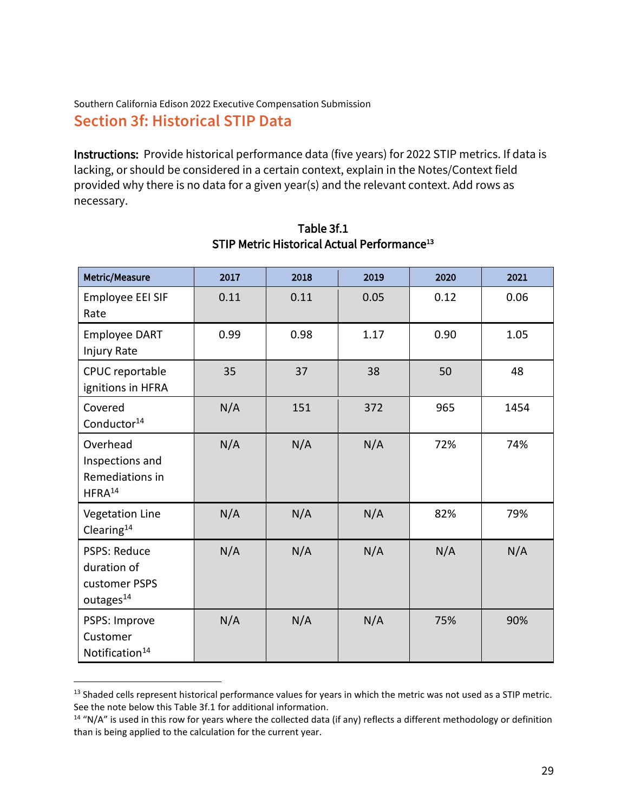# Southern California Edison 2022 Executive Compensation Submission **Section 3f: Historical STIP Data**

Instructions: Provide historical performance data (five years) for 2022 STIP metrics. If data is lacking, or should be considered in a certain context, explain in the Notes/Context field provided why there is no data for a given year(s) and the relevant context. Add rows as necessary.

| Metric/Measure                                                               | 2017 | 2018 | 2019 | 2020 | 2021 |
|------------------------------------------------------------------------------|------|------|------|------|------|
| Employee EEI SIF<br>Rate                                                     | 0.11 | 0.11 | 0.05 | 0.12 | 0.06 |
| <b>Employee DART</b><br>Injury Rate                                          | 0.99 | 0.98 | 1.17 | 0.90 | 1.05 |
| CPUC reportable<br>ignitions in HFRA                                         | 35   | 37   | 38   | 50   | 48   |
| Covered<br>Conductor <sup>14</sup>                                           | N/A  | 151  | 372  | 965  | 1454 |
| Overhead<br>Inspections and<br>Remediations in<br>HFRA <sup>14</sup>         | N/A  | N/A  | N/A  | 72%  | 74%  |
| <b>Vegetation Line</b><br>Clearing <sup>14</sup>                             | N/A  | N/A  | N/A  | 82%  | 79%  |
| <b>PSPS: Reduce</b><br>duration of<br>customer PSPS<br>outages <sup>14</sup> | N/A  | N/A  | N/A  | N/A  | N/A  |
| PSPS: Improve<br>Customer<br>Notification <sup>14</sup>                      | N/A  | N/A  | N/A  | 75%  | 90%  |

#### Table 3f.1 STIP Metric Historical Actual Performance<sup>13</sup>

<sup>&</sup>lt;sup>13</sup> Shaded cells represent historical performance values for years in which the metric was not used as a STIP metric. See the note below this Table 3f.1 for additional information.

 $14$  "N/A" is used in this row for years where the collected data (if any) reflects a different methodology or definition than is being applied to the calculation for the current year.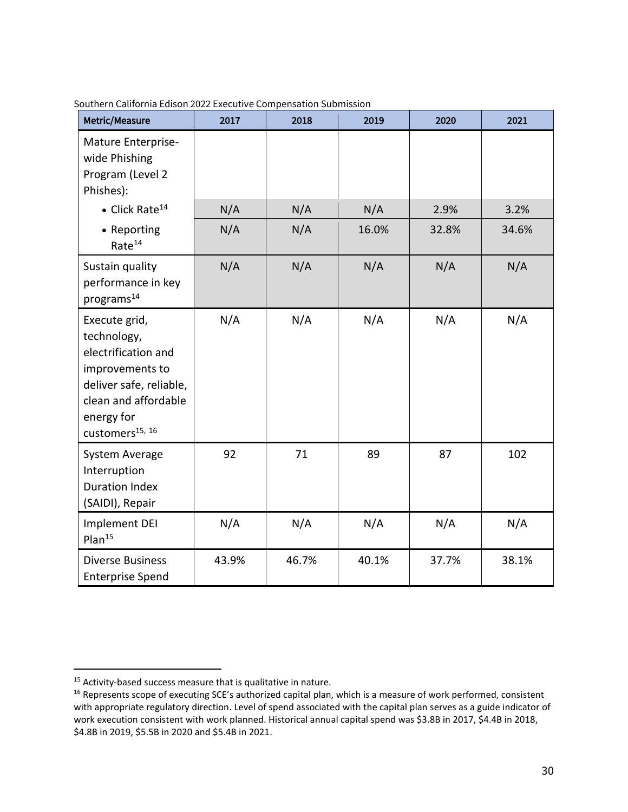| Metric/Measure                                                                                                                                                         | 2017  | 2018  | 2019  | 2020  | 2021  |
|------------------------------------------------------------------------------------------------------------------------------------------------------------------------|-------|-------|-------|-------|-------|
| Mature Enterprise-<br>wide Phishing<br>Program (Level 2<br>Phishes):                                                                                                   |       |       |       |       |       |
| $\bullet$ Click Rate <sup>14</sup>                                                                                                                                     | N/A   | N/A   | N/A   | 2.9%  | 3.2%  |
| • Reporting<br>Rate <sup>14</sup>                                                                                                                                      | N/A   | N/A   | 16.0% | 32.8% | 34.6% |
| Sustain quality<br>performance in key<br>programs <sup>14</sup>                                                                                                        | N/A   | N/A   | N/A   | N/A   | N/A   |
| Execute grid,<br>technology,<br>electrification and<br>improvements to<br>deliver safe, reliable,<br>clean and affordable<br>energy for<br>customers <sup>15, 16</sup> | N/A   | N/A   | N/A   | N/A   | N/A   |
| System Average<br>Interruption<br><b>Duration Index</b><br>(SAIDI), Repair                                                                                             | 92    | 71    | 89    | 87    | 102   |
| Implement DEI<br>Plan <sup>15</sup>                                                                                                                                    | N/A   | N/A   | N/A   | N/A   | N/A   |
| <b>Diverse Business</b><br><b>Enterprise Spend</b>                                                                                                                     | 43.9% | 46.7% | 40.1% | 37.7% | 38.1% |

<sup>&</sup>lt;sup>15</sup> Activity-based success measure that is qualitative in nature.

<sup>&</sup>lt;sup>16</sup> Represents scope of executing SCE's authorized capital plan, which is a measure of work performed, consistent with appropriate regulatory direction. Level of spend associated with the capital plan serves as a guide indicator of work execution consistent with work planned. Historical annual capital spend was \$3.8B in 2017, \$4.4B in 2018, \$4.8B in 2019, \$5.5B in 2020 and \$5.4B in 2021.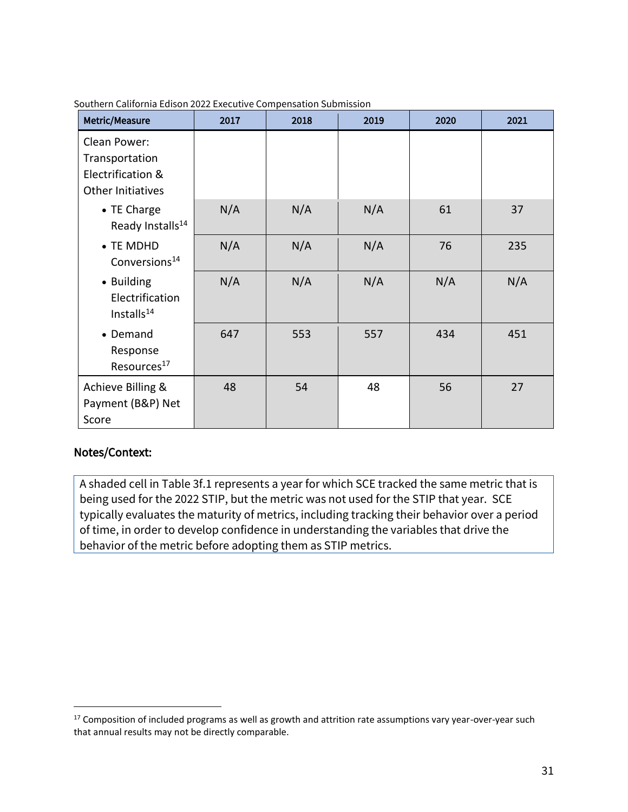| Metric/Measure                                                           | 2017 | 2018 | 2019 | 2020 | 2021 |
|--------------------------------------------------------------------------|------|------|------|------|------|
| Clean Power:<br>Transportation<br>Electrification &<br>Other Initiatives |      |      |      |      |      |
| • TE Charge<br>Ready Installs <sup>14</sup>                              | N/A  | N/A  | N/A  | 61   | 37   |
| • TE MDHD<br>Conversions <sup>14</sup>                                   | N/A  | N/A  | N/A  | 76   | 235  |
| • Building<br>Electrification<br>Installs <sup>14</sup>                  | N/A  | N/A  | N/A  | N/A  | N/A  |
| • Demand<br>Response<br>Resources <sup>17</sup>                          | 647  | 553  | 557  | 434  | 451  |
| Achieve Billing &<br>Payment (B&P) Net<br>Score                          | 48   | 54   | 48   | 56   | 27   |

#### Notes/Context:

A shaded cell in Table 3f.1 represents a year for which SCE tracked the same metric that is being used for the 2022 STIP, but the metric was not used for the STIP that year. SCE typically evaluates the maturity of metrics, including tracking their behavior over a period of time, in order to develop confidence in understanding the variables that drive the behavior of the metric before adopting them as STIP metrics.

<sup>&</sup>lt;sup>17</sup> Composition of included programs as well as growth and attrition rate assumptions vary year-over-year such that annual results may not be directly comparable.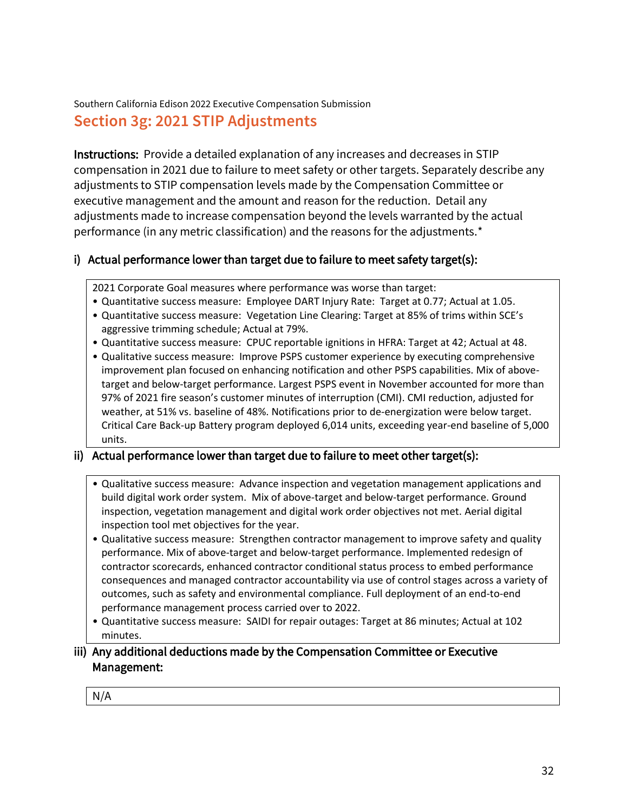Southern California Edison 2022 Executive Compensation Submission **Section 3g: 2021 STIP Adjustments**

Instructions: Provide a detailed explanation of any increases and decreases in STIP compensation in 2021 due to failure to meet safety or other targets. Separately describe any adjustments to STIP compensation levels made by the Compensation Committee or executive management and the amount and reason for the reduction. Detail any adjustments made to increase compensation beyond the levels warranted by the actual performance (in any metric classification) and the reasons for the adjustments.\*

### i) Actual performance lower than target due to failure to meet safety target(s):

2021 Corporate Goal measures where performance was worse than target:

- Quantitative success measure: Employee DART Injury Rate: Target at 0.77; Actual at 1.05.
- Quantitative success measure: Vegetation Line Clearing: Target at 85% of trims within SCE's aggressive trimming schedule; Actual at 79%.
- Quantitative success measure: CPUC reportable ignitions in HFRA: Target at 42; Actual at 48.
- Qualitative success measure: Improve PSPS customer experience by executing comprehensive improvement plan focused on enhancing notification and other PSPS capabilities. Mix of abovetarget and below-target performance. Largest PSPS event in November accounted for more than 97% of 2021 fire season's customer minutes of interruption (CMI). CMI reduction, adjusted for weather, at 51% vs. baseline of 48%. Notifications prior to de-energization were below target. Critical Care Back-up Battery program deployed 6,014 units, exceeding year-end baseline of 5,000 units.

#### ii) Actual performance lower than target due to failure to meet other target(s):

- Qualitative success measure: Advance inspection and vegetation management applications and build digital work order system. Mix of above-target and below-target performance. Ground inspection, vegetation management and digital work order objectives not met. Aerial digital inspection tool met objectives for the year.
- Qualitative success measure: Strengthen contractor management to improve safety and quality performance. Mix of above-target and below-target performance. Implemented redesign of contractor scorecards, enhanced contractor conditional status process to embed performance consequences and managed contractor accountability via use of control stages across a variety of outcomes, such as safety and environmental compliance. Full deployment of an end-to-end performance management process carried over to 2022.
- Quantitative success measure: SAIDI for repair outages: Target at 86 minutes; Actual at 102 minutes.

#### iii) Any additional deductions made by the Compensation Committee or Executive Management:

N/A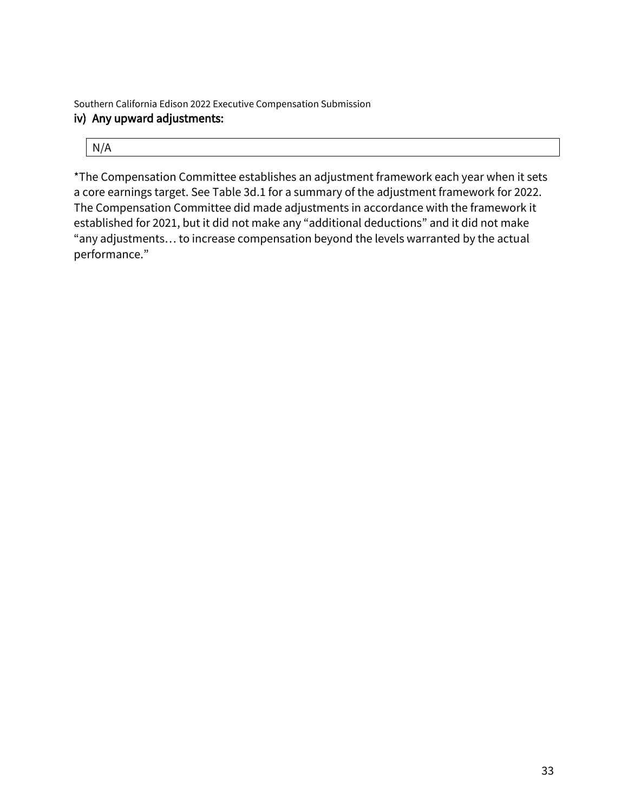Southern California Edison 2022 Executive Compensation Submission iv) Any upward adjustments:

| N/A |  |  |
|-----|--|--|
|     |  |  |

\*The Compensation Committee establishes an adjustment framework each year when it sets a core earnings target. See Table 3d.1 for a summary of the adjustment framework for 2022. The Compensation Committee did made adjustments in accordance with the framework it established for 2021, but it did not make any "additional deductions" and it did not make "any adjustments… to increase compensation beyond the levels warranted by the actual performance."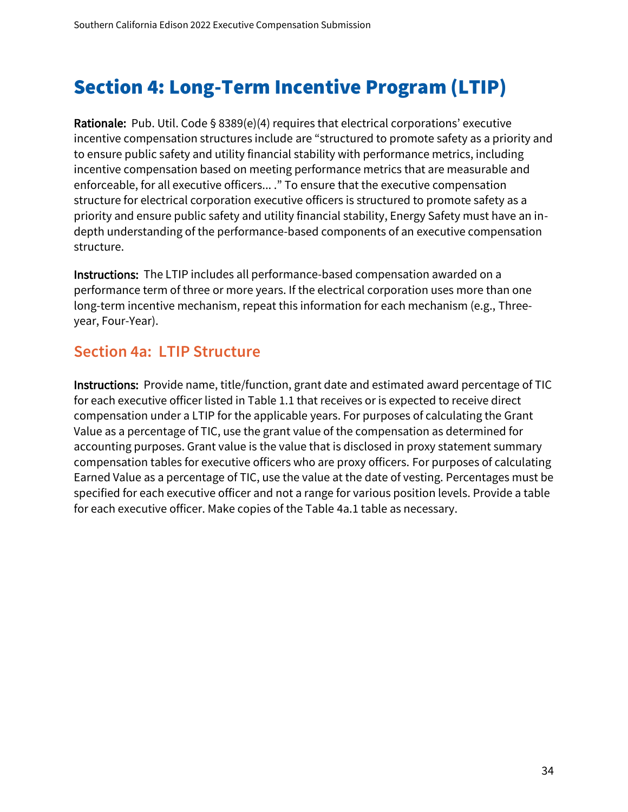# Section 4: Long-Term Incentive Program (LTIP)

Rationale: Pub. Util. Code § 8389(e)(4) requires that electrical corporations' executive incentive compensation structures include are "structured to promote safety as a priority and to ensure public safety and utility financial stability with performance metrics, including incentive compensation based on meeting performance metrics that are measurable and enforceable, for all executive officers... ." To ensure that the executive compensation structure for electrical corporation executive officers is structured to promote safety as a priority and ensure public safety and utility financial stability, Energy Safety must have an indepth understanding of the performance-based components of an executive compensation structure.

Instructions: The LTIP includes all performance-based compensation awarded on a performance term of three or more years. If the electrical corporation uses more than one long-term incentive mechanism, repeat this information for each mechanism (e.g., Threeyear, Four-Year).

# **Section 4a: LTIP Structure**

Instructions: Provide name, title/function, grant date and estimated award percentage of TIC for each executive officer listed in Table 1.1 that receives or is expected to receive direct compensation under a LTIP for the applicable years. For purposes of calculating the Grant Value as a percentage of TIC, use the grant value of the compensation as determined for accounting purposes. Grant value is the value that is disclosed in proxy statement summary compensation tables for executive officers who are proxy officers. For purposes of calculating Earned Value as a percentage of TIC, use the value at the date of vesting. Percentages must be specified for each executive officer and not a range for various position levels. Provide a table for each executive officer. Make copies of the Table 4a.1 table as necessary.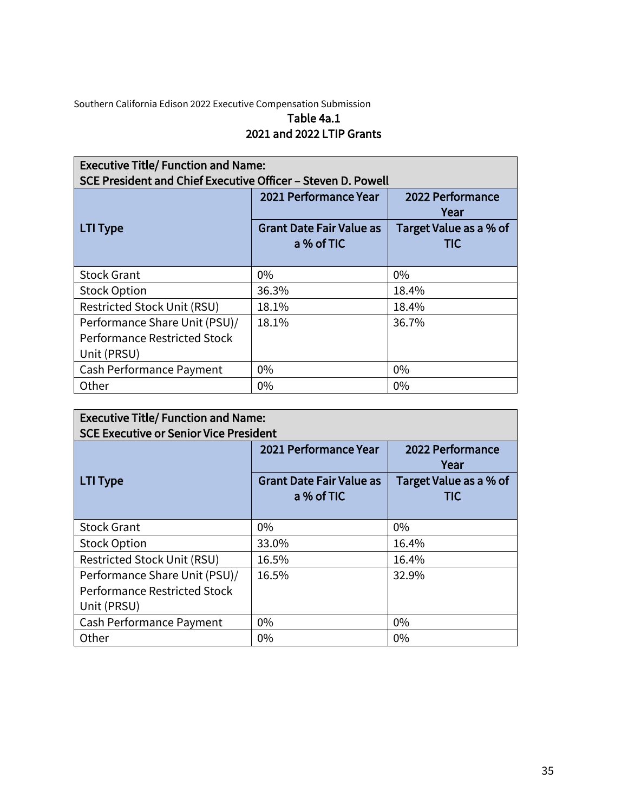## Table 4a.1 2021 and 2022 LTIP Grants

| <b>Executive Title/ Function and Name:</b><br>SCE President and Chief Executive Officer – Steven D. Powell |                                               |                               |  |  |
|------------------------------------------------------------------------------------------------------------|-----------------------------------------------|-------------------------------|--|--|
|                                                                                                            | 2021 Performance Year                         | 2022 Performance<br>Year      |  |  |
| <b>LTI Type</b>                                                                                            | <b>Grant Date Fair Value as</b><br>a % of TIC | Target Value as a % of<br>TIC |  |  |
| <b>Stock Grant</b>                                                                                         | 0%                                            | $0\%$                         |  |  |
| <b>Stock Option</b>                                                                                        | 36.3%                                         | 18.4%                         |  |  |
| <b>Restricted Stock Unit (RSU)</b>                                                                         | 18.1%                                         | 18.4%                         |  |  |
| Performance Share Unit (PSU)/<br><b>Performance Restricted Stock</b><br>Unit (PRSU)                        | 18.1%                                         | 36.7%                         |  |  |
| Cash Performance Payment                                                                                   | $0\%$                                         | $0\%$                         |  |  |
| Other                                                                                                      | $0\%$                                         | $0\%$                         |  |  |

| <b>Executive Title/ Function and Name:</b><br><b>SCE Executive or Senior Vice President</b> |                                               |                               |  |  |
|---------------------------------------------------------------------------------------------|-----------------------------------------------|-------------------------------|--|--|
|                                                                                             | 2021 Performance Year                         | 2022 Performance<br>Year      |  |  |
| <b>LTI Type</b>                                                                             | <b>Grant Date Fair Value as</b><br>a % of TIC | Target Value as a % of<br>TIC |  |  |
| <b>Stock Grant</b>                                                                          | 0%                                            | $0\%$                         |  |  |
| <b>Stock Option</b>                                                                         | 33.0%                                         | 16.4%                         |  |  |
| Restricted Stock Unit (RSU)                                                                 | 16.5%                                         | 16.4%                         |  |  |
| Performance Share Unit (PSU)/<br>Performance Restricted Stock<br>Unit (PRSU)                | 16.5%                                         | 32.9%                         |  |  |
| Cash Performance Payment                                                                    | $0\%$                                         | $0\%$                         |  |  |
| Other                                                                                       | $0\%$                                         | $0\%$                         |  |  |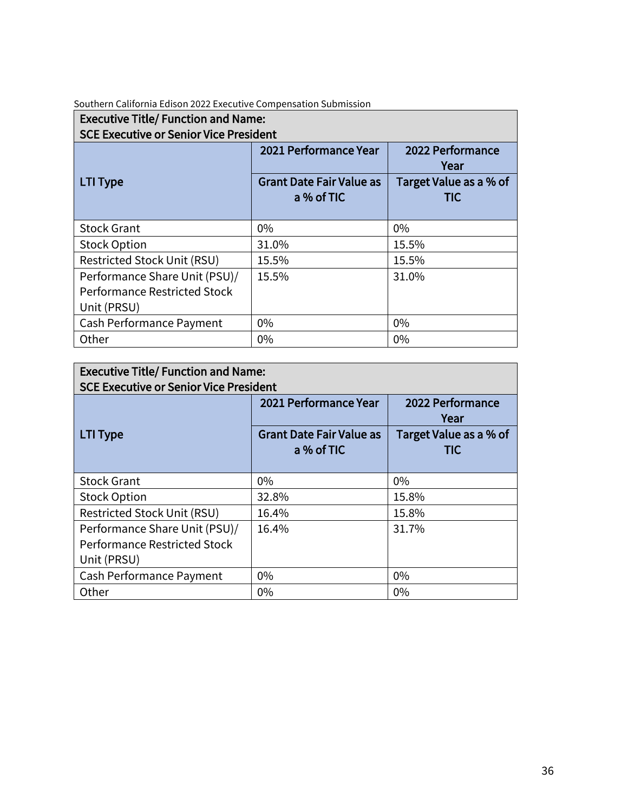| <b>Executive Title/ Function and Name:</b><br><b>SCE Executive or Senior Vice President</b> |                                               |                               |  |  |
|---------------------------------------------------------------------------------------------|-----------------------------------------------|-------------------------------|--|--|
|                                                                                             | 2021 Performance Year                         | 2022 Performance<br>Year      |  |  |
| <b>LTI Type</b>                                                                             | <b>Grant Date Fair Value as</b><br>a % of TIC | Target Value as a % of<br>TIC |  |  |
| <b>Stock Grant</b>                                                                          | 0%                                            | $0\%$                         |  |  |
| <b>Stock Option</b>                                                                         | 31.0%                                         | 15.5%                         |  |  |
| Restricted Stock Unit (RSU)                                                                 | 15.5%                                         | 15.5%                         |  |  |
| Performance Share Unit (PSU)/<br>Performance Restricted Stock<br>Unit (PRSU)                | 15.5%                                         | 31.0%                         |  |  |
| Cash Performance Payment                                                                    | 0%                                            | $0\%$                         |  |  |
| Other                                                                                       | 0%                                            | 0%                            |  |  |

# Executive Title/ Function and Name:

| <b>SCE Executive or Senior Vice President</b>                                       |                                               |                                      |  |  |  |
|-------------------------------------------------------------------------------------|-----------------------------------------------|--------------------------------------|--|--|--|
|                                                                                     | 2021 Performance Year                         | 2022 Performance<br>Year             |  |  |  |
| <b>LTI Type</b>                                                                     | <b>Grant Date Fair Value as</b><br>a % of TIC | Target Value as a % of<br><b>TIC</b> |  |  |  |
| <b>Stock Grant</b>                                                                  | 0%                                            | $0\%$                                |  |  |  |
| <b>Stock Option</b>                                                                 | 32.8%                                         | 15.8%                                |  |  |  |
| <b>Restricted Stock Unit (RSU)</b>                                                  | 16.4%                                         | 15.8%                                |  |  |  |
| Performance Share Unit (PSU)/<br><b>Performance Restricted Stock</b><br>Unit (PRSU) | 16.4%                                         | 31.7%                                |  |  |  |
| Cash Performance Payment                                                            | 0%                                            | $0\%$                                |  |  |  |
| Other                                                                               | $0\%$                                         | $0\%$                                |  |  |  |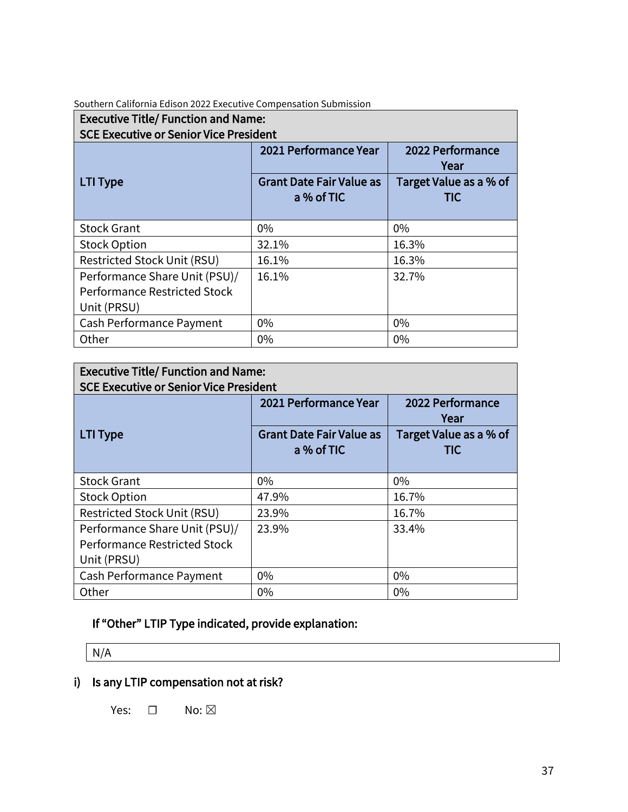| Southern California Edison 2022 Executive Compensation Submission |  |  |
|-------------------------------------------------------------------|--|--|
|                                                                   |  |  |

| <b>Executive Title/ Function and Name:</b><br><b>SCE Executive or Senior Vice President</b> |                                               |                               |
|---------------------------------------------------------------------------------------------|-----------------------------------------------|-------------------------------|
|                                                                                             | 2021 Performance Year                         | 2022 Performance<br>Year      |
| <b>LTI Type</b>                                                                             | <b>Grant Date Fair Value as</b><br>a % of TIC | Target Value as a % of<br>TIC |
| <b>Stock Grant</b>                                                                          | $0\%$                                         | $0\%$                         |
| <b>Stock Option</b>                                                                         | 32.1%                                         | 16.3%                         |
| Restricted Stock Unit (RSU)                                                                 | 16.1%                                         | 16.3%                         |
| Performance Share Unit (PSU)/<br><b>Performance Restricted Stock</b><br>Unit (PRSU)         | 16.1%                                         | 32.7%                         |
| Cash Performance Payment                                                                    | $0\%$                                         | $0\%$                         |
| Other                                                                                       | 0%                                            | 0%                            |

#### Executive Title/ Function and Name: SCE Executive or Senior Vice President 2021 Performance Year | 2022 Performance Year LTI Type Grant Date Fair Value as a % of TIC Target Value as a % of TIC Stock Grant 0% 0% Stock Option 16.7% Restricted Stock Unit (RSU) 23.9% 16.7% Performance Share Unit (PSU)/ Performance Restricted Stock Unit (PRSU) 23.9% 33.4% Cash Performance Payment 0% 0% Other 20% 0% 0% 0% 0%

## If "Other" LTIP Type indicated, provide explanation:

N/A

## i) Is any LTIP compensation not at risk?

Yes: □ No: ⊠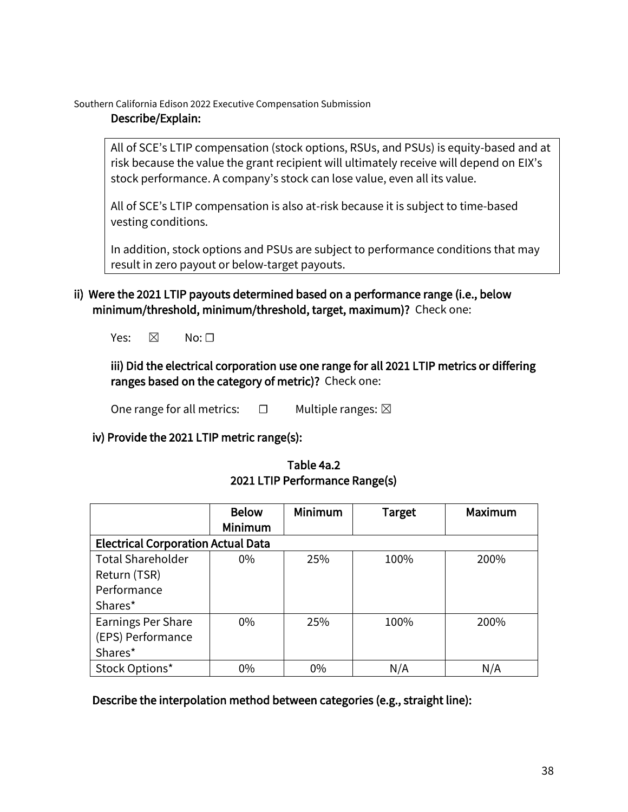#### Describe/Explain:

All of SCE's LTIP compensation (stock options, RSUs, and PSUs) is equity-based and at risk because the value the grant recipient will ultimately receive will depend on EIX's stock performance. A company's stock can lose value, even all its value.

All of SCE's LTIP compensation is also at-risk because it is subject to time-based vesting conditions.

In addition, stock options and PSUs are subject to performance conditions that may result in zero payout or below-target payouts.

- ii) Were the 2021 LTIP payouts determined based on a performance range (i.e., below minimum/threshold, minimum/threshold, target, maximum)? Check one:
	- Yes:  $\boxtimes$  No:  $\Box$

## iii) Did the electrical corporation use one range for all 2021 LTIP metrics or differing ranges based on the category of metric)? Check one:

One range for all metrics:  $□$  Multiple ranges:  $□$ 

## iv) Provide the 2021 LTIP metric range(s):

|                                           | <b>Below</b><br><b>Minimum</b> | Minimum | <b>Target</b> | <b>Maximum</b> |
|-------------------------------------------|--------------------------------|---------|---------------|----------------|
| <b>Electrical Corporation Actual Data</b> |                                |         |               |                |
| <b>Total Shareholder</b>                  | $0\%$                          | 25%     | 100%          | 200%           |
| Return (TSR)                              |                                |         |               |                |
| Performance                               |                                |         |               |                |
| Shares*                                   |                                |         |               |                |
| <b>Earnings Per Share</b>                 | $0\%$                          | 25%     | 100%          | 200%           |
| (EPS) Performance                         |                                |         |               |                |
| Shares*                                   |                                |         |               |                |
| Stock Options*                            | 0%                             | 0%      | N/A           | N/A            |

## Table 4a.2 2021 LTIP Performance Range(s)

Describe the interpolation method between categories (e.g., straight line):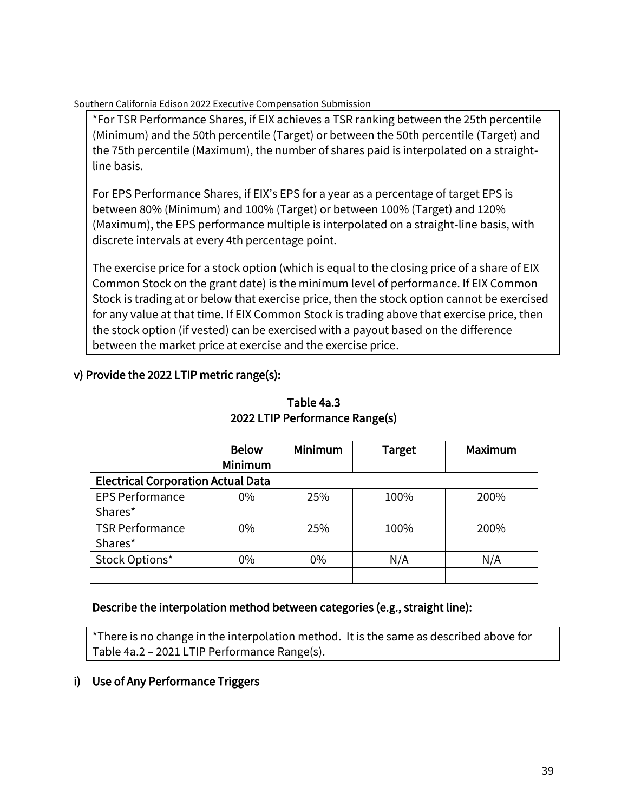\*For TSR Performance Shares, if EIX achieves a TSR ranking between the 25th percentile (Minimum) and the 50th percentile (Target) or between the 50th percentile (Target) and the 75th percentile (Maximum), the number of shares paid is interpolated on a straightline basis.

For EPS Performance Shares, if EIX's EPS for a year as a percentage of target EPS is between 80% (Minimum) and 100% (Target) or between 100% (Target) and 120% (Maximum), the EPS performance multiple is interpolated on a straight-line basis, with discrete intervals at every 4th percentage point.

The exercise price for a stock option (which is equal to the closing price of a share of EIX Common Stock on the grant date) is the minimum level of performance. If EIX Common Stock is trading at or below that exercise price, then the stock option cannot be exercised for any value at that time. If EIX Common Stock is trading above that exercise price, then the stock option (if vested) can be exercised with a payout based on the difference between the market price at exercise and the exercise price.

## v) Provide the 2022 LTIP metric range(s):

|                                           | <b>Below</b><br>Minimum | Minimum | Target | Maximum |
|-------------------------------------------|-------------------------|---------|--------|---------|
| <b>Electrical Corporation Actual Data</b> |                         |         |        |         |
| <b>EPS Performance</b>                    | $0\%$                   | 25%     | 100%   | 200%    |
| Shares*                                   |                         |         |        |         |
| <b>TSR Performance</b>                    | $0\%$                   | 25%     | 100%   | 200%    |
| Shares*                                   |                         |         |        |         |
| Stock Options*                            | $0\%$                   | $0\%$   | N/A    | N/A     |
|                                           |                         |         |        |         |

## Table 4a.3 2022 LTIP Performance Range(s)

#### Describe the interpolation method between categories (e.g., straight line):

\*There is no change in the interpolation method. It is the same as described above for Table 4a.2 – 2021 LTIP Performance Range(s).

#### i) Use of Any Performance Triggers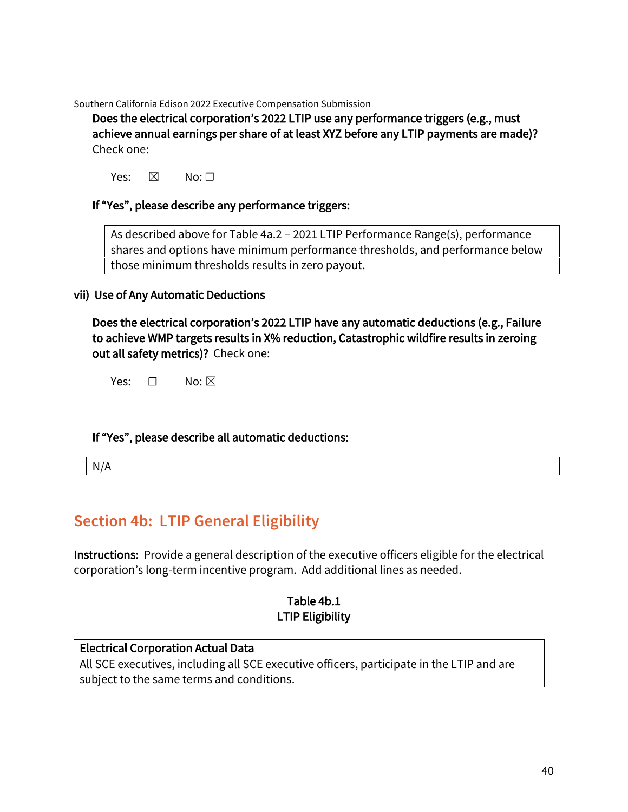Does the electrical corporation's 2022 LTIP use any performance triggers (e.g., must achieve annual earnings per share of at least XYZ before any LTIP payments are made)? Check one:

Yes:  $\boxtimes$  No:  $\Box$ 

#### If "Yes", please describe any performance triggers:

As described above for Table 4a.2 – 2021 LTIP Performance Range(s), performance shares and options have minimum performance thresholds, and performance below those minimum thresholds results in zero payout.

#### vii) Use of Any Automatic Deductions

Does the electrical corporation's 2022 LTIP have any automatic deductions (e.g., Failure to achieve WMP targets results in X% reduction, Catastrophic wildfire results in zeroing out all safety metrics)? Check one:

Yes:  $\Box$  No:  $\boxtimes$ 

#### If "Yes", please describe all automatic deductions:

N/A

# **Section 4b: LTIP General Eligibility**

Instructions: Provide a general description of the executive officers eligible for the electrical corporation's long-term incentive program. Add additional lines as needed.

#### Table 4b.1 LTIP Eligibility

#### Electrical Corporation Actual Data All SCE executives, including all SCE executive officers, participate in the LTIP and are subject to the same terms and conditions.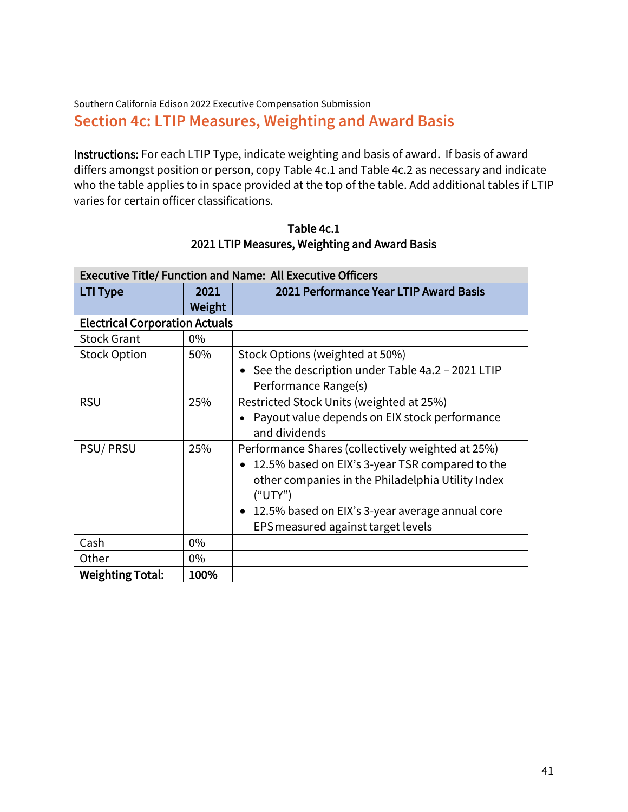## Southern California Edison 2022 Executive Compensation Submission **Section 4c: LTIP Measures, Weighting and Award Basis**

Instructions: For each LTIP Type, indicate weighting and basis of award. If basis of award differs amongst position or person, copy Table 4c.1 and Table 4c.2 as necessary and indicate who the table applies to in space provided at the top of the table. Add additional tables if LTIP varies for certain officer classifications.

|                                       |        | <b>Executive Title/ Function and Name: All Executive Officers</b> |
|---------------------------------------|--------|-------------------------------------------------------------------|
| LTI Type                              | 2021   | 2021 Performance Year LTIP Award Basis                            |
|                                       | Weight |                                                                   |
| <b>Electrical Corporation Actuals</b> |        |                                                                   |
| <b>Stock Grant</b>                    | $0\%$  |                                                                   |
| <b>Stock Option</b>                   | 50%    | Stock Options (weighted at 50%)                                   |
|                                       |        | • See the description under Table 4a.2 - 2021 LTIP                |
|                                       |        | Performance Range(s)                                              |
| <b>RSU</b>                            | 25%    | Restricted Stock Units (weighted at 25%)                          |
|                                       |        | Payout value depends on EIX stock performance                     |
|                                       |        | and dividends                                                     |
| <b>PSU/PRSU</b>                       | 25%    | Performance Shares (collectively weighted at 25%)                 |
|                                       |        | 12.5% based on EIX's 3-year TSR compared to the                   |
|                                       |        | other companies in the Philadelphia Utility Index                 |
|                                       |        | ("UTY")                                                           |
|                                       |        | 12.5% based on EIX's 3-year average annual core<br>$\bullet$      |
|                                       |        | EPS measured against target levels                                |
| Cash                                  | $0\%$  |                                                                   |
| Other                                 | $0\%$  |                                                                   |
| <b>Weighting Total:</b>               | 100%   |                                                                   |

Table 4c.1 2021 LTIP Measures, Weighting and Award Basis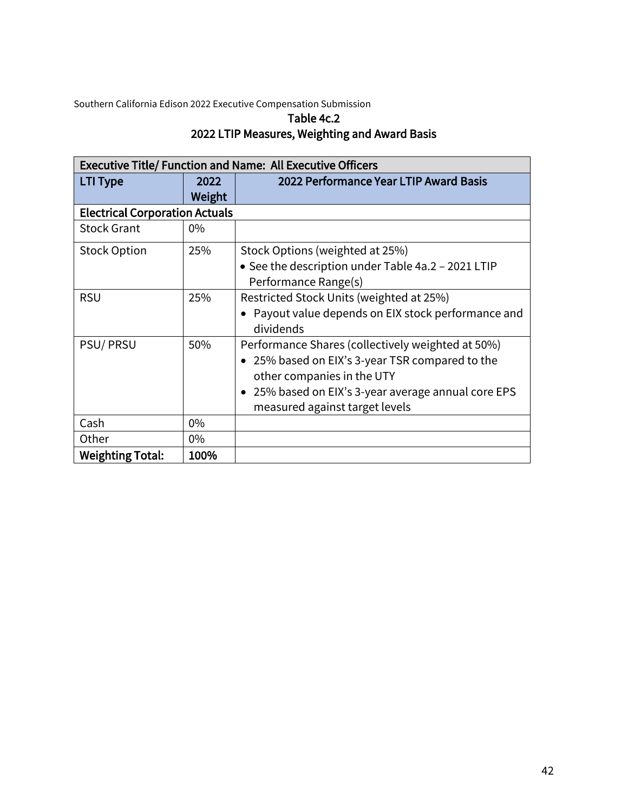## Table 4c.2 2022 LTIP Measures, Weighting and Award Basis

|                                       |        | <b>Executive Title/ Function and Name: All Executive Officers</b> |
|---------------------------------------|--------|-------------------------------------------------------------------|
| <b>LTI Type</b>                       | 2022   | 2022 Performance Year LTIP Award Basis                            |
|                                       | Weight |                                                                   |
| <b>Electrical Corporation Actuals</b> |        |                                                                   |
| <b>Stock Grant</b>                    | $0\%$  |                                                                   |
| <b>Stock Option</b>                   | 25%    | Stock Options (weighted at 25%)                                   |
|                                       |        | • See the description under Table 4a.2 - 2021 LTIP                |
|                                       |        | Performance Range(s)                                              |
| <b>RSU</b>                            | 25%    | Restricted Stock Units (weighted at 25%)                          |
|                                       |        | • Payout value depends on EIX stock performance and<br>dividends  |
| <b>PSU/PRSU</b>                       | 50%    | Performance Shares (collectively weighted at 50%)                 |
|                                       |        | 25% based on EIX's 3-year TSR compared to the                     |
|                                       |        | other companies in the UTY                                        |
|                                       |        | 25% based on EIX's 3-year average annual core EPS                 |
|                                       |        | measured against target levels                                    |
| Cash                                  | $0\%$  |                                                                   |
| Other                                 | $0\%$  |                                                                   |
| <b>Weighting Total:</b>               | 100%   |                                                                   |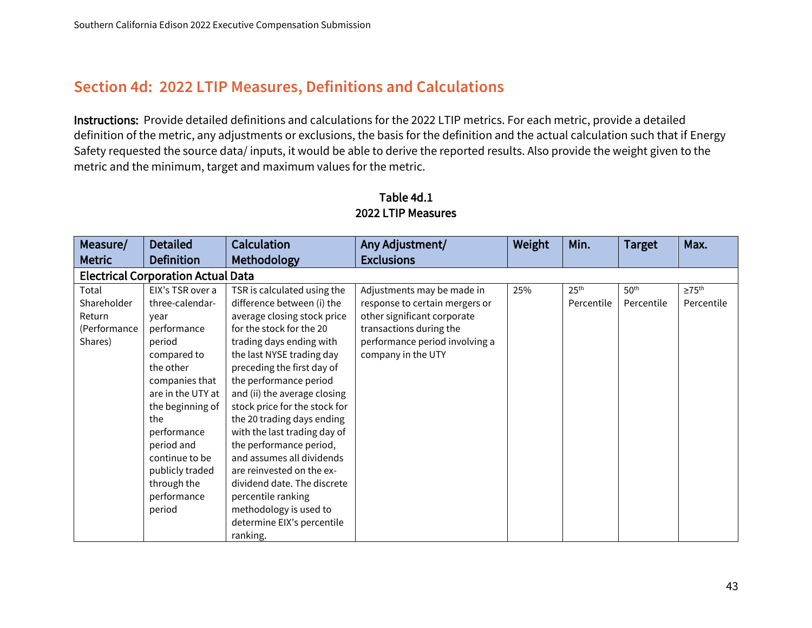## **Section 4d: 2022 LTIP Measures, Definitions and Calculations**

Instructions: Provide detailed definitions and calculations for the 2022 LTIP metrics. For each metric, provide a detailed definition of the metric, any adjustments or exclusions, the basis for the definition and the actual calculation such that if Energy Safety requested the source data/ inputs, it would be able to derive the reported results. Also provide the weight given to the metric and the minimum, target and maximum values for the metric.

| Measure/<br><b>Metric</b>                                 | <b>Detailed</b><br><b>Definition</b>                                                                                                                                                                                                                                         | <b>Calculation</b><br>Methodology                                                                                                                                                                                                                                                                                                                                                                                                                                                                                                                                                  | Any Adjustment/<br><b>Exclusions</b>                                                                                                                                           | Weight | Min.                           | <b>Target</b>                  | Max.                                |
|-----------------------------------------------------------|------------------------------------------------------------------------------------------------------------------------------------------------------------------------------------------------------------------------------------------------------------------------------|------------------------------------------------------------------------------------------------------------------------------------------------------------------------------------------------------------------------------------------------------------------------------------------------------------------------------------------------------------------------------------------------------------------------------------------------------------------------------------------------------------------------------------------------------------------------------------|--------------------------------------------------------------------------------------------------------------------------------------------------------------------------------|--------|--------------------------------|--------------------------------|-------------------------------------|
|                                                           | <b>Electrical Corporation Actual Data</b>                                                                                                                                                                                                                                    |                                                                                                                                                                                                                                                                                                                                                                                                                                                                                                                                                                                    |                                                                                                                                                                                |        |                                |                                |                                     |
| Total<br>Shareholder<br>Return<br>(Performance<br>Shares) | EIX's TSR over a<br>three-calendar-<br>year<br>performance<br>period<br>compared to<br>the other<br>companies that<br>are in the UTY at<br>the beginning of<br>the<br>performance<br>period and<br>continue to be<br>publicly traded<br>through the<br>performance<br>period | TSR is calculated using the<br>difference between (i) the<br>average closing stock price<br>for the stock for the 20<br>trading days ending with<br>the last NYSE trading day<br>preceding the first day of<br>the performance period<br>and (ii) the average closing<br>stock price for the stock for<br>the 20 trading days ending<br>with the last trading day of<br>the performance period,<br>and assumes all dividends<br>are reinvested on the ex-<br>dividend date. The discrete<br>percentile ranking<br>methodology is used to<br>determine EIX's percentile<br>ranking. | Adjustments may be made in<br>response to certain mergers or<br>other significant corporate<br>transactions during the<br>performance period involving a<br>company in the UTY | 25%    | 25 <sup>th</sup><br>Percentile | 50 <sup>th</sup><br>Percentile | $\geq 75^{\text{th}}$<br>Percentile |

## Table 4d.1 2022 LTIP Measures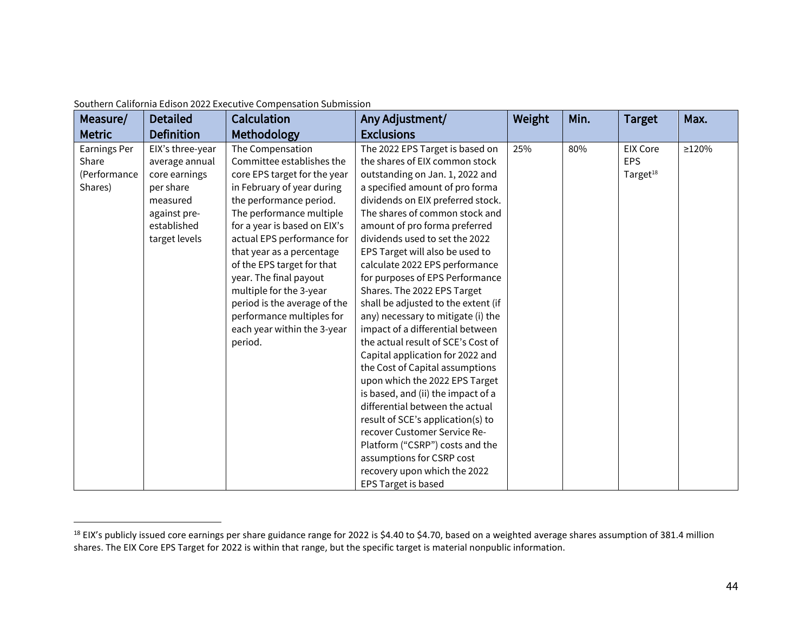| Measure/            | <b>Detailed</b>   | <b>Calculation</b>           | Any Adjustment/                     | Weight | Min. | <b>Target</b>        | Max.  |
|---------------------|-------------------|------------------------------|-------------------------------------|--------|------|----------------------|-------|
| <b>Metric</b>       | <b>Definition</b> | Methodology                  | <b>Exclusions</b>                   |        |      |                      |       |
| <b>Earnings Per</b> | EIX's three-year  | The Compensation             | The 2022 EPS Target is based on     | 25%    | 80%  | <b>EIX Core</b>      | ≥120% |
| Share               | average annual    | Committee establishes the    | the shares of EIX common stock      |        |      | <b>EPS</b>           |       |
| (Performance        | core earnings     | core EPS target for the year | outstanding on Jan. 1, 2022 and     |        |      | Target <sup>18</sup> |       |
| Shares)             | per share         | in February of year during   | a specified amount of pro forma     |        |      |                      |       |
|                     | measured          | the performance period.      | dividends on EIX preferred stock.   |        |      |                      |       |
|                     | against pre-      | The performance multiple     | The shares of common stock and      |        |      |                      |       |
|                     | established       | for a year is based on EIX's | amount of pro forma preferred       |        |      |                      |       |
|                     | target levels     | actual EPS performance for   | dividends used to set the 2022      |        |      |                      |       |
|                     |                   | that year as a percentage    | EPS Target will also be used to     |        |      |                      |       |
|                     |                   | of the EPS target for that   | calculate 2022 EPS performance      |        |      |                      |       |
|                     |                   | year. The final payout       | for purposes of EPS Performance     |        |      |                      |       |
|                     |                   | multiple for the 3-year      | Shares. The 2022 EPS Target         |        |      |                      |       |
|                     |                   | period is the average of the | shall be adjusted to the extent (if |        |      |                      |       |
|                     |                   | performance multiples for    | any) necessary to mitigate (i) the  |        |      |                      |       |
|                     |                   | each year within the 3-year  | impact of a differential between    |        |      |                      |       |
|                     |                   | period.                      | the actual result of SCE's Cost of  |        |      |                      |       |
|                     |                   |                              | Capital application for 2022 and    |        |      |                      |       |
|                     |                   |                              | the Cost of Capital assumptions     |        |      |                      |       |
|                     |                   |                              | upon which the 2022 EPS Target      |        |      |                      |       |
|                     |                   |                              | is based, and (ii) the impact of a  |        |      |                      |       |
|                     |                   |                              | differential between the actual     |        |      |                      |       |
|                     |                   |                              | result of SCE's application(s) to   |        |      |                      |       |
|                     |                   |                              | recover Customer Service Re-        |        |      |                      |       |
|                     |                   |                              | Platform ("CSRP") costs and the     |        |      |                      |       |
|                     |                   |                              | assumptions for CSRP cost           |        |      |                      |       |
|                     |                   |                              | recovery upon which the 2022        |        |      |                      |       |
|                     |                   |                              | EPS Target is based                 |        |      |                      |       |

<sup>&</sup>lt;sup>18</sup> EIX's publicly issued core earnings per share guidance range for 2022 is \$4.40 to \$4.70, based on a weighted average shares assumption of 381.4 million shares. The EIX Core EPS Target for 2022 is within that range, but the specific target is material nonpublic information.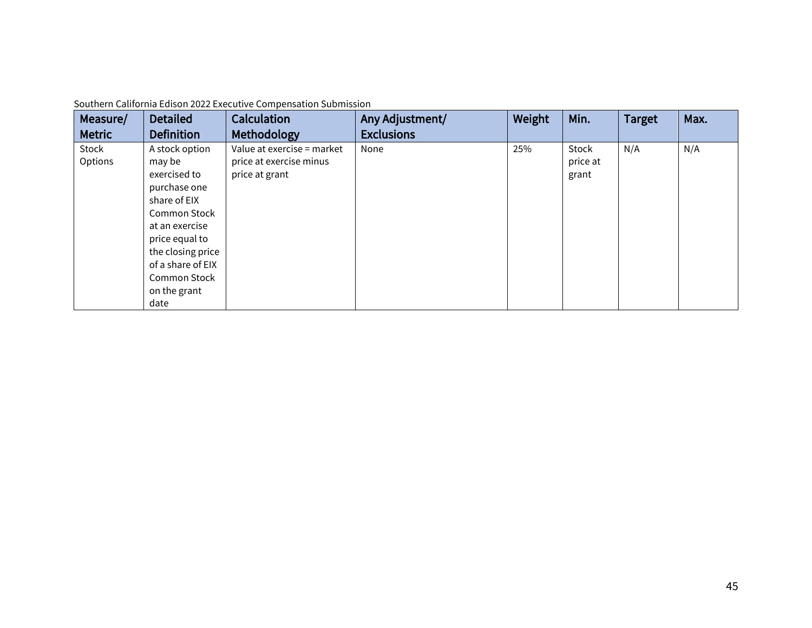| Measure/      | <b>Detailed</b>     | <b>Calculation</b>         | Any Adjustment/   | Weight | Min.     | <b>Target</b> | Max. |
|---------------|---------------------|----------------------------|-------------------|--------|----------|---------------|------|
| <b>Metric</b> | <b>Definition</b>   | Methodology                | <b>Exclusions</b> |        |          |               |      |
| Stock         | A stock option      | Value at exercise = market | None              | 25%    | Stock    | N/A           | N/A  |
| Options       | may be              | price at exercise minus    |                   |        | price at |               |      |
|               | exercised to        | price at grant             |                   |        | grant    |               |      |
|               | purchase one        |                            |                   |        |          |               |      |
|               | share of EIX        |                            |                   |        |          |               |      |
|               | <b>Common Stock</b> |                            |                   |        |          |               |      |
|               | at an exercise      |                            |                   |        |          |               |      |
|               | price equal to      |                            |                   |        |          |               |      |
|               | the closing price   |                            |                   |        |          |               |      |
|               | of a share of EIX   |                            |                   |        |          |               |      |
|               | <b>Common Stock</b> |                            |                   |        |          |               |      |
|               | on the grant        |                            |                   |        |          |               |      |
|               | date                |                            |                   |        |          |               |      |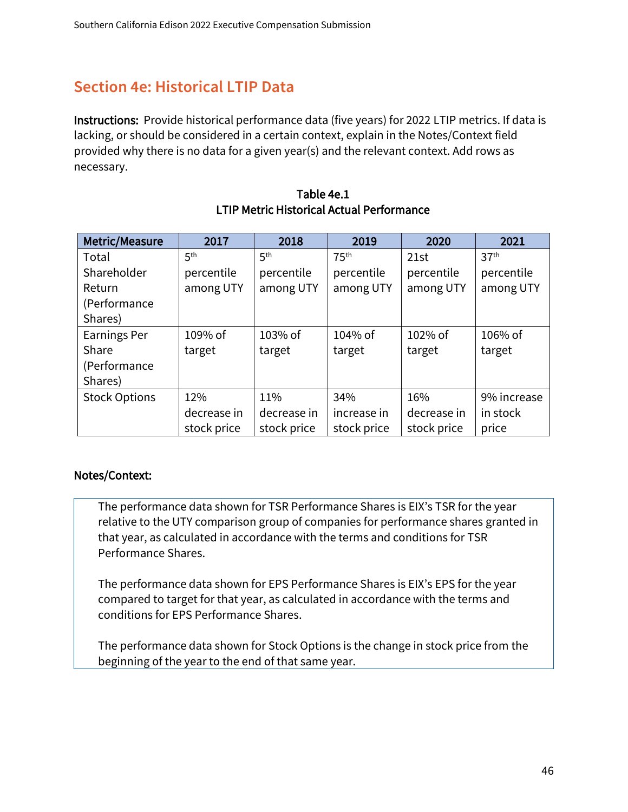## **Section 4e: Historical LTIP Data**

Instructions: Provide historical performance data (five years) for 2022 LTIP metrics. If data is lacking, or should be considered in a certain context, explain in the Notes/Context field provided why there is no data for a given year(s) and the relevant context. Add rows as necessary.

| Metric/Measure       | 2017            | 2018            | 2019             | 2020        | 2021             |
|----------------------|-----------------|-----------------|------------------|-------------|------------------|
| Total                | 5 <sup>th</sup> | 5 <sup>th</sup> | 75 <sup>th</sup> | 21st        | 37 <sup>th</sup> |
| Shareholder          | percentile      | percentile      | percentile       | percentile  | percentile       |
| Return               | among UTY       | among UTY       | among UTY        | among UTY   | among UTY        |
| (Performance)        |                 |                 |                  |             |                  |
| Shares)              |                 |                 |                  |             |                  |
| <b>Earnings Per</b>  | 109% of         | 103% of         | 104% of          | 102% of     | $106\%$ of       |
| Share                | target          | target          | target           | target      | target           |
| (Performance         |                 |                 |                  |             |                  |
| Shares)              |                 |                 |                  |             |                  |
| <b>Stock Options</b> | 12%             | 11%             | 34%              | 16%         | 9% increase      |
|                      | decrease in     | decrease in     | increase in      | decrease in | in stock         |
|                      | stock price     | stock price     | stock price      | stock price | price            |

Table 4e.1 LTIP Metric Historical Actual Performance

#### Notes/Context:

The performance data shown for TSR Performance Shares is EIX's TSR for the year relative to the UTY comparison group of companies for performance shares granted in that year, as calculated in accordance with the terms and conditions for TSR Performance Shares.

The performance data shown for EPS Performance Shares is EIX's EPS for the year compared to target for that year, as calculated in accordance with the terms and conditions for EPS Performance Shares.

The performance data shown for Stock Options is the change in stock price from the beginning of the year to the end of that same year.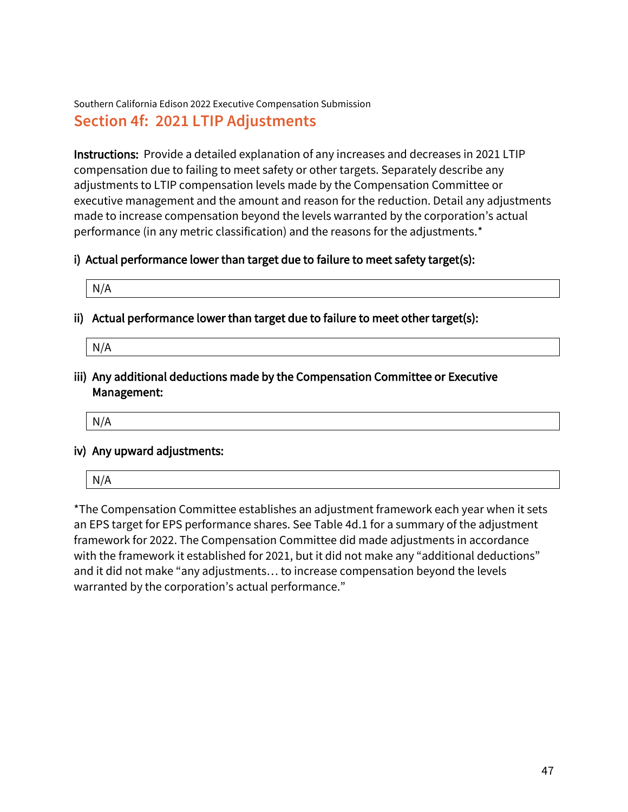Southern California Edison 2022 Executive Compensation Submission **Section 4f: 2021 LTIP Adjustments**

Instructions: Provide a detailed explanation of any increases and decreases in 2021 LTIP compensation due to failing to meet safety or other targets. Separately describe any adjustments to LTIP compensation levels made by the Compensation Committee or executive management and the amount and reason for the reduction. Detail any adjustments made to increase compensation beyond the levels warranted by the corporation's actual performance (in any metric classification) and the reasons for the adjustments.\*

#### i) Actual performance lower than target due to failure to meet safety target(s):

| N/A |
|-----|
|-----|

- ii) Actual performance lower than target due to failure to meet other target(s):
	- N/A
- iii) Any additional deductions made by the Compensation Committee or Executive Management:
	- N/A

#### iv) Any upward adjustments:

|--|

\*The Compensation Committee establishes an adjustment framework each year when it sets an EPS target for EPS performance shares. See Table 4d.1 for a summary of the adjustment framework for 2022. The Compensation Committee did made adjustments in accordance with the framework it established for 2021, but it did not make any "additional deductions" and it did not make "any adjustments… to increase compensation beyond the levels warranted by the corporation's actual performance."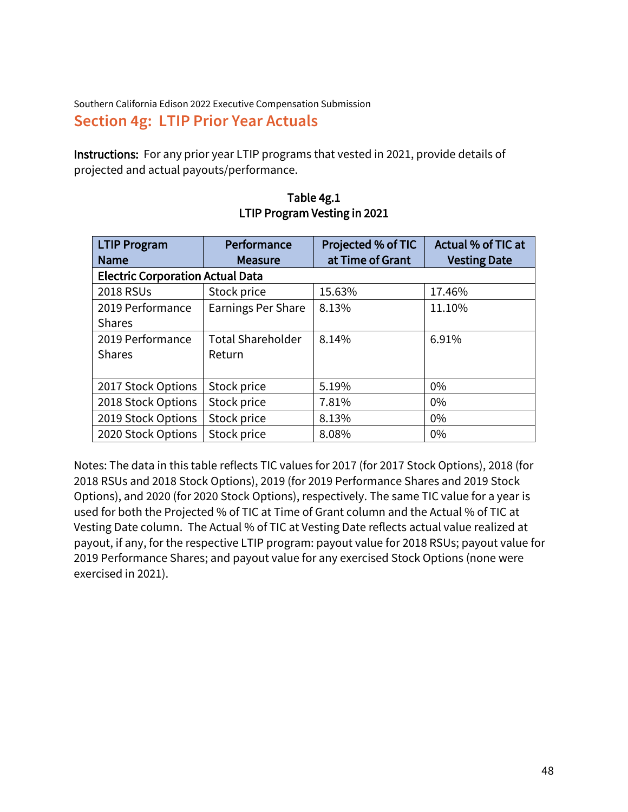Southern California Edison 2022 Executive Compensation Submission **Section 4g: LTIP Prior Year Actuals**

Instructions: For any prior year LTIP programs that vested in 2021, provide details of projected and actual payouts/performance.

| <b>LTIP Program</b>                     | Performance               | Projected % of TIC | Actual % of TIC at  |
|-----------------------------------------|---------------------------|--------------------|---------------------|
| <b>Name</b>                             | <b>Measure</b>            | at Time of Grant   | <b>Vesting Date</b> |
| <b>Electric Corporation Actual Data</b> |                           |                    |                     |
| 2018 RSUs                               | Stock price               | 15.63%             | 17.46%              |
| 2019 Performance                        | <b>Earnings Per Share</b> | 8.13%              | 11.10%              |
| <b>Shares</b>                           |                           |                    |                     |
| 2019 Performance                        | <b>Total Shareholder</b>  | 8.14%              | 6.91%               |
| <b>Shares</b>                           | Return                    |                    |                     |
|                                         |                           |                    |                     |
| 2017 Stock Options                      | Stock price               | 5.19%              | 0%                  |
| 2018 Stock Options                      | Stock price               | 7.81%              | $0\%$               |
| 2019 Stock Options                      | Stock price               | 8.13%              | $0\%$               |
| 2020 Stock Options                      | Stock price               | 8.08%              | 0%                  |

Table 4g.1 LTIP Program Vesting in 2021

Notes: The data in this table reflects TIC values for 2017 (for 2017 Stock Options), 2018 (for 2018 RSUs and 2018 Stock Options), 2019 (for 2019 Performance Shares and 2019 Stock Options), and 2020 (for 2020 Stock Options), respectively. The same TIC value for a year is used for both the Projected % of TIC at Time of Grant column and the Actual % of TIC at Vesting Date column. The Actual % of TIC at Vesting Date reflects actual value realized at payout, if any, for the respective LTIP program: payout value for 2018 RSUs; payout value for 2019 Performance Shares; and payout value for any exercised Stock Options (none were exercised in 2021).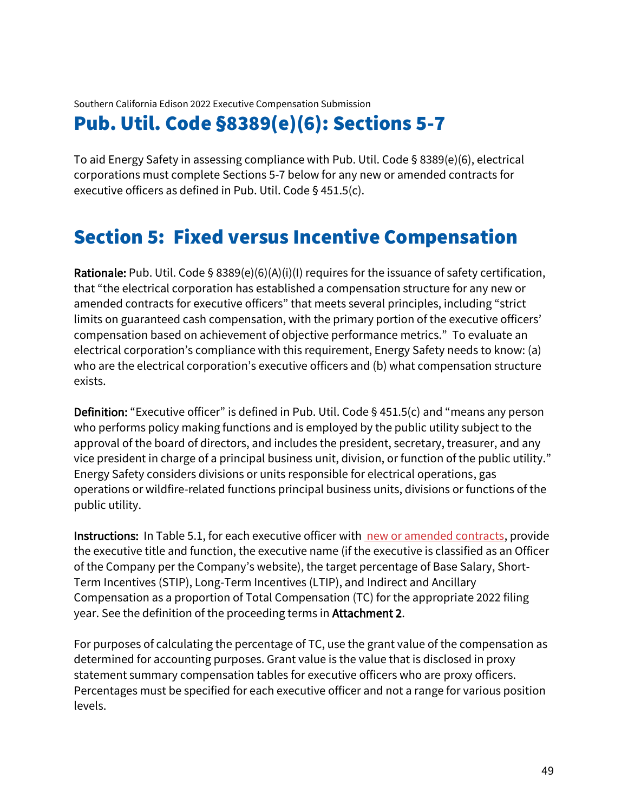# Pub. Util. Code §8389(e)(6): Sections 5-7

To aid Energy Safety in assessing compliance with Pub. Util. Code § 8389(e)(6), electrical corporations must complete Sections 5-7 below for any new or amended contracts for executive officers as defined in Pub. Util. Code § 451.5(c).

# Section 5: Fixed versus Incentive Compensation

Rationale: Pub. Util. Code § 8389(e)(6)(A)(i)(I) requires for the issuance of safety certification, that "the electrical corporation has established a compensation structure for any new or amended contracts for executive officers" that meets several principles, including "strict limits on guaranteed cash compensation, with the primary portion of the executive officers' compensation based on achievement of objective performance metrics." To evaluate an electrical corporation's compliance with this requirement, Energy Safety needs to know: (a) who are the electrical corporation's executive officers and (b) what compensation structure exists.

Definition: "Executive officer" is defined in Pub. Util. Code § 451.5(c) and "means any person who performs policy making functions and is employed by the public utility subject to the approval of the board of directors, and includes the president, secretary, treasurer, and any vice president in charge of a principal business unit, division, or function of the public utility." Energy Safety considers divisions or units responsible for electrical operations, gas operations or wildfire-related functions principal business units, divisions or functions of the public utility.

Instructions: In Table 5.1, for each executive officer with new or amended contracts, provide the executive title and function, the executive name (if the executive is classified as an Officer of the Company per the Company's website), the target percentage of Base Salary, Short-Term Incentives (STIP), Long-Term Incentives (LTIP), and Indirect and Ancillary Compensation as a proportion of Total Compensation (TC) for the appropriate 2022 filing year. See the definition of the proceeding terms in **Attachment 2.** 

For purposes of calculating the percentage of TC, use the grant value of the compensation as determined for accounting purposes. Grant value is the value that is disclosed in proxy statement summary compensation tables for executive officers who are proxy officers. Percentages must be specified for each executive officer and not a range for various position levels.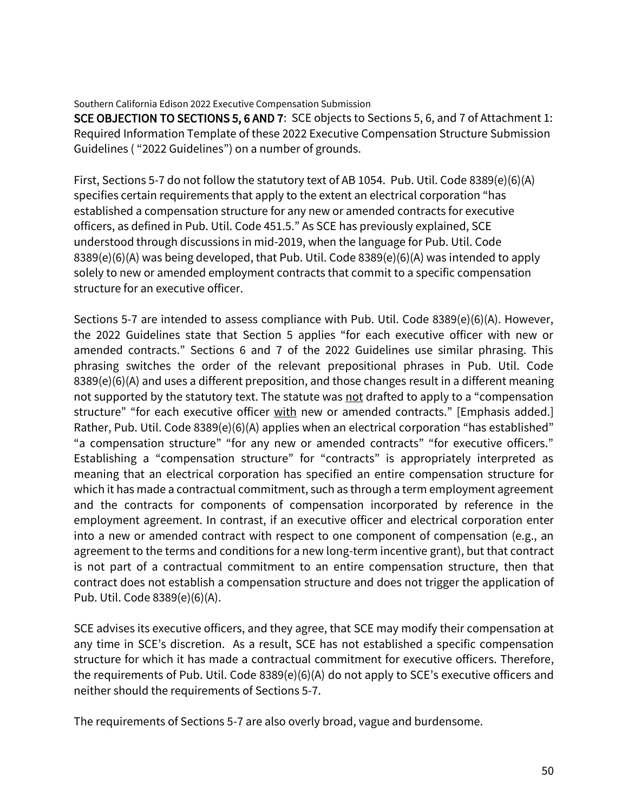SCE OBJECTION TO SECTIONS 5, 6 AND 7: SCE objects to Sections 5, 6, and 7 of Attachment 1: Required Information Template of these 2022 Executive Compensation Structure Submission Guidelines ( "2022 Guidelines") on a number of grounds.

First, Sections 5-7 do not follow the statutory text of AB 1054. Pub. Util. Code 8389(e)(6)(A) specifies certain requirements that apply to the extent an electrical corporation "has established a compensation structure for any new or amended contracts for executive officers, as defined in Pub. Util. Code 451.5." As SCE has previously explained, SCE understood through discussions in mid-2019, when the language for Pub. Util. Code 8389(e)(6)(A) was being developed, that Pub. Util. Code 8389(e)(6)(A) was intended to apply solely to new or amended employment contracts that commit to a specific compensation structure for an executive officer.

Sections 5-7 are intended to assess compliance with Pub. Util. Code 8389(e)(6)(A). However, the 2022 Guidelines state that Section 5 applies "for each executive officer with new or amended contracts." Sections 6 and 7 of the 2022 Guidelines use similar phrasing. This phrasing switches the order of the relevant prepositional phrases in Pub. Util. Code 8389(e)(6)(A) and uses a different preposition, and those changes result in a different meaning not supported by the statutory text. The statute was not drafted to apply to a "compensation structure" "for each executive officer with new or amended contracts." [Emphasis added.] Rather, Pub. Util. Code 8389(e)(6)(A) applies when an electrical corporation "has established" "a compensation structure" "for any new or amended contracts" "for executive officers." Establishing a "compensation structure" for "contracts" is appropriately interpreted as meaning that an electrical corporation has specified an entire compensation structure for which it has made a contractual commitment, such as through a term employment agreement and the contracts for components of compensation incorporated by reference in the employment agreement. In contrast, if an executive officer and electrical corporation enter into a new or amended contract with respect to one component of compensation (e.g., an agreement to the terms and conditions for a new long-term incentive grant), but that contract is not part of a contractual commitment to an entire compensation structure, then that contract does not establish a compensation structure and does not trigger the application of Pub. Util. Code 8389(e)(6)(A).

SCE advises its executive officers, and they agree, that SCE may modify their compensation at any time in SCE's discretion. As a result, SCE has not established a specific compensation structure for which it has made a contractual commitment for executive officers. Therefore, the requirements of Pub. Util. Code 8389(e)(6)(A) do not apply to SCE's executive officers and neither should the requirements of Sections 5-7.

The requirements of Sections 5-7 are also overly broad, vague and burdensome.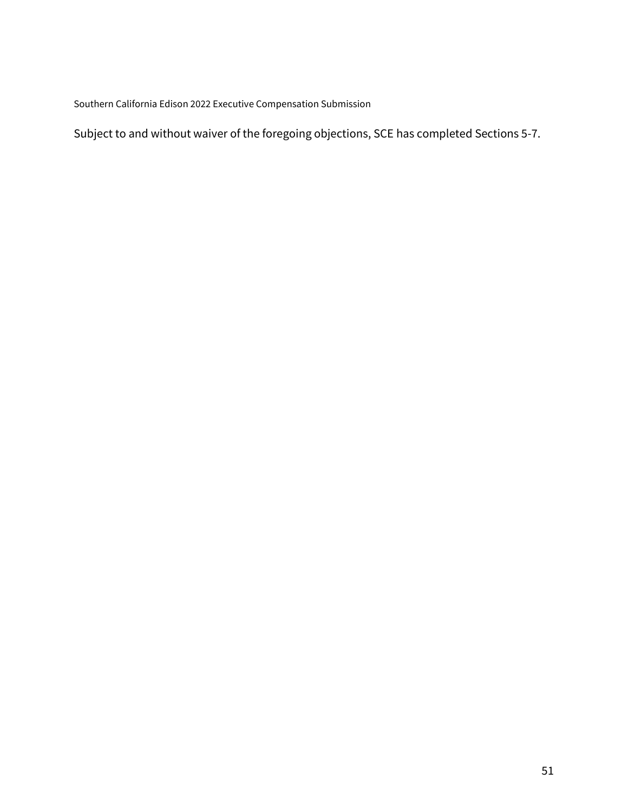Subject to and without waiver of the foregoing objections, SCE has completed Sections 5-7.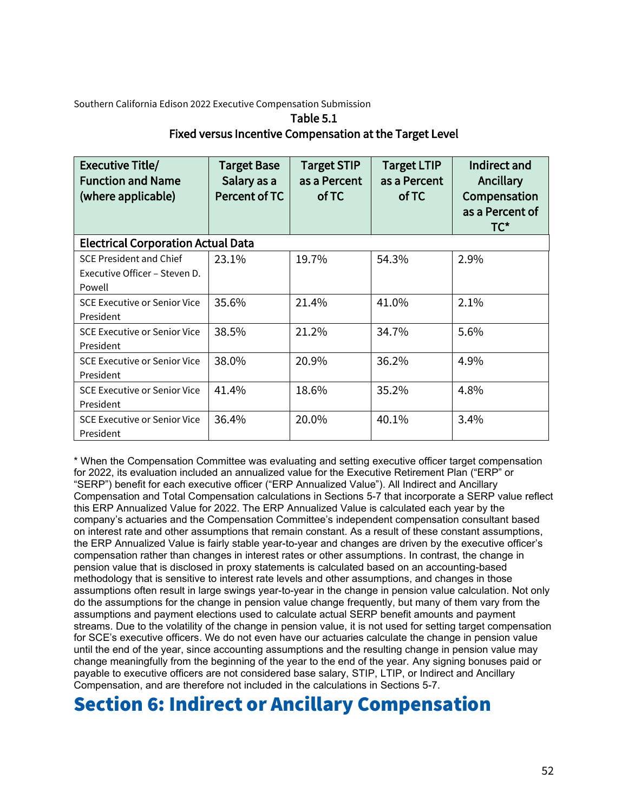#### Table 5.1 Fixed versus Incentive Compensation at the Target Level

| <b>Executive Title/</b><br><b>Function and Name</b><br>(where applicable) | <b>Target Base</b><br>Salary as a<br>Percent of TC | <b>Target STIP</b><br>as a Percent<br>of TC | <b>Target LTIP</b><br>as a Percent<br>of TC | Indirect and<br>Ancillary<br>Compensation<br>as a Percent of<br>$TC^*$ |
|---------------------------------------------------------------------------|----------------------------------------------------|---------------------------------------------|---------------------------------------------|------------------------------------------------------------------------|
| <b>Electrical Corporation Actual Data</b>                                 |                                                    |                                             |                                             |                                                                        |
| <b>SCE President and Chief</b><br>Executive Officer - Steven D.<br>Powell | 23.1%                                              | 19.7%                                       | 54.3%                                       | 2.9%                                                                   |
| <b>SCE Executive or Senior Vice</b><br>President                          | 35.6%                                              | 21.4%                                       | 41.0%                                       | 2.1%                                                                   |
| <b>SCE Executive or Senior Vice</b><br>President                          | 38.5%                                              | 21.2%                                       | 34.7%                                       | 5.6%                                                                   |
| <b>SCE Executive or Senior Vice</b><br>President                          | 38.0%                                              | 20.9%                                       | 36.2%                                       | 4.9%                                                                   |
| <b>SCE Executive or Senior Vice</b><br>President                          | 41.4%                                              | 18.6%                                       | 35.2%                                       | 4.8%                                                                   |
| <b>SCE Executive or Senior Vice</b><br>President                          | 36.4%                                              | 20.0%                                       | 40.1%                                       | 3.4%                                                                   |

\* When the Compensation Committee was evaluating and setting executive officer target compensation for 2022, its evaluation included an annualized value for the Executive Retirement Plan ("ERP" or "SERP") benefit for each executive officer ("ERP Annualized Value"). All Indirect and Ancillary Compensation and Total Compensation calculations in Sections 5-7 that incorporate a SERP value reflect this ERP Annualized Value for 2022. The ERP Annualized Value is calculated each year by the company's actuaries and the Compensation Committee's independent compensation consultant based on interest rate and other assumptions that remain constant. As a result of these constant assumptions, the ERP Annualized Value is fairly stable year-to-year and changes are driven by the executive officer's compensation rather than changes in interest rates or other assumptions. In contrast, the change in pension value that is disclosed in proxy statements is calculated based on an accounting-based methodology that is sensitive to interest rate levels and other assumptions, and changes in those assumptions often result in large swings year-to-year in the change in pension value calculation. Not only do the assumptions for the change in pension value change frequently, but many of them vary from the assumptions and payment elections used to calculate actual SERP benefit amounts and payment streams. Due to the volatility of the change in pension value, it is not used for setting target compensation for SCE's executive officers. We do not even have our actuaries calculate the change in pension value until the end of the year, since accounting assumptions and the resulting change in pension value may change meaningfully from the beginning of the year to the end of the year. Any signing bonuses paid or payable to executive officers are not considered base salary, STIP, LTIP, or Indirect and Ancillary Compensation, and are therefore not included in the calculations in Sections 5-7.

# Section 6: Indirect or Ancillary Compensation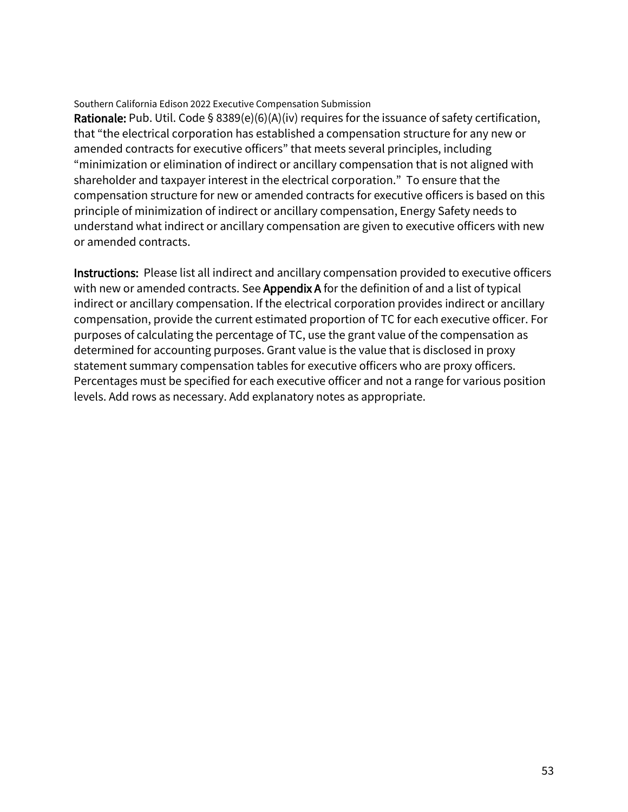Rationale: Pub. Util. Code § 8389(e)(6)(A)(iv) requires for the issuance of safety certification, that "the electrical corporation has established a compensation structure for any new or amended contracts for executive officers" that meets several principles, including "minimization or elimination of indirect or ancillary compensation that is not aligned with shareholder and taxpayer interest in the electrical corporation." To ensure that the compensation structure for new or amended contracts for executive officers is based on this principle of minimization of indirect or ancillary compensation, Energy Safety needs to understand what indirect or ancillary compensation are given to executive officers with new or amended contracts.

Instructions: Please list all indirect and ancillary compensation provided to executive officers with new or amended contracts. See **Appendix A** for the definition of and a list of typical indirect or ancillary compensation. If the electrical corporation provides indirect or ancillary compensation, provide the current estimated proportion of TC for each executive officer. For purposes of calculating the percentage of TC, use the grant value of the compensation as determined for accounting purposes. Grant value is the value that is disclosed in proxy statement summary compensation tables for executive officers who are proxy officers. Percentages must be specified for each executive officer and not a range for various position levels. Add rows as necessary. Add explanatory notes as appropriate.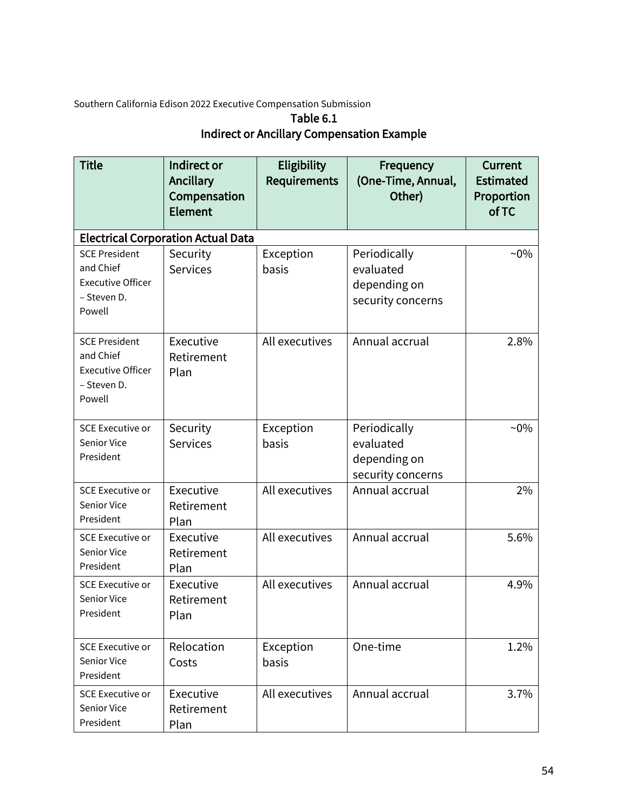## Table 6.1 Indirect or Ancillary Compensation Example

| <b>Title</b>                                                                           | Indirect or<br>Ancillary<br>Compensation<br>Element | <b>Eligibility</b><br><b>Requirements</b> | Frequency<br>(One-Time, Annual,<br>Other)                      | Current<br><b>Estimated</b><br>Proportion<br>of TC |
|----------------------------------------------------------------------------------------|-----------------------------------------------------|-------------------------------------------|----------------------------------------------------------------|----------------------------------------------------|
|                                                                                        | <b>Electrical Corporation Actual Data</b>           |                                           |                                                                |                                                    |
| <b>SCE President</b><br>and Chief<br><b>Executive Officer</b><br>- Steven D.<br>Powell | Security<br><b>Services</b>                         | Exception<br>basis                        | Periodically<br>evaluated<br>depending on<br>security concerns | $~10\%$                                            |
| <b>SCE President</b><br>and Chief<br><b>Executive Officer</b><br>- Steven D.<br>Powell | Executive<br>Retirement<br>Plan                     | All executives                            | Annual accrual                                                 | 2.8%                                               |
| <b>SCE Executive or</b><br><b>Senior Vice</b><br>President                             | Security<br><b>Services</b>                         | Exception<br>basis                        | Periodically<br>evaluated<br>depending on<br>security concerns | $~10\%$                                            |
| <b>SCE Executive or</b><br><b>Senior Vice</b><br>President                             | Executive<br>Retirement<br>Plan                     | All executives                            | Annual accrual                                                 | 2%                                                 |
| <b>SCE Executive or</b><br>Senior Vice<br>President                                    | Executive<br>Retirement<br>Plan                     | All executives                            | Annual accrual                                                 | 5.6%                                               |
| <b>SCE Executive or</b><br>Senior Vice<br>President                                    | Executive<br>Retirement<br>Plan                     | All executives                            | Annual accrual                                                 | 4.9%                                               |
| <b>SCE Executive or</b><br>Senior Vice<br>President                                    | Relocation<br>Costs                                 | Exception<br>basis                        | One-time                                                       | 1.2%                                               |
| <b>SCE Executive or</b><br>Senior Vice<br>President                                    | Executive<br>Retirement<br>Plan                     | All executives                            | Annual accrual                                                 | 3.7%                                               |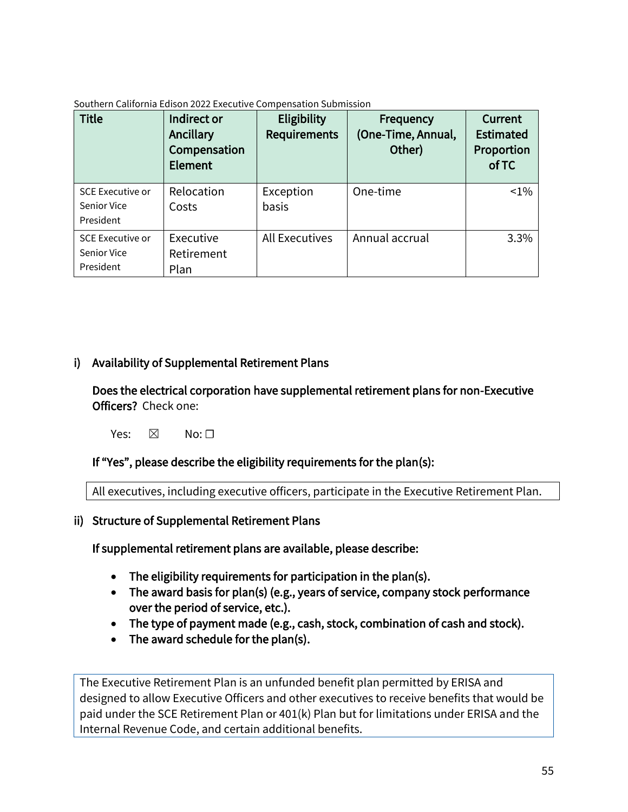| <b>Title</b>                                               | Indirect or<br>Ancillary<br>Compensation<br>Element | Eligibility<br><b>Requirements</b> | Frequency<br>(One-Time, Annual,<br>Other) | Current<br><b>Estimated</b><br>Proportion<br>of TC |
|------------------------------------------------------------|-----------------------------------------------------|------------------------------------|-------------------------------------------|----------------------------------------------------|
| <b>SCE Executive or</b><br><b>Senior Vice</b><br>President | Relocation<br>Costs                                 | Exception<br><b>basis</b>          | One-time                                  | $< 1\%$                                            |
| <b>SCE Executive or</b><br>Senior Vice<br>President        | Executive<br>Retirement<br>Plan                     | <b>All Executives</b>              | Annual accrual                            | 3.3%                                               |

## i) Availability of Supplemental Retirement Plans

Does the electrical corporation have supplemental retirement plans for non-Executive Officers? Check one:

Yes:  $\boxtimes$  No:  $\square$ 

#### If "Yes", please describe the eligibility requirements for the plan(s):

All executives, including executive officers, participate in the Executive Retirement Plan.

#### ii) Structure of Supplemental Retirement Plans

If supplemental retirement plans are available, please describe:

- The eligibility requirements for participation in the plan(s).
- The award basis for plan(s) (e.g., years of service, company stock performance over the period of service, etc.).
- The type of payment made (e.g., cash, stock, combination of cash and stock).
- The award schedule for the plan(s).

The Executive Retirement Plan is an unfunded benefit plan permitted by ERISA and designed to allow Executive Officers and other executives to receive benefits that would be paid under the SCE Retirement Plan or 401(k) Plan but for limitations under ERISA and the Internal Revenue Code, and certain additional benefits.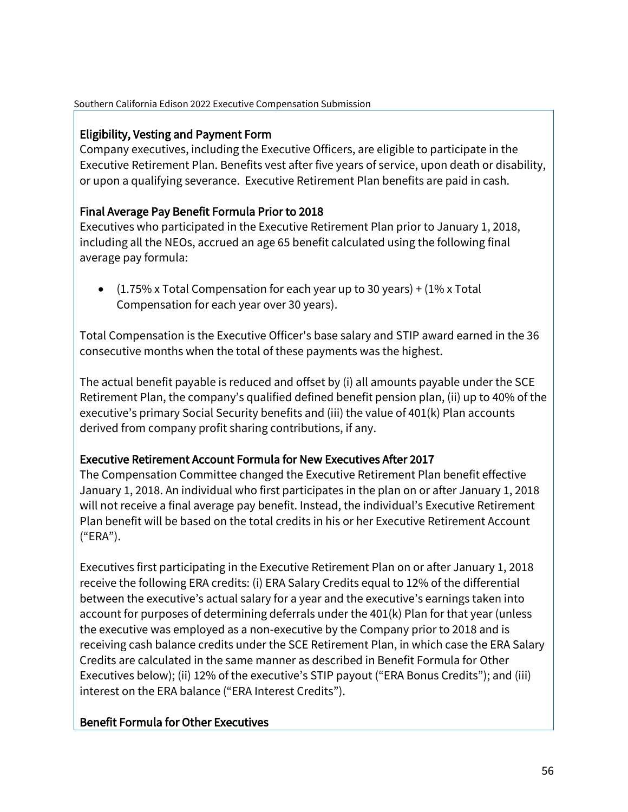## Eligibility, Vesting and Payment Form

Company executives, including the Executive Officers, are eligible to participate in the Executive Retirement Plan. Benefits vest after five years of service, upon death or disability, or upon a qualifying severance. Executive Retirement Plan benefits are paid in cash.

## Final Average Pay Benefit Formula Prior to 2018

Executives who participated in the Executive Retirement Plan prior to January 1, 2018, including all the NEOs, accrued an age 65 benefit calculated using the following final average pay formula:

•  $(1.75\% \times \text{Total Comparison for each year up to 30 years}) + (1\% \times \text{Total})$ Compensation for each year over 30 years).

Total Compensation is the Executive Officer's base salary and STIP award earned in the 36 consecutive months when the total of these payments was the highest.

The actual benefit payable is reduced and offset by (i) all amounts payable under the SCE Retirement Plan, the company's qualified defined benefit pension plan, (ii) up to 40% of the executive's primary Social Security benefits and (iii) the value of 401(k) Plan accounts derived from company profit sharing contributions, if any.

## Executive Retirement Account Formula for New Executives After 2017

The Compensation Committee changed the Executive Retirement Plan benefit effective January 1, 2018. An individual who first participates in the plan on or after January 1, 2018 will not receive a final average pay benefit. Instead, the individual's Executive Retirement Plan benefit will be based on the total credits in his or her Executive Retirement Account ("ERA").

Executives first participating in the Executive Retirement Plan on or after January 1, 2018 receive the following ERA credits: (i) ERA Salary Credits equal to 12% of the differential between the executive's actual salary for a year and the executive's earnings taken into account for purposes of determining deferrals under the 401(k) Plan for that year (unless the executive was employed as a non-executive by the Company prior to 2018 and is receiving cash balance credits under the SCE Retirement Plan, in which case the ERA Salary Credits are calculated in the same manner as described in Benefit Formula for Other Executives below); (ii) 12% of the executive's STIP payout ("ERA Bonus Credits"); and (iii) interest on the ERA balance ("ERA Interest Credits").

## Benefit Formula for Other Executives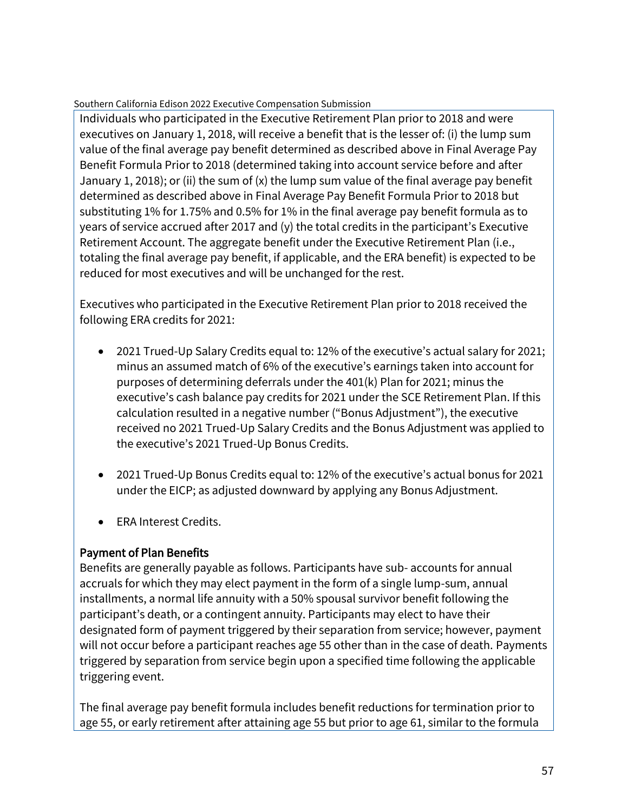Individuals who participated in the Executive Retirement Plan prior to 2018 and were executives on January 1, 2018, will receive a benefit that is the lesser of: (i) the lump sum value of the final average pay benefit determined as described above in Final Average Pay Benefit Formula Prior to 2018 (determined taking into account service before and after January 1, 2018); or (ii) the sum of (x) the lump sum value of the final average pay benefit determined as described above in Final Average Pay Benefit Formula Prior to 2018 but substituting 1% for 1.75% and 0.5% for 1% in the final average pay benefit formula as to years of service accrued after 2017 and (y) the total credits in the participant's Executive Retirement Account. The aggregate benefit under the Executive Retirement Plan (i.e., totaling the final average pay benefit, if applicable, and the ERA benefit) is expected to be reduced for most executives and will be unchanged for the rest.

Executives who participated in the Executive Retirement Plan prior to 2018 received the following ERA credits for 2021:

- 2021 Trued-Up Salary Credits equal to: 12% of the executive's actual salary for 2021; minus an assumed match of 6% of the executive's earnings taken into account for purposes of determining deferrals under the 401(k) Plan for 2021; minus the executive's cash balance pay credits for 2021 under the SCE Retirement Plan. If this calculation resulted in a negative number ("Bonus Adjustment"), the executive received no 2021 Trued-Up Salary Credits and the Bonus Adjustment was applied to the executive's 2021 Trued-Up Bonus Credits.
- 2021 Trued-Up Bonus Credits equal to: 12% of the executive's actual bonus for 2021 under the EICP; as adjusted downward by applying any Bonus Adjustment.
- ERA Interest Credits.

## Payment of Plan Benefits

Benefits are generally payable as follows. Participants have sub- accounts for annual accruals for which they may elect payment in the form of a single lump-sum, annual installments, a normal life annuity with a 50% spousal survivor benefit following the participant's death, or a contingent annuity. Participants may elect to have their designated form of payment triggered by their separation from service; however, payment will not occur before a participant reaches age 55 other than in the case of death. Payments triggered by separation from service begin upon a specified time following the applicable triggering event.

The final average pay benefit formula includes benefit reductions for termination prior to age 55, or early retirement after attaining age 55 but prior to age 61, similar to the formula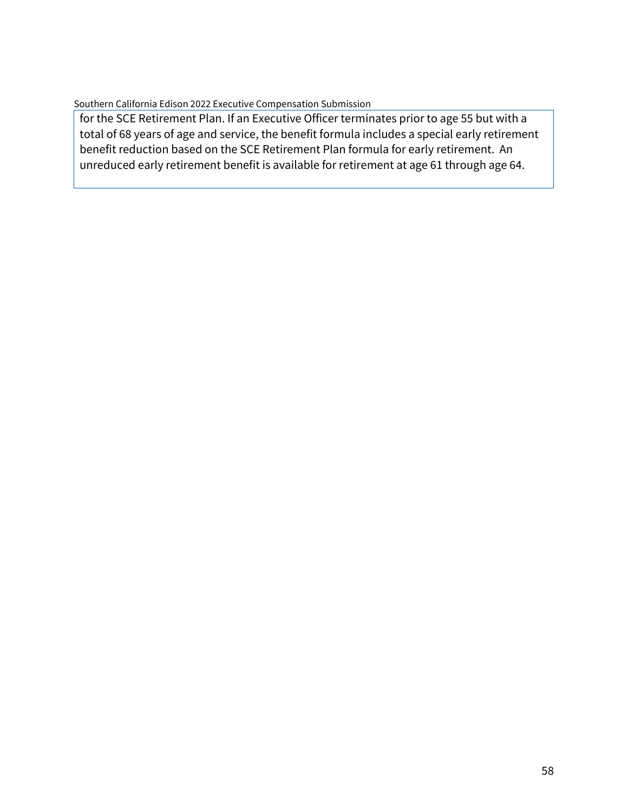for the SCE Retirement Plan. If an Executive Officer terminates prior to age 55 but with a total of 68 years of age and service, the benefit formula includes a special early retirement benefit reduction based on the SCE Retirement Plan formula for early retirement. An unreduced early retirement benefit is available for retirement at age 61 through age 64.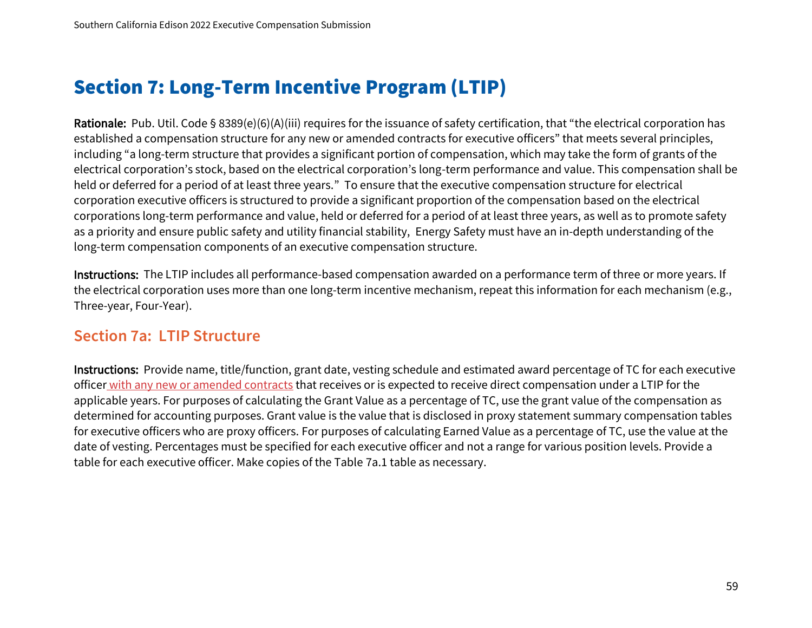# Section 7: Long-Term Incentive Program (LTIP)

Rationale: Pub. Util. Code § 8389(e)(6)(A)(iii) requires for the issuance of safety certification, that "the electrical corporation has established a compensation structure for any new or amended contracts for executive officers" that meets several principles, including "a long-term structure that provides a significant portion of compensation, which may take the form of grants of the electrical corporation's stock, based on the electrical corporation's long-term performance and value. This compensation shall be held or deferred for a period of at least three years." To ensure that the executive compensation structure for electrical corporation executive officers is structured to provide a significant proportion of the compensation based on the electrical corporations long-term performance and value, held or deferred for a period of at least three years, as well as to promote safety as a priority and ensure public safety and utility financial stability, Energy Safety must have an in-depth understanding of the long-term compensation components of an executive compensation structure.

Instructions: The LTIP includes all performance-based compensation awarded on a performance term of three or more years. If the electrical corporation uses more than one long-term incentive mechanism, repeat this information for each mechanism (e.g., Three-year, Four-Year).

## **Section 7a: LTIP Structure**

Instructions: Provide name, title/function, grant date, vesting schedule and estimated award percentage of TC for each executive officer with any new or amended contracts that receives or is expected to receive direct compensation under a LTIP for the applicable years. For purposes of calculating the Grant Value as a percentage of TC, use the grant value of the compensation as determined for accounting purposes. Grant value is the value that is disclosed in proxy statement summary compensation tables for executive officers who are proxy officers. For purposes of calculating Earned Value as a percentage of TC, use the value at the date of vesting. Percentages must be specified for each executive officer and not a range for various position levels. Provide a table for each executive officer. Make copies of the Table 7a.1 table as necessary.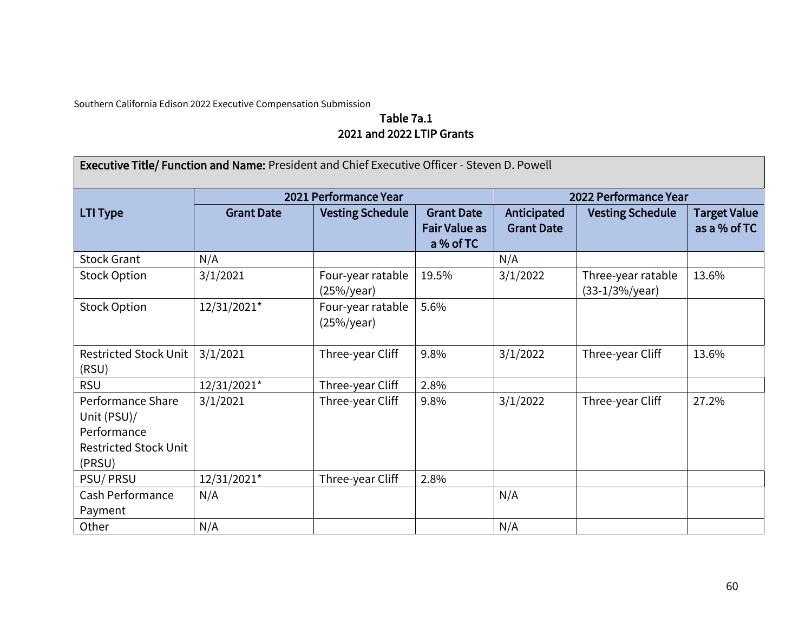## Table 7a.1 2021 and 2022 LTIP Grants

| Executive Title/ Function and Name: President and Chief Executive Officer - Steven D. Powell |                   |                                    |                                                        |                                  |                                          |                                     |  |
|----------------------------------------------------------------------------------------------|-------------------|------------------------------------|--------------------------------------------------------|----------------------------------|------------------------------------------|-------------------------------------|--|
|                                                                                              |                   | 2021 Performance Year              |                                                        |                                  | 2022 Performance Year                    |                                     |  |
| <b>LTI Type</b>                                                                              | <b>Grant Date</b> | <b>Vesting Schedule</b>            | <b>Grant Date</b><br><b>Fair Value as</b><br>a % of TC | Anticipated<br><b>Grant Date</b> | <b>Vesting Schedule</b>                  | <b>Target Value</b><br>as a % of TC |  |
| <b>Stock Grant</b>                                                                           | N/A               |                                    |                                                        | N/A                              |                                          |                                     |  |
| <b>Stock Option</b>                                                                          | 3/1/2021          | Four-year ratable<br>(25%/year)    | 19.5%                                                  | 3/1/2022                         | Three-year ratable<br>$(33-1/3%)$ /year) | 13.6%                               |  |
| <b>Stock Option</b>                                                                          | 12/31/2021*       | Four-year ratable<br>$(25\%/year)$ | 5.6%                                                   |                                  |                                          |                                     |  |
| <b>Restricted Stock Unit</b><br>(RSU)                                                        | 3/1/2021          | Three-year Cliff                   | 9.8%                                                   | 3/1/2022                         | Three-year Cliff                         | 13.6%                               |  |
| <b>RSU</b>                                                                                   | 12/31/2021*       | Three-year Cliff                   | 2.8%                                                   |                                  |                                          |                                     |  |
| Performance Share<br>Unit (PSU)/<br>Performance<br><b>Restricted Stock Unit</b><br>(PRSU)    | 3/1/2021          | Three-year Cliff                   | 9.8%                                                   | 3/1/2022                         | Three-year Cliff                         | 27.2%                               |  |
| <b>PSU/PRSU</b>                                                                              | 12/31/2021*       | Three-year Cliff                   | 2.8%                                                   |                                  |                                          |                                     |  |
| Cash Performance<br>Payment                                                                  | N/A               |                                    |                                                        | N/A                              |                                          |                                     |  |
| Other                                                                                        | N/A               |                                    |                                                        | N/A                              |                                          |                                     |  |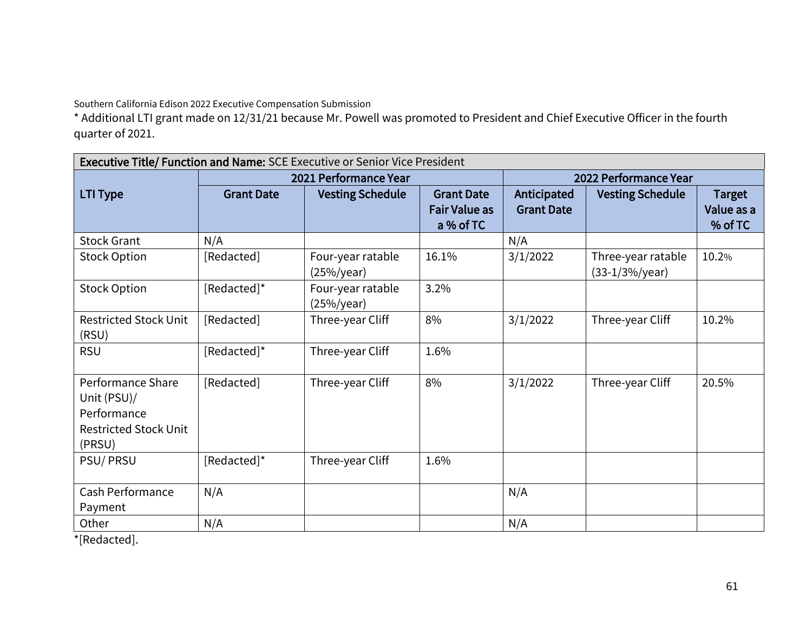\* Additional LTI grant made on 12/31/21 because Mr. Powell was promoted to President and Chief Executive Officer in the fourth quarter of 2021.

| <b>Executive Title/ Function and Name: SCE Executive or Senior Vice President</b> |                   |                         |                      |                       |                         |               |  |
|-----------------------------------------------------------------------------------|-------------------|-------------------------|----------------------|-----------------------|-------------------------|---------------|--|
|                                                                                   |                   | 2021 Performance Year   |                      | 2022 Performance Year |                         |               |  |
| <b>LTI Type</b>                                                                   | <b>Grant Date</b> | <b>Vesting Schedule</b> | <b>Grant Date</b>    | Anticipated           | <b>Vesting Schedule</b> | <b>Target</b> |  |
|                                                                                   |                   |                         | <b>Fair Value as</b> | <b>Grant Date</b>     |                         | Value as a    |  |
|                                                                                   |                   |                         | a % of TC            |                       |                         | % of TC       |  |
| <b>Stock Grant</b>                                                                | N/A               |                         |                      | N/A                   |                         |               |  |
| <b>Stock Option</b>                                                               | [Redacted]        | Four-year ratable       | 16.1%                | 3/1/2022              | Three-year ratable      | 10.2%         |  |
|                                                                                   |                   | (25%/year)              |                      |                       | (33-1/3%/year)          |               |  |
| <b>Stock Option</b>                                                               | [Redacted]*       | Four-year ratable       | 3.2%                 |                       |                         |               |  |
|                                                                                   |                   | (25%/year)              |                      |                       |                         |               |  |
| <b>Restricted Stock Unit</b>                                                      | [Redacted]        | Three-year Cliff        | 8%                   | 3/1/2022              | Three-year Cliff        | 10.2%         |  |
| (RSU)                                                                             |                   |                         |                      |                       |                         |               |  |
| <b>RSU</b>                                                                        | [Redacted]*       | Three-year Cliff        | 1.6%                 |                       |                         |               |  |
|                                                                                   |                   |                         |                      |                       |                         |               |  |
| Performance Share                                                                 | [Redacted]        | Three-year Cliff        | 8%                   | 3/1/2022              | Three-year Cliff        | 20.5%         |  |
| Unit (PSU)/                                                                       |                   |                         |                      |                       |                         |               |  |
| Performance                                                                       |                   |                         |                      |                       |                         |               |  |
| <b>Restricted Stock Unit</b>                                                      |                   |                         |                      |                       |                         |               |  |
| (PRSU)                                                                            |                   |                         |                      |                       |                         |               |  |
| PSU/PRSU                                                                          | [Redacted]*       | Three-year Cliff        | 1.6%                 |                       |                         |               |  |
|                                                                                   |                   |                         |                      |                       |                         |               |  |
| <b>Cash Performance</b>                                                           | N/A               |                         |                      | N/A                   |                         |               |  |
| Payment                                                                           |                   |                         |                      |                       |                         |               |  |
| Other                                                                             | N/A               |                         |                      | N/A                   |                         |               |  |

\*[Redacted].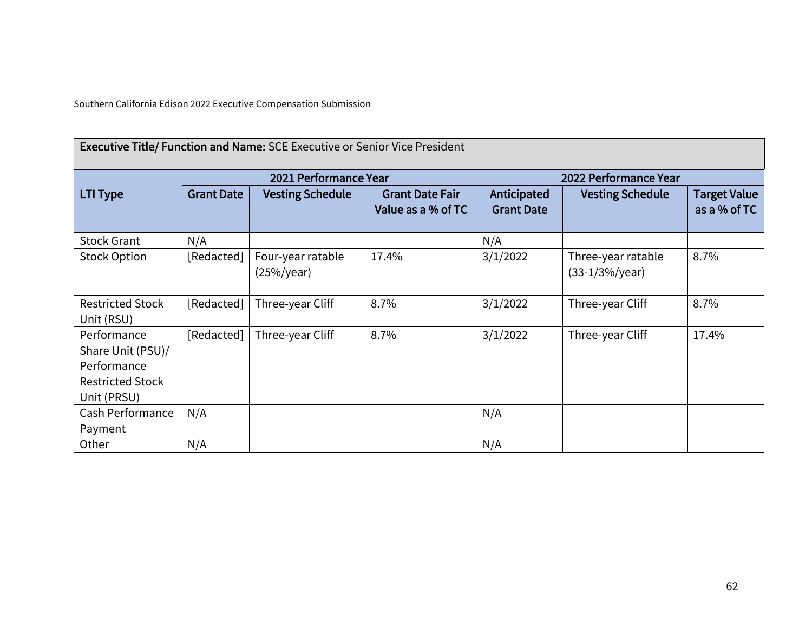| <b>Executive Title/ Function and Name: SCE Executive or Senior Vice President</b>         |                   |                                 |                                              |                                  |                                         |                                     |  |
|-------------------------------------------------------------------------------------------|-------------------|---------------------------------|----------------------------------------------|----------------------------------|-----------------------------------------|-------------------------------------|--|
|                                                                                           |                   | 2021 Performance Year           |                                              |                                  | 2022 Performance Year                   |                                     |  |
| <b>LTI Type</b>                                                                           | <b>Grant Date</b> | <b>Vesting Schedule</b>         | <b>Grant Date Fair</b><br>Value as a % of TC | Anticipated<br><b>Grant Date</b> | <b>Vesting Schedule</b>                 | <b>Target Value</b><br>as a % of TC |  |
| <b>Stock Grant</b>                                                                        | N/A               |                                 |                                              | N/A                              |                                         |                                     |  |
| <b>Stock Option</b>                                                                       | [Redacted]        | Four-year ratable<br>(25%/year) | 17.4%                                        | 3/1/2022                         | Three-year ratable<br>$(33-1/3%)/year)$ | 8.7%                                |  |
| <b>Restricted Stock</b><br>Unit (RSU)                                                     | [Redacted]        | Three-year Cliff                | 8.7%                                         | 3/1/2022                         | Three-year Cliff                        | 8.7%                                |  |
| Performance<br>Share Unit (PSU)/<br>Performance<br><b>Restricted Stock</b><br>Unit (PRSU) | [Redacted]        | Three-year Cliff                | 8.7%                                         | 3/1/2022                         | Three-year Cliff                        | 17.4%                               |  |
| Cash Performance<br>Payment                                                               | N/A               |                                 |                                              | N/A                              |                                         |                                     |  |
| Other                                                                                     | N/A               |                                 |                                              | N/A                              |                                         |                                     |  |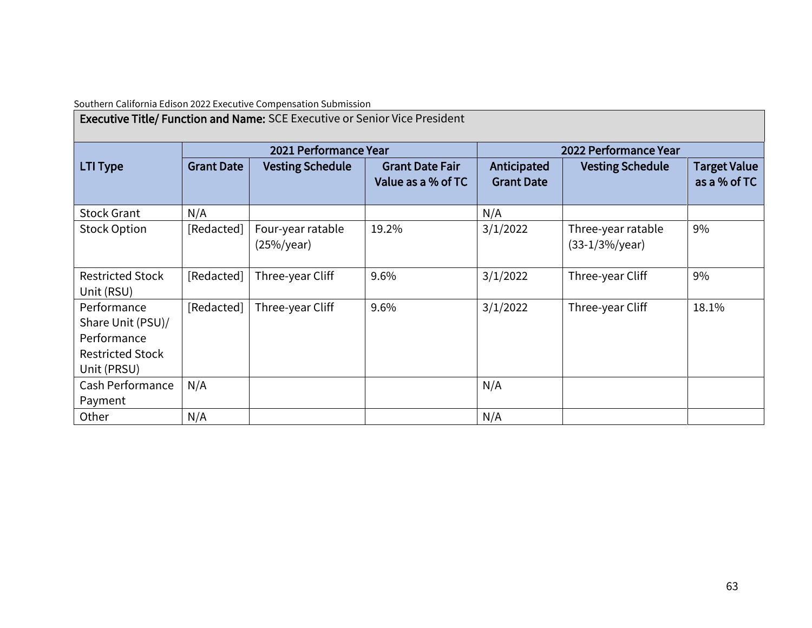| <b>Executive Title/ Function and Name: SCE Executive or Senior Vice President</b>         |                   |                                    |                                              |                                  |                                         |                                     |  |
|-------------------------------------------------------------------------------------------|-------------------|------------------------------------|----------------------------------------------|----------------------------------|-----------------------------------------|-------------------------------------|--|
|                                                                                           |                   | 2021 Performance Year              |                                              |                                  | 2022 Performance Year                   |                                     |  |
| <b>LTI Type</b>                                                                           | <b>Grant Date</b> | <b>Vesting Schedule</b>            | <b>Grant Date Fair</b><br>Value as a % of TC | Anticipated<br><b>Grant Date</b> | <b>Vesting Schedule</b>                 | <b>Target Value</b><br>as a % of TC |  |
| <b>Stock Grant</b>                                                                        | N/A               |                                    |                                              | N/A                              |                                         |                                     |  |
| <b>Stock Option</b>                                                                       | [Redacted]        | Four-year ratable<br>$(25\%/year)$ | 19.2%                                        | 3/1/2022                         | Three-year ratable<br>$(33-1/3%)/year)$ | 9%                                  |  |
| <b>Restricted Stock</b><br>Unit (RSU)                                                     | [Redacted]        | Three-year Cliff                   | 9.6%                                         | 3/1/2022                         | Three-year Cliff                        | 9%                                  |  |
| Performance<br>Share Unit (PSU)/<br>Performance<br><b>Restricted Stock</b><br>Unit (PRSU) | [Redacted]        | Three-year Cliff                   | 9.6%                                         | 3/1/2022                         | Three-year Cliff                        | 18.1%                               |  |
| Cash Performance<br>Payment                                                               | N/A               |                                    |                                              | N/A                              |                                         |                                     |  |
| Other                                                                                     | N/A               |                                    |                                              | N/A                              |                                         |                                     |  |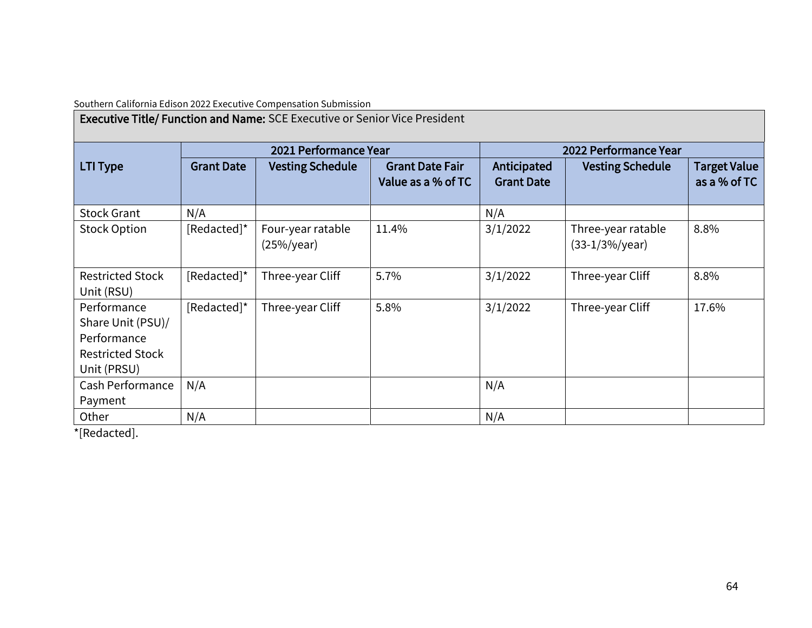| <b>Executive Title/ Function and Name: SCE Executive or Senior Vice President</b>         |                   |                                    |                                              |                                  |                                         |                                     |  |
|-------------------------------------------------------------------------------------------|-------------------|------------------------------------|----------------------------------------------|----------------------------------|-----------------------------------------|-------------------------------------|--|
|                                                                                           |                   | 2021 Performance Year              |                                              |                                  | 2022 Performance Year                   |                                     |  |
| <b>LTI Type</b>                                                                           | <b>Grant Date</b> | <b>Vesting Schedule</b>            | <b>Grant Date Fair</b><br>Value as a % of TC | Anticipated<br><b>Grant Date</b> | <b>Vesting Schedule</b>                 | <b>Target Value</b><br>as a % of TC |  |
| <b>Stock Grant</b>                                                                        | N/A               |                                    |                                              | N/A                              |                                         |                                     |  |
| <b>Stock Option</b>                                                                       | [Redacted]*       | Four-year ratable<br>$(25\%/year)$ | 11.4%                                        | 3/1/2022                         | Three-year ratable<br>$(33-1/3%)/year)$ | 8.8%                                |  |
| <b>Restricted Stock</b><br>Unit (RSU)                                                     | [Redacted]*       | Three-year Cliff                   | 5.7%                                         | 3/1/2022                         | Three-year Cliff                        | 8.8%                                |  |
| Performance<br>Share Unit (PSU)/<br>Performance<br><b>Restricted Stock</b><br>Unit (PRSU) | [Redacted]*       | Three-year Cliff                   | 5.8%                                         | 3/1/2022                         | Three-year Cliff                        | 17.6%                               |  |
| Cash Performance<br>Payment                                                               | N/A               |                                    |                                              | N/A                              |                                         |                                     |  |
| Other                                                                                     | N/A               |                                    |                                              | N/A                              |                                         |                                     |  |

\*[Redacted].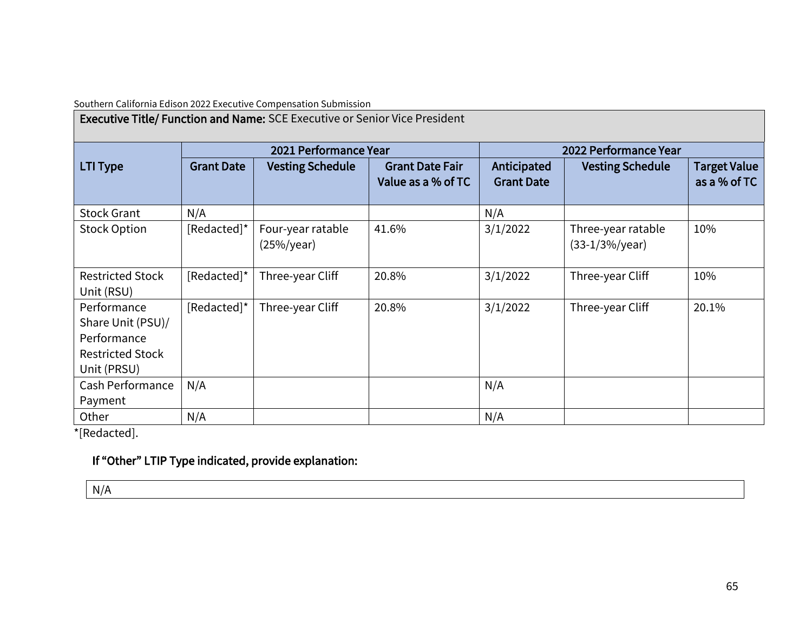| <b>Executive Title/ Function and Name: SCE Executive or Senior Vice President</b>         |                   |                                    |                                              |                                  |                                         |                                     |  |
|-------------------------------------------------------------------------------------------|-------------------|------------------------------------|----------------------------------------------|----------------------------------|-----------------------------------------|-------------------------------------|--|
|                                                                                           |                   | 2021 Performance Year              |                                              |                                  | 2022 Performance Year                   |                                     |  |
| <b>LTI Type</b>                                                                           | <b>Grant Date</b> | <b>Vesting Schedule</b>            | <b>Grant Date Fair</b><br>Value as a % of TC | Anticipated<br><b>Grant Date</b> | <b>Vesting Schedule</b>                 | <b>Target Value</b><br>as a % of TC |  |
| <b>Stock Grant</b>                                                                        | N/A               |                                    |                                              | N/A                              |                                         |                                     |  |
| <b>Stock Option</b>                                                                       | [Redacted]*       | Four-year ratable<br>$(25\%/year)$ | 41.6%                                        | 3/1/2022                         | Three-year ratable<br>$(33-1/3%)/year)$ | 10%                                 |  |
| <b>Restricted Stock</b><br>Unit (RSU)                                                     | [Redacted]*       | Three-year Cliff                   | 20.8%                                        | 3/1/2022                         | Three-year Cliff                        | 10%                                 |  |
| Performance<br>Share Unit (PSU)/<br>Performance<br><b>Restricted Stock</b><br>Unit (PRSU) | [Redacted]*       | Three-year Cliff                   | 20.8%                                        | 3/1/2022                         | Three-year Cliff                        | 20.1%                               |  |
| Cash Performance<br>Payment                                                               | N/A               |                                    |                                              | N/A                              |                                         |                                     |  |
| Other                                                                                     | N/A               |                                    |                                              | N/A                              |                                         |                                     |  |

\*[Redacted].

## If "Other" LTIP Type indicated, provide explanation:

N/A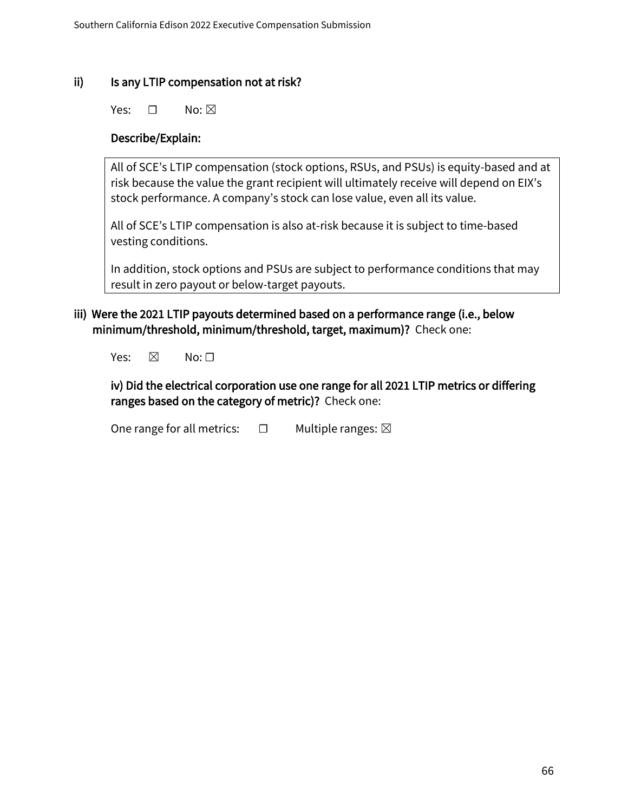#### ii) Is any LTIP compensation not at risk?

Yes: <del>□</del> No: ⊠

#### Describe/Explain:

All of SCE's LTIP compensation (stock options, RSUs, and PSUs) is equity-based and at risk because the value the grant recipient will ultimately receive will depend on EIX's stock performance. A company's stock can lose value, even all its value.

All of SCE's LTIP compensation is also at-risk because it is subject to time-based vesting conditions.

In addition, stock options and PSUs are subject to performance conditions that may result in zero payout or below-target payouts.

#### iii) Were the 2021 LTIP payouts determined based on a performance range (i.e., below minimum/threshold, minimum/threshold, target, maximum)? Check one:

Yes:  $\boxtimes$  No:  $\Box$ 

iv) Did the electrical corporation use one range for all 2021 LTIP metrics or differing ranges based on the category of metric)? Check one:

One range for all metrics:  $□$  Multiple ranges:  $□$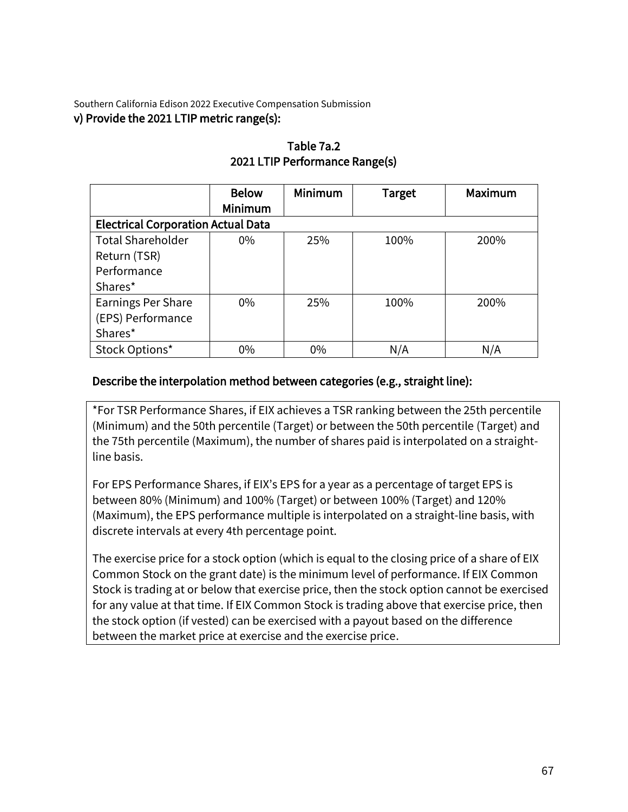Southern California Edison 2022 Executive Compensation Submission v) Provide the 2021 LTIP metric range(s):

|                                           | <b>Below</b> | Minimum | <b>Target</b> | Maximum |
|-------------------------------------------|--------------|---------|---------------|---------|
|                                           | Minimum      |         |               |         |
| <b>Electrical Corporation Actual Data</b> |              |         |               |         |
| <b>Total Shareholder</b>                  | $0\%$        | 25%     | 100%          | 200%    |
| Return (TSR)                              |              |         |               |         |
| Performance                               |              |         |               |         |
| Shares*                                   |              |         |               |         |
| <b>Earnings Per Share</b>                 | $0\%$        | 25%     | 100%          | 200%    |
| (EPS) Performance                         |              |         |               |         |
| Shares*                                   |              |         |               |         |
| Stock Options*                            | 0%           | $0\%$   | N/A           | N/A     |

#### Table 7a.2 2021 LTIP Performance Range(s)

## Describe the interpolation method between categories (e.g., straight line):

\*For TSR Performance Shares, if EIX achieves a TSR ranking between the 25th percentile (Minimum) and the 50th percentile (Target) or between the 50th percentile (Target) and the 75th percentile (Maximum), the number of shares paid is interpolated on a straightline basis.

For EPS Performance Shares, if EIX's EPS for a year as a percentage of target EPS is between 80% (Minimum) and 100% (Target) or between 100% (Target) and 120% (Maximum), the EPS performance multiple is interpolated on a straight-line basis, with discrete intervals at every 4th percentage point.

The exercise price for a stock option (which is equal to the closing price of a share of EIX Common Stock on the grant date) is the minimum level of performance. If EIX Common Stock is trading at or below that exercise price, then the stock option cannot be exercised for any value at that time. If EIX Common Stock is trading above that exercise price, then the stock option (if vested) can be exercised with a payout based on the difference between the market price at exercise and the exercise price.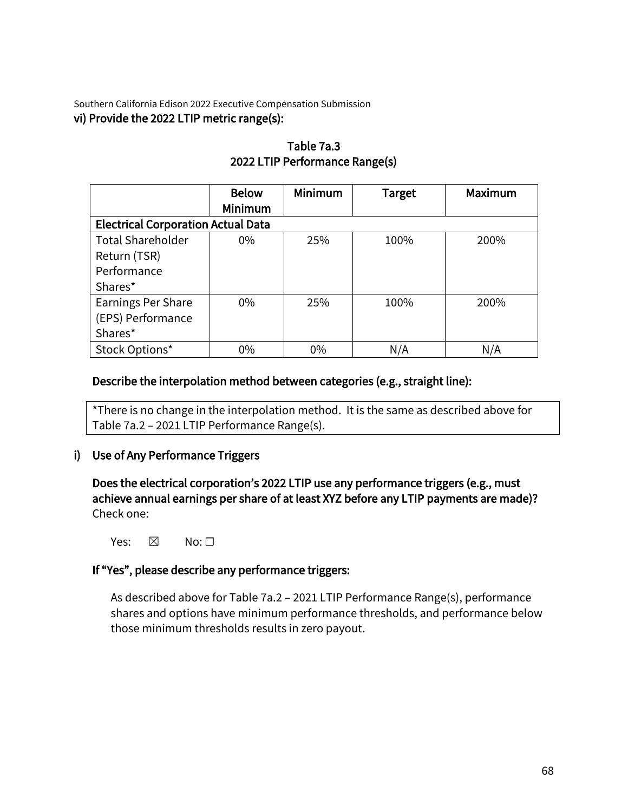Southern California Edison 2022 Executive Compensation Submission vi) Provide the 2022 LTIP metric range(s):

|                                           | <b>Below</b>   | Minimum | <b>Target</b> | <b>Maximum</b> |
|-------------------------------------------|----------------|---------|---------------|----------------|
|                                           | <b>Minimum</b> |         |               |                |
| <b>Electrical Corporation Actual Data</b> |                |         |               |                |
| <b>Total Shareholder</b>                  | $0\%$          | 25%     | 100%          | 200%           |
| Return (TSR)                              |                |         |               |                |
| Performance                               |                |         |               |                |
| Shares*                                   |                |         |               |                |
| Earnings Per Share                        | $0\%$          | 25%     | 100%          | 200%           |
| (EPS) Performance                         |                |         |               |                |
| Shares*                                   |                |         |               |                |
| Stock Options*                            | $0\%$          | $0\%$   | N/A           | N/A            |

## Table 7a.3 2022 LTIP Performance Range(s)

## Describe the interpolation method between categories (e.g., straight line):

\*There is no change in the interpolation method. It is the same as described above for Table 7a.2 – 2021 LTIP Performance Range(s).

## i) Use of Any Performance Triggers

Does the electrical corporation's 2022 LTIP use any performance triggers (e.g., must achieve annual earnings per share of at least XYZ before any LTIP payments are made)? Check one:

Yes:  $\boxtimes$  No:  $\square$ 

#### If "Yes", please describe any performance triggers:

As described above for Table 7a.2 – 2021 LTIP Performance Range(s), performance shares and options have minimum performance thresholds, and performance below those minimum thresholds results in zero payout.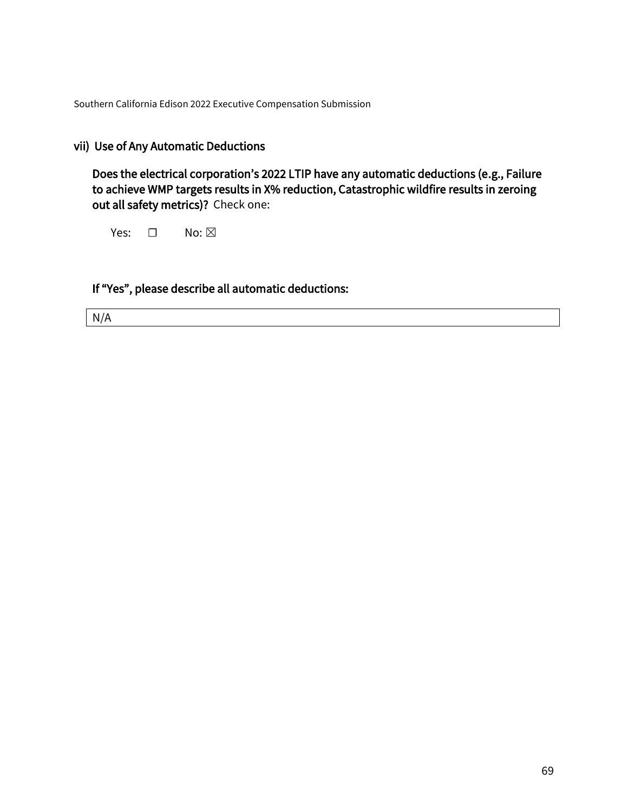## vii) Use of Any Automatic Deductions

Does the electrical corporation's 2022 LTIP have any automatic deductions (e.g., Failure to achieve WMP targets results in X% reduction, Catastrophic wildfire results in zeroing out all safety metrics)? Check one:

Yes: □ No: ⊠

If "Yes", please describe all automatic deductions:

N/A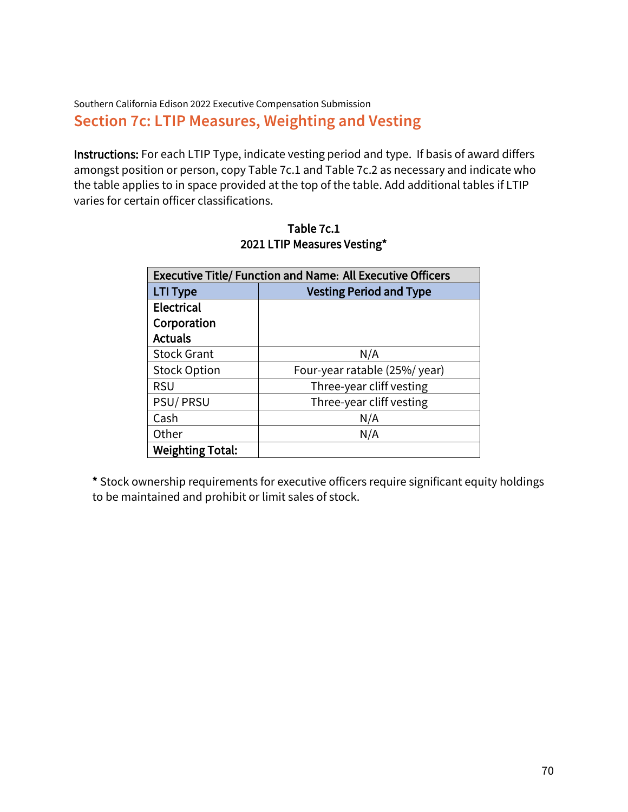## Southern California Edison 2022 Executive Compensation Submission **Section 7c: LTIP Measures, Weighting and Vesting**

Instructions: For each LTIP Type, indicate vesting period and type. If basis of award differs amongst position or person, copy Table 7c.1 and Table 7c.2 as necessary and indicate who the table applies to in space provided at the top of the table. Add additional tables if LTIP varies for certain officer classifications.

| <b>Executive Title/ Function and Name: All Executive Officers</b> |                                |
|-------------------------------------------------------------------|--------------------------------|
| LTI Type                                                          | <b>Vesting Period and Type</b> |
| Electrical                                                        |                                |
| Corporation                                                       |                                |
| <b>Actuals</b>                                                    |                                |
| <b>Stock Grant</b>                                                | N/A                            |
| <b>Stock Option</b>                                               | Four-year ratable (25%/year)   |
| <b>RSU</b>                                                        | Three-year cliff vesting       |
| PSU/PRSU                                                          | Three-year cliff vesting       |
| Cash                                                              | N/A                            |
| Other                                                             | N/A                            |
| <b>Weighting Total:</b>                                           |                                |

Table 7c.1 2021 LTIP Measures Vesting\*

\* Stock ownership requirements for executive officers require significant equity holdings to be maintained and prohibit or limit sales of stock.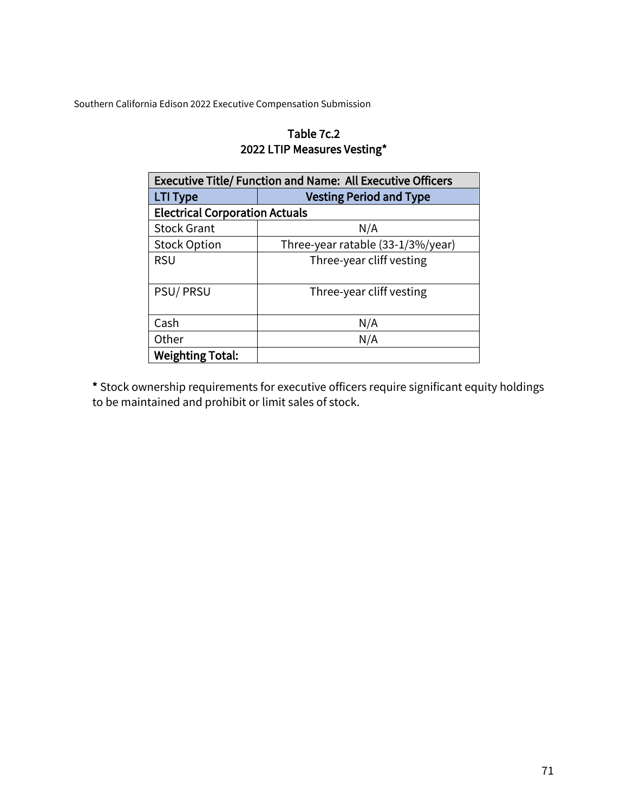## Table 7c.2 2022 LTIP Measures Vesting\*

| <b>Executive Title/ Function and Name: All Executive Officers</b> |                                   |  |
|-------------------------------------------------------------------|-----------------------------------|--|
| <b>LTI Type</b>                                                   | <b>Vesting Period and Type</b>    |  |
| <b>Electrical Corporation Actuals</b>                             |                                   |  |
| <b>Stock Grant</b>                                                | N/A                               |  |
| <b>Stock Option</b>                                               | Three-year ratable (33-1/3%/year) |  |
| <b>RSU</b>                                                        | Three-year cliff vesting          |  |
| PSU/PRSU                                                          | Three-year cliff vesting          |  |
| Cash                                                              | N/A                               |  |
| Other                                                             | N/A                               |  |
| <b>Weighting Total:</b>                                           |                                   |  |

\* Stock ownership requirements for executive officers require significant equity holdings to be maintained and prohibit or limit sales of stock.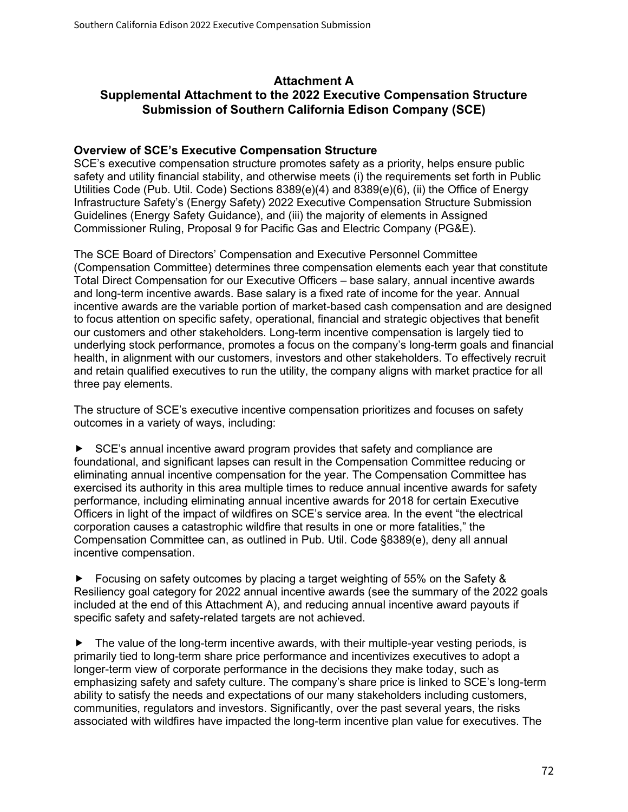#### **Attachment A Supplemental Attachment to the 2022 Executive Compensation Structure Submission of Southern California Edison Company (SCE)**

#### **Overview of SCE's Executive Compensation Structure**

SCE's executive compensation structure promotes safety as a priority, helps ensure public safety and utility financial stability, and otherwise meets (i) the requirements set forth in Public Utilities Code (Pub. Util. Code) Sections 8389(e)(4) and 8389(e)(6), (ii) the Office of Energy Infrastructure Safety's (Energy Safety) 2022 Executive Compensation Structure Submission Guidelines (Energy Safety Guidance), and (iii) the majority of elements in Assigned Commissioner Ruling, Proposal 9 for Pacific Gas and Electric Company (PG&E).

The SCE Board of Directors' Compensation and Executive Personnel Committee (Compensation Committee) determines three compensation elements each year that constitute Total Direct Compensation for our Executive Officers – base salary, annual incentive awards and long-term incentive awards. Base salary is a fixed rate of income for the year. Annual incentive awards are the variable portion of market-based cash compensation and are designed to focus attention on specific safety, operational, financial and strategic objectives that benefit our customers and other stakeholders. Long-term incentive compensation is largely tied to underlying stock performance, promotes a focus on the company's long-term goals and financial health, in alignment with our customers, investors and other stakeholders. To effectively recruit and retain qualified executives to run the utility, the company aligns with market practice for all three pay elements.

The structure of SCE's executive incentive compensation prioritizes and focuses on safety outcomes in a variety of ways, including:

▶ SCE's annual incentive award program provides that safety and compliance are foundational, and significant lapses can result in the Compensation Committee reducing or eliminating annual incentive compensation for the year. The Compensation Committee has exercised its authority in this area multiple times to reduce annual incentive awards for safety performance, including eliminating annual incentive awards for 2018 for certain Executive Officers in light of the impact of wildfires on SCE's service area. In the event "the electrical corporation causes a catastrophic wildfire that results in one or more fatalities," the Compensation Committee can, as outlined in Pub. Util. Code §8389(e), deny all annual incentive compensation.

► Focusing on safety outcomes by placing a target weighting of 55% on the Safety & Resiliency goal category for 2022 annual incentive awards (see the summary of the 2022 goals included at the end of this Attachment A), and reducing annual incentive award payouts if specific safety and safety-related targets are not achieved.

 $\blacktriangleright$  The value of the long-term incentive awards, with their multiple-year vesting periods, is primarily tied to long-term share price performance and incentivizes executives to adopt a longer-term view of corporate performance in the decisions they make today, such as emphasizing safety and safety culture. The company's share price is linked to SCE's long-term ability to satisfy the needs and expectations of our many stakeholders including customers, communities, regulators and investors. Significantly, over the past several years, the risks associated with wildfires have impacted the long-term incentive plan value for executives. The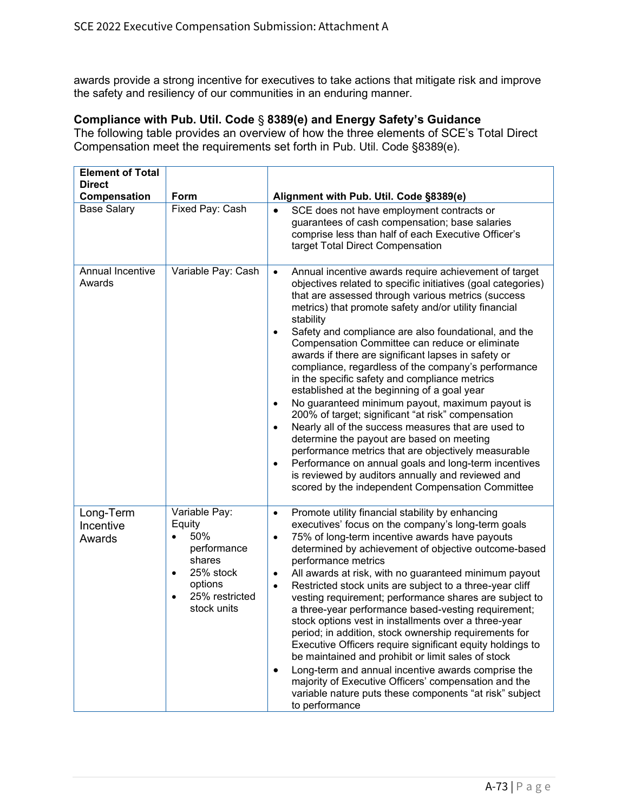awards provide a strong incentive for executives to take actions that mitigate risk and improve the safety and resiliency of our communities in an enduring manner.

#### **Compliance with Pub. Util. Code** § **8389(e) and Energy Safety's Guidance**

The following table provides an overview of how the three elements of SCE's Total Direct Compensation meet the requirements set forth in Pub. Util. Code §8389(e).

| <b>Element of Total</b>          |                                                                                                                                    |                                                                                                                                                                                                                                                                                                                                                                                                                                                                                                                                                                                                                                                                                                                                                                                                                                                                                                                                                                                                                                                                                 |
|----------------------------------|------------------------------------------------------------------------------------------------------------------------------------|---------------------------------------------------------------------------------------------------------------------------------------------------------------------------------------------------------------------------------------------------------------------------------------------------------------------------------------------------------------------------------------------------------------------------------------------------------------------------------------------------------------------------------------------------------------------------------------------------------------------------------------------------------------------------------------------------------------------------------------------------------------------------------------------------------------------------------------------------------------------------------------------------------------------------------------------------------------------------------------------------------------------------------------------------------------------------------|
| <b>Direct</b>                    |                                                                                                                                    |                                                                                                                                                                                                                                                                                                                                                                                                                                                                                                                                                                                                                                                                                                                                                                                                                                                                                                                                                                                                                                                                                 |
| Compensation                     | Form                                                                                                                               | Alignment with Pub. Util. Code §8389(e)                                                                                                                                                                                                                                                                                                                                                                                                                                                                                                                                                                                                                                                                                                                                                                                                                                                                                                                                                                                                                                         |
| <b>Base Salary</b>               | Fixed Pay: Cash                                                                                                                    | SCE does not have employment contracts or<br>guarantees of cash compensation; base salaries<br>comprise less than half of each Executive Officer's<br>target Total Direct Compensation                                                                                                                                                                                                                                                                                                                                                                                                                                                                                                                                                                                                                                                                                                                                                                                                                                                                                          |
| Annual Incentive<br>Awards       | Variable Pay: Cash                                                                                                                 | Annual incentive awards require achievement of target<br>$\bullet$<br>objectives related to specific initiatives (goal categories)<br>that are assessed through various metrics (success<br>metrics) that promote safety and/or utility financial<br>stability<br>Safety and compliance are also foundational, and the<br>$\bullet$<br>Compensation Committee can reduce or eliminate<br>awards if there are significant lapses in safety or<br>compliance, regardless of the company's performance<br>in the specific safety and compliance metrics<br>established at the beginning of a goal year<br>No guaranteed minimum payout, maximum payout is<br>$\bullet$<br>200% of target; significant "at risk" compensation<br>Nearly all of the success measures that are used to<br>$\bullet$<br>determine the payout are based on meeting<br>performance metrics that are objectively measurable<br>Performance on annual goals and long-term incentives<br>$\bullet$<br>is reviewed by auditors annually and reviewed and<br>scored by the independent Compensation Committee |
| Long-Term<br>Incentive<br>Awards | Variable Pay:<br>Equity<br>50%<br>performance<br>shares<br>25% stock<br>٠<br>options<br>25% restricted<br>$\bullet$<br>stock units | Promote utility financial stability by enhancing<br>$\bullet$<br>executives' focus on the company's long-term goals<br>75% of long-term incentive awards have payouts<br>$\bullet$<br>determined by achievement of objective outcome-based<br>performance metrics<br>All awards at risk, with no guaranteed minimum payout<br>$\bullet$<br>Restricted stock units are subject to a three-year cliff<br>$\bullet$<br>vesting requirement; performance shares are subject to<br>a three-year performance based-vesting requirement;<br>stock options vest in installments over a three-year<br>period; in addition, stock ownership requirements for<br>Executive Officers require significant equity holdings to<br>be maintained and prohibit or limit sales of stock<br>Long-term and annual incentive awards comprise the<br>٠<br>majority of Executive Officers' compensation and the<br>variable nature puts these components "at risk" subject<br>to performance                                                                                                           |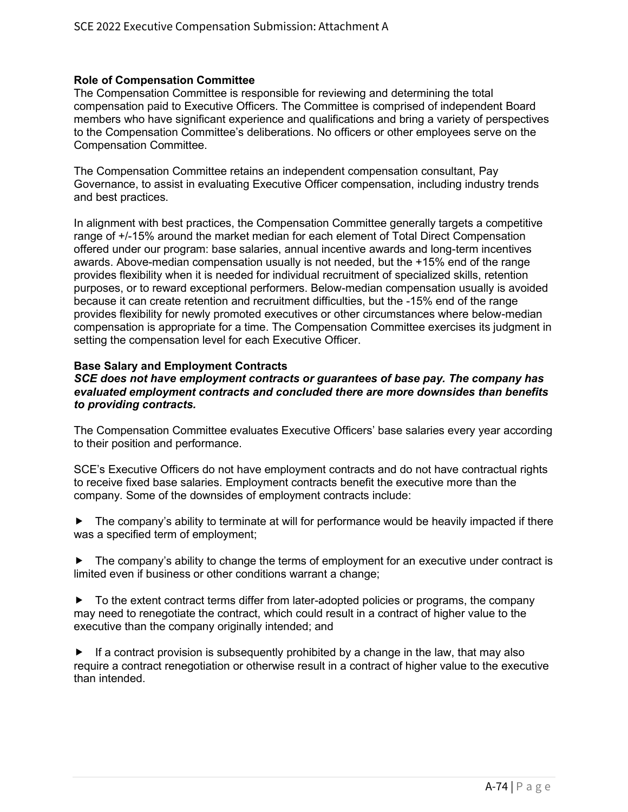## **Role of Compensation Committee**

The Compensation Committee is responsible for reviewing and determining the total compensation paid to Executive Officers. The Committee is comprised of independent Board members who have significant experience and qualifications and bring a variety of perspectives to the Compensation Committee's deliberations. No officers or other employees serve on the Compensation Committee.

The Compensation Committee retains an independent compensation consultant, Pay Governance, to assist in evaluating Executive Officer compensation, including industry trends and best practices.

In alignment with best practices, the Compensation Committee generally targets a competitive range of +/-15% around the market median for each element of Total Direct Compensation offered under our program: base salaries, annual incentive awards and long-term incentives awards. Above-median compensation usually is not needed, but the +15% end of the range provides flexibility when it is needed for individual recruitment of specialized skills, retention purposes, or to reward exceptional performers. Below-median compensation usually is avoided because it can create retention and recruitment difficulties, but the -15% end of the range provides flexibility for newly promoted executives or other circumstances where below-median compensation is appropriate for a time. The Compensation Committee exercises its judgment in setting the compensation level for each Executive Officer.

## **Base Salary and Employment Contracts**

#### *SCE does not have employment contracts or guarantees of base pay. The company has evaluated employment contracts and concluded there are more downsides than benefits to providing contracts.*

The Compensation Committee evaluates Executive Officers' base salaries every year according to their position and performance.

SCE's Executive Officers do not have employment contracts and do not have contractual rights to receive fixed base salaries. Employment contracts benefit the executive more than the company. Some of the downsides of employment contracts include:

 $\blacktriangleright$  The company's ability to terminate at will for performance would be heavily impacted if there was a specified term of employment;

 $\blacktriangleright$  The company's ability to change the terms of employment for an executive under contract is limited even if business or other conditions warrant a change;

 $\blacktriangleright$  To the extent contract terms differ from later-adopted policies or programs, the company may need to renegotiate the contract, which could result in a contract of higher value to the executive than the company originally intended; and

 $\blacktriangleright$  If a contract provision is subsequently prohibited by a change in the law, that may also require a contract renegotiation or otherwise result in a contract of higher value to the executive than intended.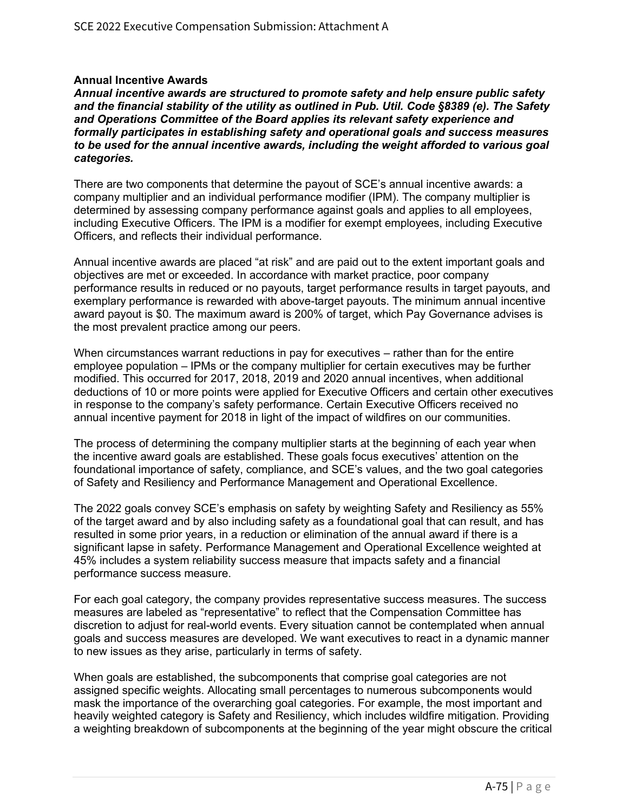## **Annual Incentive Awards**

*Annual incentive awards are structured to promote safety and help ensure public safety and the financial stability of the utility as outlined in Pub. Util. Code §8389 (e). The Safety and Operations Committee of the Board applies its relevant safety experience and formally participates in establishing safety and operational goals and success measures to be used for the annual incentive awards, including the weight afforded to various goal categories.* 

There are two components that determine the payout of SCE's annual incentive awards: a company multiplier and an individual performance modifier (IPM). The company multiplier is determined by assessing company performance against goals and applies to all employees, including Executive Officers. The IPM is a modifier for exempt employees, including Executive Officers, and reflects their individual performance.

Annual incentive awards are placed "at risk" and are paid out to the extent important goals and objectives are met or exceeded. In accordance with market practice, poor company performance results in reduced or no payouts, target performance results in target payouts, and exemplary performance is rewarded with above-target payouts. The minimum annual incentive award payout is \$0. The maximum award is 200% of target, which Pay Governance advises is the most prevalent practice among our peers.

When circumstances warrant reductions in pay for executives – rather than for the entire employee population – IPMs or the company multiplier for certain executives may be further modified. This occurred for 2017, 2018, 2019 and 2020 annual incentives, when additional deductions of 10 or more points were applied for Executive Officers and certain other executives in response to the company's safety performance. Certain Executive Officers received no annual incentive payment for 2018 in light of the impact of wildfires on our communities.

The process of determining the company multiplier starts at the beginning of each year when the incentive award goals are established. These goals focus executives' attention on the foundational importance of safety, compliance, and SCE's values, and the two goal categories of Safety and Resiliency and Performance Management and Operational Excellence.

The 2022 goals convey SCE's emphasis on safety by weighting Safety and Resiliency as 55% of the target award and by also including safety as a foundational goal that can result, and has resulted in some prior years, in a reduction or elimination of the annual award if there is a significant lapse in safety. Performance Management and Operational Excellence weighted at 45% includes a system reliability success measure that impacts safety and a financial performance success measure.

For each goal category, the company provides representative success measures. The success measures are labeled as "representative" to reflect that the Compensation Committee has discretion to adjust for real-world events. Every situation cannot be contemplated when annual goals and success measures are developed. We want executives to react in a dynamic manner to new issues as they arise, particularly in terms of safety.

When goals are established, the subcomponents that comprise goal categories are not assigned specific weights. Allocating small percentages to numerous subcomponents would mask the importance of the overarching goal categories. For example, the most important and heavily weighted category is Safety and Resiliency, which includes wildfire mitigation. Providing a weighting breakdown of subcomponents at the beginning of the year might obscure the critical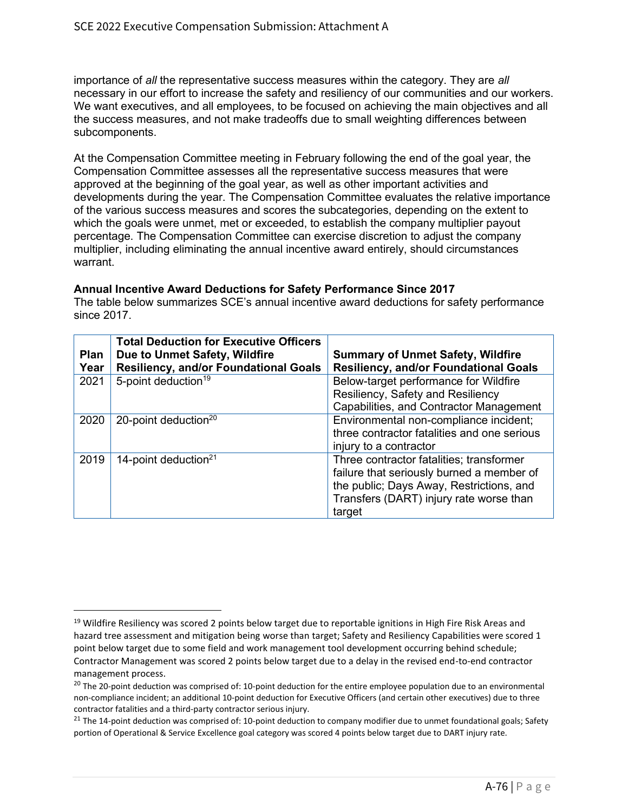importance of *all* the representative success measures within the category. They are *all*  necessary in our effort to increase the safety and resiliency of our communities and our workers. We want executives, and all employees, to be focused on achieving the main objectives and all the success measures, and not make tradeoffs due to small weighting differences between subcomponents.

At the Compensation Committee meeting in February following the end of the goal year, the Compensation Committee assesses all the representative success measures that were approved at the beginning of the goal year, as well as other important activities and developments during the year. The Compensation Committee evaluates the relative importance of the various success measures and scores the subcategories, depending on the extent to which the goals were unmet, met or exceeded, to establish the company multiplier payout percentage. The Compensation Committee can exercise discretion to adjust the company multiplier, including eliminating the annual incentive award entirely, should circumstances warrant.

# **Annual Incentive Award Deductions for Safety Performance Since 2017**

The table below summarizes SCE's annual incentive award deductions for safety performance since 2017.

| <b>Plan</b><br>Year | <b>Total Deduction for Executive Officers</b><br>Due to Unmet Safety, Wildfire<br><b>Resiliency, and/or Foundational Goals</b> | <b>Summary of Unmet Safety, Wildfire</b><br><b>Resiliency, and/or Foundational Goals</b>                                                                                               |
|---------------------|--------------------------------------------------------------------------------------------------------------------------------|----------------------------------------------------------------------------------------------------------------------------------------------------------------------------------------|
| 2021                | 5-point deduction <sup>19</sup>                                                                                                | Below-target performance for Wildfire<br>Resiliency, Safety and Resiliency<br>Capabilities, and Contractor Management                                                                  |
| 2020                | 20-point deduction <sup>20</sup>                                                                                               | Environmental non-compliance incident;<br>three contractor fatalities and one serious<br>injury to a contractor                                                                        |
| 2019                | 14-point deduction <sup>21</sup>                                                                                               | Three contractor fatalities; transformer<br>failure that seriously burned a member of<br>the public; Days Away, Restrictions, and<br>Transfers (DART) injury rate worse than<br>target |

 $19$  Wildfire Resiliency was scored 2 points below target due to reportable ignitions in High Fire Risk Areas and hazard tree assessment and mitigation being worse than target; Safety and Resiliency Capabilities were scored 1 point below target due to some field and work management tool development occurring behind schedule; Contractor Management was scored 2 points below target due to a delay in the revised end-to-end contractor management process.

<sup>&</sup>lt;sup>20</sup> The 20-point deduction was comprised of: 10-point deduction for the entire employee population due to an environmental non-compliance incident; an additional 10-point deduction for Executive Officers (and certain other executives) due to three contractor fatalities and a third-party contractor serious injury.

<sup>&</sup>lt;sup>21</sup> The 14-point deduction was comprised of: 10-point deduction to company modifier due to unmet foundational goals; Safety portion of Operational & Service Excellence goal category was scored 4 points below target due to DART injury rate.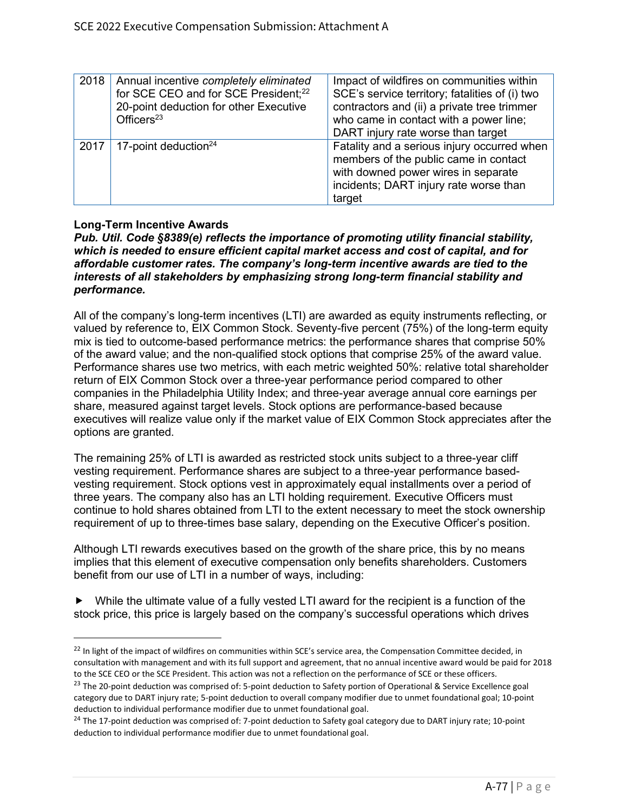| 2018 | Annual incentive completely eliminated<br>for SCE CEO and for SCE President; <sup>22</sup><br>20-point deduction for other Executive<br>Officers $23$ | Impact of wildfires on communities within<br>SCE's service territory; fatalities of (i) two<br>contractors and (ii) a private tree trimmer<br>who came in contact with a power line;<br>DART injury rate worse than target |
|------|-------------------------------------------------------------------------------------------------------------------------------------------------------|----------------------------------------------------------------------------------------------------------------------------------------------------------------------------------------------------------------------------|
| 2017 | 17-point deduction $24$                                                                                                                               | Fatality and a serious injury occurred when<br>members of the public came in contact<br>with downed power wires in separate<br>incidents; DART injury rate worse than<br>target                                            |

# **Long-Term Incentive Awards**

*Pub. Util. Code §8389(e) reflects the importance of promoting utility financial stability, which is needed to ensure efficient capital market access and cost of capital, and for affordable customer rates. The company's long-term incentive awards are tied to the interests of all stakeholders by emphasizing strong long-term financial stability and performance.* 

All of the company's long-term incentives (LTI) are awarded as equity instruments reflecting, or valued by reference to, EIX Common Stock. Seventy-five percent (75%) of the long-term equity mix is tied to outcome-based performance metrics: the performance shares that comprise 50% of the award value; and the non-qualified stock options that comprise 25% of the award value. Performance shares use two metrics, with each metric weighted 50%: relative total shareholder return of EIX Common Stock over a three-year performance period compared to other companies in the Philadelphia Utility Index; and three-year average annual core earnings per share, measured against target levels. Stock options are performance-based because executives will realize value only if the market value of EIX Common Stock appreciates after the options are granted.

The remaining 25% of LTI is awarded as restricted stock units subject to a three-year cliff vesting requirement. Performance shares are subject to a three-year performance basedvesting requirement. Stock options vest in approximately equal installments over a period of three years. The company also has an LTI holding requirement. Executive Officers must continue to hold shares obtained from LTI to the extent necessary to meet the stock ownership requirement of up to three-times base salary, depending on the Executive Officer's position.

Although LTI rewards executives based on the growth of the share price, this by no means implies that this element of executive compensation only benefits shareholders. Customers benefit from our use of LTI in a number of ways, including:

 While the ultimate value of a fully vested LTI award for the recipient is a function of the stock price, this price is largely based on the company's successful operations which drives

<sup>&</sup>lt;sup>22</sup> In light of the impact of wildfires on communities within SCE's service area, the Compensation Committee decided, in consultation with management and with its full support and agreement, that no annual incentive award would be paid for 2018 to the SCE CEO or the SCE President. This action was not a reflection on the performance of SCE or these officers.

<sup>&</sup>lt;sup>23</sup> The 20-point deduction was comprised of: 5-point deduction to Safety portion of Operational & Service Excellence goal category due to DART injury rate; 5-point deduction to overall company modifier due to unmet foundational goal; 10-point deduction to individual performance modifier due to unmet foundational goal.

<sup>&</sup>lt;sup>24</sup> The 17-point deduction was comprised of: 7-point deduction to Safety goal category due to DART injury rate; 10-point deduction to individual performance modifier due to unmet foundational goal.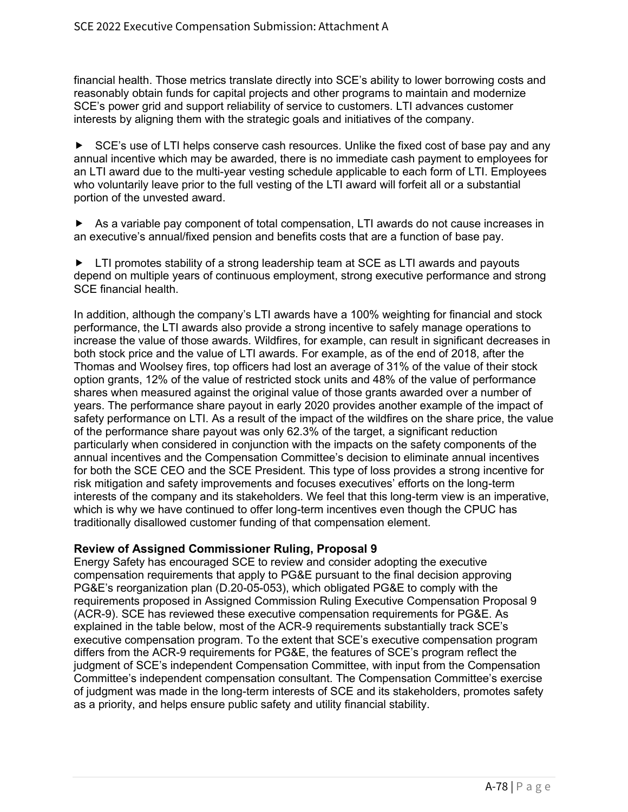financial health. Those metrics translate directly into SCE's ability to lower borrowing costs and reasonably obtain funds for capital projects and other programs to maintain and modernize SCE's power grid and support reliability of service to customers. LTI advances customer interests by aligning them with the strategic goals and initiatives of the company.

► SCE's use of LTI helps conserve cash resources. Unlike the fixed cost of base pay and any annual incentive which may be awarded, there is no immediate cash payment to employees for an LTI award due to the multi-year vesting schedule applicable to each form of LTI. Employees who voluntarily leave prior to the full vesting of the LTI award will forfeit all or a substantial portion of the unvested award.

 As a variable pay component of total compensation, LTI awards do not cause increases in an executive's annual/fixed pension and benefits costs that are a function of base pay.

► LTI promotes stability of a strong leadership team at SCE as LTI awards and payouts depend on multiple years of continuous employment, strong executive performance and strong SCE financial health.

In addition, although the company's LTI awards have a 100% weighting for financial and stock performance, the LTI awards also provide a strong incentive to safely manage operations to increase the value of those awards. Wildfires, for example, can result in significant decreases in both stock price and the value of LTI awards. For example, as of the end of 2018, after the Thomas and Woolsey fires, top officers had lost an average of 31% of the value of their stock option grants, 12% of the value of restricted stock units and 48% of the value of performance shares when measured against the original value of those grants awarded over a number of years. The performance share payout in early 2020 provides another example of the impact of safety performance on LTI. As a result of the impact of the wildfires on the share price, the value of the performance share payout was only 62.3% of the target, a significant reduction particularly when considered in conjunction with the impacts on the safety components of the annual incentives and the Compensation Committee's decision to eliminate annual incentives for both the SCE CEO and the SCE President. This type of loss provides a strong incentive for risk mitigation and safety improvements and focuses executives' efforts on the long-term interests of the company and its stakeholders. We feel that this long-term view is an imperative, which is why we have continued to offer long-term incentives even though the CPUC has traditionally disallowed customer funding of that compensation element.

## **Review of Assigned Commissioner Ruling, Proposal 9**

Energy Safety has encouraged SCE to review and consider adopting the executive compensation requirements that apply to PG&E pursuant to the final decision approving PG&E's reorganization plan (D.20-05-053), which obligated PG&E to comply with the requirements proposed in Assigned Commission Ruling Executive Compensation Proposal 9 (ACR-9). SCE has reviewed these executive compensation requirements for PG&E. As explained in the table below, most of the ACR-9 requirements substantially track SCE's executive compensation program. To the extent that SCE's executive compensation program differs from the ACR-9 requirements for PG&E, the features of SCE's program reflect the judgment of SCE's independent Compensation Committee, with input from the Compensation Committee's independent compensation consultant. The Compensation Committee's exercise of judgment was made in the long-term interests of SCE and its stakeholders, promotes safety as a priority, and helps ensure public safety and utility financial stability.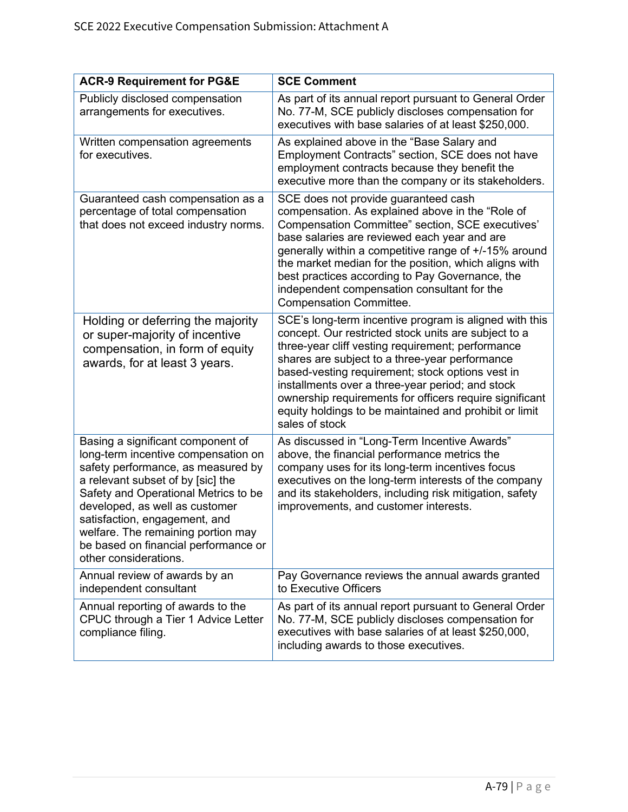| <b>ACR-9 Requirement for PG&amp;E</b>                                                                                                                                                                                                                                                                                                                                 | <b>SCE Comment</b>                                                                                                                                                                                                                                                                                                                                                                                                                                                   |  |
|-----------------------------------------------------------------------------------------------------------------------------------------------------------------------------------------------------------------------------------------------------------------------------------------------------------------------------------------------------------------------|----------------------------------------------------------------------------------------------------------------------------------------------------------------------------------------------------------------------------------------------------------------------------------------------------------------------------------------------------------------------------------------------------------------------------------------------------------------------|--|
| Publicly disclosed compensation<br>arrangements for executives.                                                                                                                                                                                                                                                                                                       | As part of its annual report pursuant to General Order<br>No. 77-M, SCE publicly discloses compensation for<br>executives with base salaries of at least \$250,000.                                                                                                                                                                                                                                                                                                  |  |
| Written compensation agreements<br>for executives.                                                                                                                                                                                                                                                                                                                    | As explained above in the "Base Salary and<br>Employment Contracts" section, SCE does not have<br>employment contracts because they benefit the<br>executive more than the company or its stakeholders.                                                                                                                                                                                                                                                              |  |
| Guaranteed cash compensation as a<br>percentage of total compensation<br>that does not exceed industry norms.                                                                                                                                                                                                                                                         | SCE does not provide guaranteed cash<br>compensation. As explained above in the "Role of<br>Compensation Committee" section, SCE executives'<br>base salaries are reviewed each year and are<br>generally within a competitive range of +/-15% around<br>the market median for the position, which aligns with<br>best practices according to Pay Governance, the<br>independent compensation consultant for the<br><b>Compensation Committee.</b>                   |  |
| Holding or deferring the majority<br>or super-majority of incentive<br>compensation, in form of equity<br>awards, for at least 3 years.                                                                                                                                                                                                                               | SCE's long-term incentive program is aligned with this<br>concept. Our restricted stock units are subject to a<br>three-year cliff vesting requirement; performance<br>shares are subject to a three-year performance<br>based-vesting requirement; stock options vest in<br>installments over a three-year period; and stock<br>ownership requirements for officers require significant<br>equity holdings to be maintained and prohibit or limit<br>sales of stock |  |
| Basing a significant component of<br>long-term incentive compensation on<br>safety performance, as measured by<br>a relevant subset of by [sic] the<br>Safety and Operational Metrics to be<br>developed, as well as customer<br>satisfaction, engagement, and<br>welfare. The remaining portion may<br>be based on financial performance or<br>other considerations. | As discussed in "Long-Term Incentive Awards"<br>above, the financial performance metrics the<br>company uses for its long-term incentives focus<br>executives on the long-term interests of the company<br>and its stakeholders, including risk mitigation, safety<br>improvements, and customer interests.                                                                                                                                                          |  |
| Annual review of awards by an<br>independent consultant                                                                                                                                                                                                                                                                                                               | Pay Governance reviews the annual awards granted<br>to Executive Officers                                                                                                                                                                                                                                                                                                                                                                                            |  |
| Annual reporting of awards to the<br>CPUC through a Tier 1 Advice Letter<br>compliance filing.                                                                                                                                                                                                                                                                        | As part of its annual report pursuant to General Order<br>No. 77-M, SCE publicly discloses compensation for<br>executives with base salaries of at least \$250,000,<br>including awards to those executives.                                                                                                                                                                                                                                                         |  |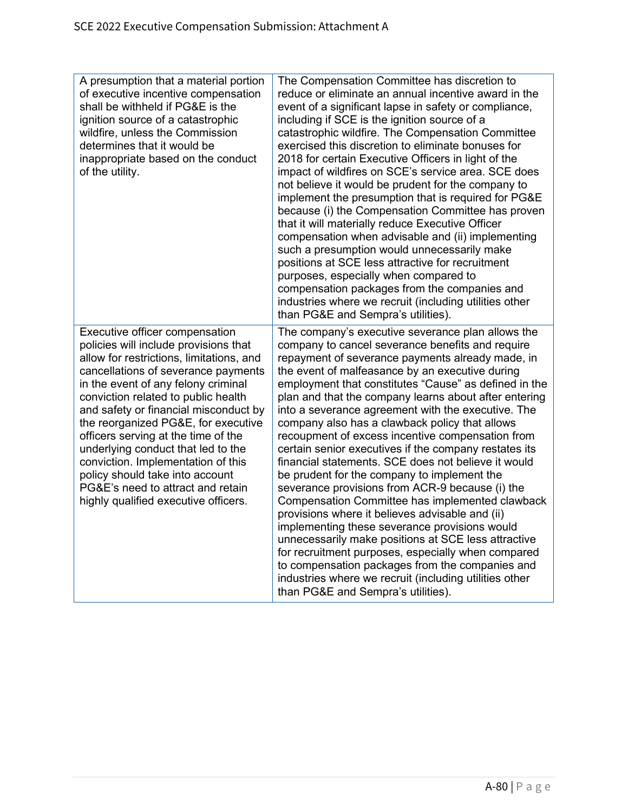| A presumption that a material portion<br>of executive incentive compensation<br>shall be withheld if PG&E is the<br>ignition source of a catastrophic<br>wildfire, unless the Commission<br>determines that it would be<br>inappropriate based on the conduct<br>of the utility.                                                                                                                                                                                                                                                                            | The Compensation Committee has discretion to<br>reduce or eliminate an annual incentive award in the<br>event of a significant lapse in safety or compliance,<br>including if SCE is the ignition source of a<br>catastrophic wildfire. The Compensation Committee<br>exercised this discretion to eliminate bonuses for<br>2018 for certain Executive Officers in light of the<br>impact of wildfires on SCE's service area. SCE does<br>not believe it would be prudent for the company to<br>implement the presumption that is required for PG&E<br>because (i) the Compensation Committee has proven<br>that it will materially reduce Executive Officer<br>compensation when advisable and (ii) implementing<br>such a presumption would unnecessarily make<br>positions at SCE less attractive for recruitment<br>purposes, especially when compared to<br>compensation packages from the companies and<br>industries where we recruit (including utilities other<br>than PG&E and Sempra's utilities).                                                                                                                       |
|-------------------------------------------------------------------------------------------------------------------------------------------------------------------------------------------------------------------------------------------------------------------------------------------------------------------------------------------------------------------------------------------------------------------------------------------------------------------------------------------------------------------------------------------------------------|-------------------------------------------------------------------------------------------------------------------------------------------------------------------------------------------------------------------------------------------------------------------------------------------------------------------------------------------------------------------------------------------------------------------------------------------------------------------------------------------------------------------------------------------------------------------------------------------------------------------------------------------------------------------------------------------------------------------------------------------------------------------------------------------------------------------------------------------------------------------------------------------------------------------------------------------------------------------------------------------------------------------------------------------------------------------------------------------------------------------------------------|
| Executive officer compensation<br>policies will include provisions that<br>allow for restrictions, limitations, and<br>cancellations of severance payments<br>in the event of any felony criminal<br>conviction related to public health<br>and safety or financial misconduct by<br>the reorganized PG&E, for executive<br>officers serving at the time of the<br>underlying conduct that led to the<br>conviction. Implementation of this<br>policy should take into account<br>PG&E's need to attract and retain<br>highly qualified executive officers. | The company's executive severance plan allows the<br>company to cancel severance benefits and require<br>repayment of severance payments already made, in<br>the event of malfeasance by an executive during<br>employment that constitutes "Cause" as defined in the<br>plan and that the company learns about after entering<br>into a severance agreement with the executive. The<br>company also has a clawback policy that allows<br>recoupment of excess incentive compensation from<br>certain senior executives if the company restates its<br>financial statements. SCE does not believe it would<br>be prudent for the company to implement the<br>severance provisions from ACR-9 because (i) the<br>Compensation Committee has implemented clawback<br>provisions where it believes advisable and (ii)<br>implementing these severance provisions would<br>unnecessarily make positions at SCE less attractive<br>for recruitment purposes, especially when compared<br>to compensation packages from the companies and<br>industries where we recruit (including utilities other<br>than PG&E and Sempra's utilities). |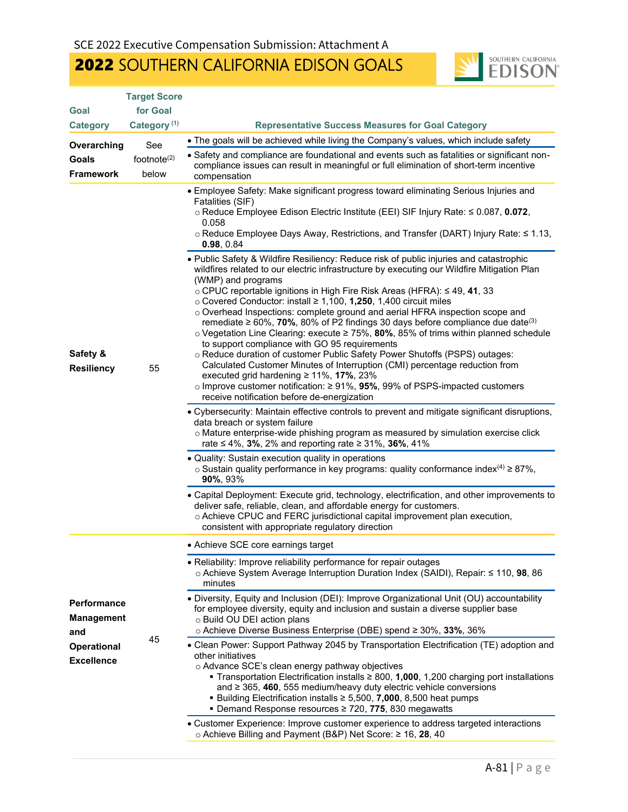# 2022 SOUTHERN CALIFORNIA EDISON GOALS



|                                                | <b>Target Score</b>     |                                                                                                                                                                                                                                                                                                                                                                                                                                                                                                                                                                                                                                                                                                                                                                                                                                                                                                                                                                                                                                                                                                                                                                                                                                                                                                                                                                                                                                                                                                                                                                                                                                                                                                                                                                                                                                      |
|------------------------------------------------|-------------------------|--------------------------------------------------------------------------------------------------------------------------------------------------------------------------------------------------------------------------------------------------------------------------------------------------------------------------------------------------------------------------------------------------------------------------------------------------------------------------------------------------------------------------------------------------------------------------------------------------------------------------------------------------------------------------------------------------------------------------------------------------------------------------------------------------------------------------------------------------------------------------------------------------------------------------------------------------------------------------------------------------------------------------------------------------------------------------------------------------------------------------------------------------------------------------------------------------------------------------------------------------------------------------------------------------------------------------------------------------------------------------------------------------------------------------------------------------------------------------------------------------------------------------------------------------------------------------------------------------------------------------------------------------------------------------------------------------------------------------------------------------------------------------------------------------------------------------------------|
| Goal                                           | for Goal                |                                                                                                                                                                                                                                                                                                                                                                                                                                                                                                                                                                                                                                                                                                                                                                                                                                                                                                                                                                                                                                                                                                                                                                                                                                                                                                                                                                                                                                                                                                                                                                                                                                                                                                                                                                                                                                      |
| <b>Category</b>                                | Category <sup>(1)</sup> | <b>Representative Success Measures for Goal Category</b>                                                                                                                                                                                                                                                                                                                                                                                                                                                                                                                                                                                                                                                                                                                                                                                                                                                                                                                                                                                                                                                                                                                                                                                                                                                                                                                                                                                                                                                                                                                                                                                                                                                                                                                                                                             |
| Overarching                                    | See                     | • The goals will be achieved while living the Company's values, which include safety                                                                                                                                                                                                                                                                                                                                                                                                                                                                                                                                                                                                                                                                                                                                                                                                                                                                                                                                                                                                                                                                                                                                                                                                                                                                                                                                                                                                                                                                                                                                                                                                                                                                                                                                                 |
| Goals<br><b>Framework</b>                      | footnote $(2)$<br>below | • Safety and compliance are foundational and events such as fatalities or significant non-<br>compliance issues can result in meaningful or full elimination of short-term incentive<br>compensation                                                                                                                                                                                                                                                                                                                                                                                                                                                                                                                                                                                                                                                                                                                                                                                                                                                                                                                                                                                                                                                                                                                                                                                                                                                                                                                                                                                                                                                                                                                                                                                                                                 |
| Safety &<br><b>Resiliency</b>                  | 55                      | • Employee Safety: Make significant progress toward eliminating Serious Injuries and<br>Fatalities (SIF)<br>o Reduce Employee Edison Electric Institute (EEI) SIF Injury Rate: ≤ 0.087, 0.072,<br>0.058<br>o Reduce Employee Days Away, Restrictions, and Transfer (DART) Injury Rate: ≤ 1.13,<br>0.98, 0.84<br>. Public Safety & Wildfire Resiliency: Reduce risk of public injuries and catastrophic<br>wildfires related to our electric infrastructure by executing our Wildfire Mitigation Plan<br>(WMP) and programs<br>o CPUC reportable ignitions in High Fire Risk Areas (HFRA): ≤ 49, 41, 33<br>$\circ$ Covered Conductor: install $\geq$ 1,100, 1,250, 1,400 circuit miles<br>o Overhead Inspections: complete ground and aerial HFRA inspection scope and<br>remediate $\geq 60\%$ , 70%, 80% of P2 findings 30 days before compliance due date <sup>(3)</sup><br>o Vegetation Line Clearing: execute ≥ 75%, 80%, 85% of trims within planned schedule<br>to support compliance with GO 95 requirements<br>o Reduce duration of customer Public Safety Power Shutoffs (PSPS) outages:<br>Calculated Customer Minutes of Interruption (CMI) percentage reduction from<br>executed grid hardening $\geq 11\%$ , 17%, 23%<br>o Improve customer notification: $\geq$ 91%, 95%, 99% of PSPS-impacted customers<br>receive notification before de-energization<br>• Cybersecurity: Maintain effective controls to prevent and mitigate significant disruptions,<br>data breach or system failure<br>o Mature enterprise-wide phishing program as measured by simulation exercise click<br>rate ≤ 4%, 3%, 2% and reporting rate ≥ 31%, 36%, 41%<br>• Quality: Sustain execution quality in operations<br>$\circ$ Sustain quality performance in key programs: quality conformance index <sup>(4)</sup> $\geq$ 87%,<br>90%, 93% |
|                                                |                         | • Capital Deployment: Execute grid, technology, electrification, and other improvements to<br>deliver safe, reliable, clean, and affordable energy for customers.<br>o Achieve CPUC and FERC jurisdictional capital improvement plan execution,<br>consistent with appropriate regulatory direction                                                                                                                                                                                                                                                                                                                                                                                                                                                                                                                                                                                                                                                                                                                                                                                                                                                                                                                                                                                                                                                                                                                                                                                                                                                                                                                                                                                                                                                                                                                                  |
|                                                | 45                      | • Achieve SCE core earnings target                                                                                                                                                                                                                                                                                                                                                                                                                                                                                                                                                                                                                                                                                                                                                                                                                                                                                                                                                                                                                                                                                                                                                                                                                                                                                                                                                                                                                                                                                                                                                                                                                                                                                                                                                                                                   |
|                                                |                         | • Reliability: Improve reliability performance for repair outages<br>o Achieve System Average Interruption Duration Index (SAIDI), Repair: ≤ 110, 98, 86<br>minutes                                                                                                                                                                                                                                                                                                                                                                                                                                                                                                                                                                                                                                                                                                                                                                                                                                                                                                                                                                                                                                                                                                                                                                                                                                                                                                                                                                                                                                                                                                                                                                                                                                                                  |
| <b>Performance</b><br><b>Management</b><br>and |                         | • Diversity, Equity and Inclusion (DEI): Improve Organizational Unit (OU) accountability<br>for employee diversity, equity and inclusion and sustain a diverse supplier base<br>o Build OU DEI action plans<br>⊙ Achieve Diverse Business Enterprise (DBE) spend ≥ 30%, 33%, 36%                                                                                                                                                                                                                                                                                                                                                                                                                                                                                                                                                                                                                                                                                                                                                                                                                                                                                                                                                                                                                                                                                                                                                                                                                                                                                                                                                                                                                                                                                                                                                     |
| <b>Operational</b><br><b>Excellence</b>        |                         | • Clean Power: Support Pathway 2045 by Transportation Electrification (TE) adoption and<br>other initiatives<br>o Advance SCE's clean energy pathway objectives<br><b>Transportation Electrification installs <math>\geq 800</math>, 1,000,</b> 1,200 charging port installations<br>and $\geq$ 365, 460, 555 medium/heavy duty electric vehicle conversions<br>■ Building Electrification installs $\geq$ 5,500, 7,000, 8,500 heat pumps<br>■ Demand Response resources ≥ 720, 775, 830 megawatts<br>• Customer Experience: Improve customer experience to address targeted interactions                                                                                                                                                                                                                                                                                                                                                                                                                                                                                                                                                                                                                                                                                                                                                                                                                                                                                                                                                                                                                                                                                                                                                                                                                                            |
|                                                |                         | o Achieve Billing and Payment (B&P) Net Score: ≥ 16, 28, 40                                                                                                                                                                                                                                                                                                                                                                                                                                                                                                                                                                                                                                                                                                                                                                                                                                                                                                                                                                                                                                                                                                                                                                                                                                                                                                                                                                                                                                                                                                                                                                                                                                                                                                                                                                          |